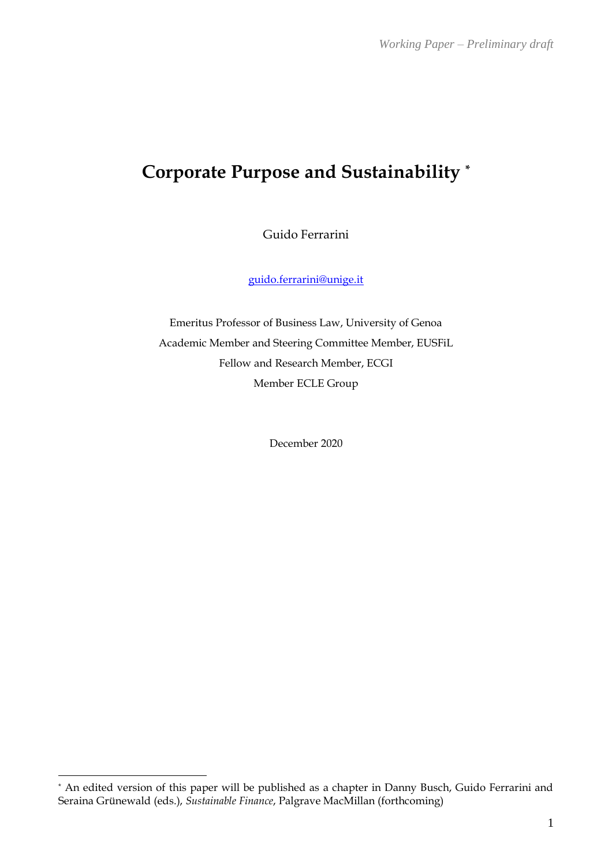# **Corporate Purpose and Sustainability \***

Guido Ferrarini

[guido.ferrarini@unige.it](mailto:guido.ferrarini@unige.it)

Emeritus Professor of Business Law, University of Genoa Academic Member and Steering Committee Member, EUSFiL Fellow and Research Member, ECGI Member ECLE Group

December 2020

<sup>\*</sup> An edited version of this paper will be published as a chapter in Danny Busch, Guido Ferrarini and Seraina Grünewald (eds.), *Sustainable Finance*, Palgrave MacMillan (forthcoming)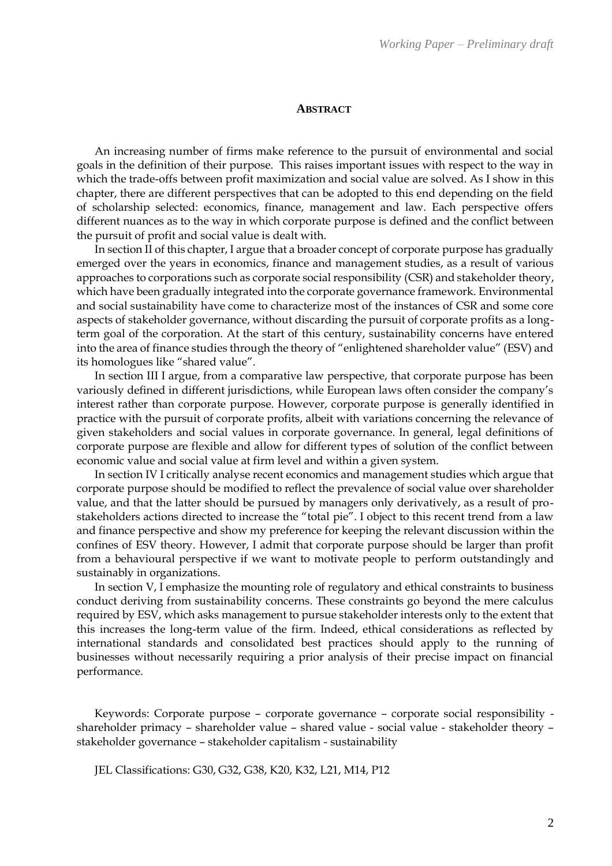#### **ABSTRACT**

An increasing number of firms make reference to the pursuit of environmental and social goals in the definition of their purpose. This raises important issues with respect to the way in which the trade-offs between profit maximization and social value are solved. As I show in this chapter, there are different perspectives that can be adopted to this end depending on the field of scholarship selected: economics, finance, management and law. Each perspective offers different nuances as to the way in which corporate purpose is defined and the conflict between the pursuit of profit and social value is dealt with.

In section II of this chapter, I argue that a broader concept of corporate purpose has gradually emerged over the years in economics, finance and management studies, as a result of various approaches to corporations such as corporate social responsibility (CSR) and stakeholder theory, which have been gradually integrated into the corporate governance framework. Environmental and social sustainability have come to characterize most of the instances of CSR and some core aspects of stakeholder governance, without discarding the pursuit of corporate profits as a longterm goal of the corporation. At the start of this century, sustainability concerns have entered into the area of finance studies through the theory of "enlightened shareholder value" (ESV) and its homologues like "shared value".

In section III I argue, from a comparative law perspective, that corporate purpose has been variously defined in different jurisdictions, while European laws often consider the company's interest rather than corporate purpose. However, corporate purpose is generally identified in practice with the pursuit of corporate profits, albeit with variations concerning the relevance of given stakeholders and social values in corporate governance. In general, legal definitions of corporate purpose are flexible and allow for different types of solution of the conflict between economic value and social value at firm level and within a given system.

In section IV I critically analyse recent economics and management studies which argue that corporate purpose should be modified to reflect the prevalence of social value over shareholder value, and that the latter should be pursued by managers only derivatively, as a result of prostakeholders actions directed to increase the "total pie". I object to this recent trend from a law and finance perspective and show my preference for keeping the relevant discussion within the confines of ESV theory. However, I admit that corporate purpose should be larger than profit from a behavioural perspective if we want to motivate people to perform outstandingly and sustainably in organizations.

In section V, I emphasize the mounting role of regulatory and ethical constraints to business conduct deriving from sustainability concerns. These constraints go beyond the mere calculus required by ESV, which asks management to pursue stakeholder interests only to the extent that this increases the long-term value of the firm. Indeed, ethical considerations as reflected by international standards and consolidated best practices should apply to the running of businesses without necessarily requiring a prior analysis of their precise impact on financial performance.

Keywords: Corporate purpose – corporate governance – corporate social responsibility shareholder primacy – shareholder value – shared value - social value - stakeholder theory – stakeholder governance – stakeholder capitalism - sustainability

JEL Classifications: G30, G32, G38, K20, K32, L21, M14, P12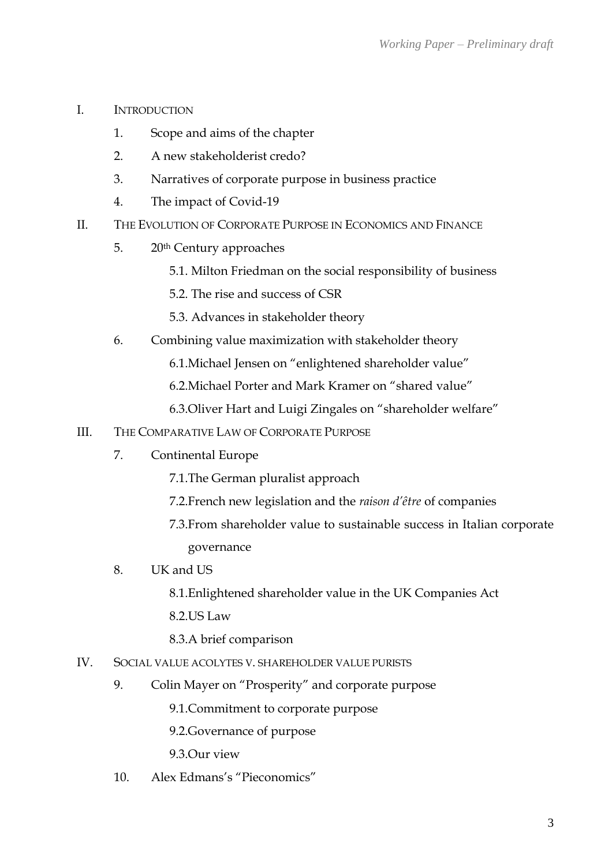- I. INTRODUCTION
	- 1. Scope and aims of the chapter
	- 2. A new stakeholderist credo?
	- 3. Narratives of corporate purpose in business practice
	- 4. The impact of Covid-19
- II. THE EVOLUTION OF CORPORATE PURPOSE IN ECONOMICS AND FINANCE
	- 5. 20th Century approaches
		- 5.1. Milton Friedman on the social responsibility of business
		- 5.2. The rise and success of CSR
		- 5.3. Advances in stakeholder theory
	- 6. Combining value maximization with stakeholder theory
		- 6.1.Michael Jensen on "enlightened shareholder value"
		- 6.2.Michael Porter and Mark Kramer on "shared value"
		- 6.3.Oliver Hart and Luigi Zingales on "shareholder welfare"
- III. THE COMPARATIVE LAW OF CORPORATE PURPOSE
	- 7. Continental Europe
		- 7.1.The German pluralist approach
		- 7.2.French new legislation and the *raison d'être* of companies
		- 7.3.From shareholder value to sustainable success in Italian corporate governance
	- 8. UK and US
		- 8.1.Enlightened shareholder value in the UK Companies Act
		- 8.2.US Law
		- 8.3.A brief comparison
- IV. SOCIAL VALUE ACOLYTES V. SHAREHOLDER VALUE PURISTS
	- 9. Colin Mayer on "Prosperity" and corporate purpose
		- 9.1.Commitment to corporate purpose
		- 9.2.Governance of purpose
		- 9.3.Our view
	- 10. Alex Edmans's "Pieconomics"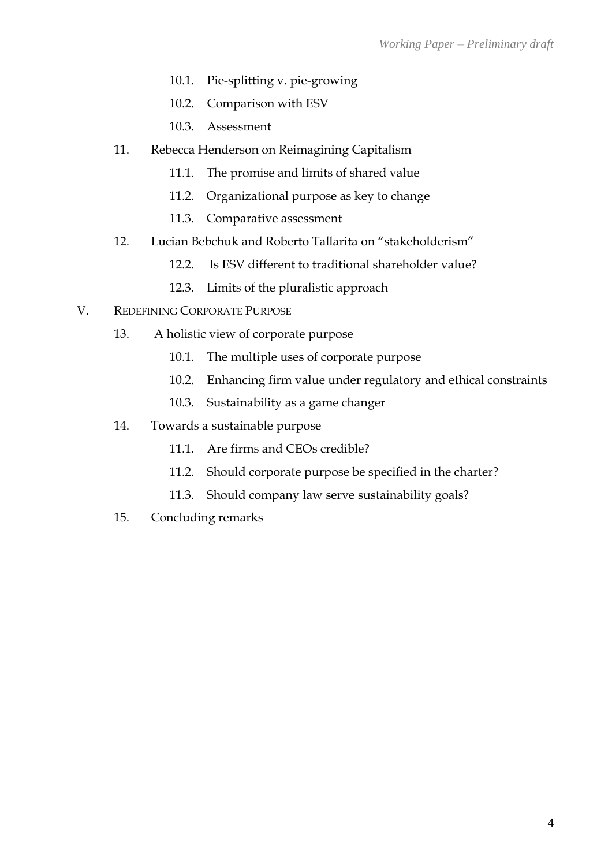- 10.1. Pie-splitting v. pie-growing
- 10.2. Comparison with ESV
- 10.3. Assessment
- 11. Rebecca Henderson on Reimagining Capitalism
	- 11.1. The promise and limits of shared value
	- 11.2. Organizational purpose as key to change
	- 11.3. Comparative assessment
- 12. Lucian Bebchuk and Roberto Tallarita on "stakeholderism"
	- 12.2. Is ESV different to traditional shareholder value?
	- 12.3. Limits of the pluralistic approach
- V. REDEFINING CORPORATE PURPOSE
	- 13. A holistic view of corporate purpose
		- 10.1. The multiple uses of corporate purpose
		- 10.2. Enhancing firm value under regulatory and ethical constraints
		- 10.3. Sustainability as a game changer
	- 14. Towards a sustainable purpose
		- 11.1. Are firms and CEOs credible?
		- 11.2. Should corporate purpose be specified in the charter?
		- 11.3. Should company law serve sustainability goals?
	- 15. Concluding remarks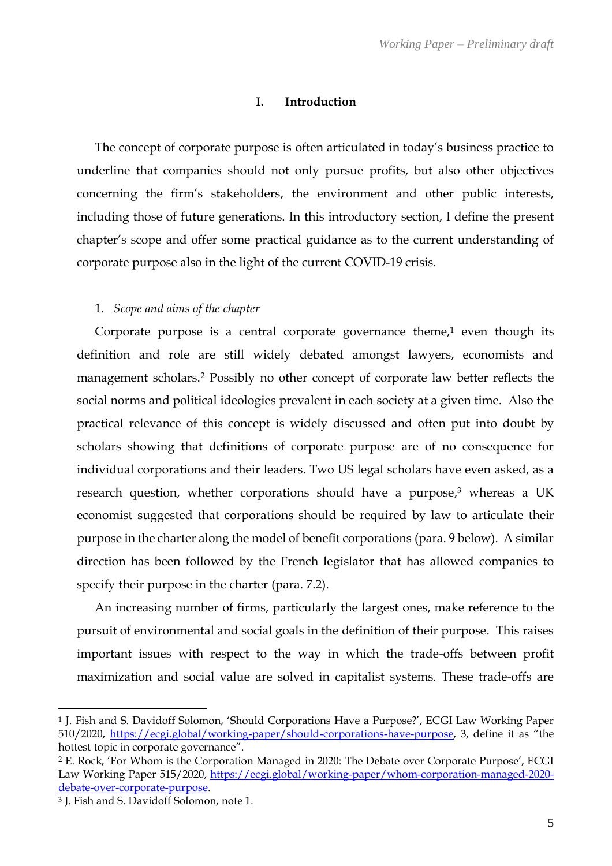#### **I. Introduction**

The concept of corporate purpose is often articulated in today's business practice to underline that companies should not only pursue profits, but also other objectives concerning the firm's stakeholders, the environment and other public interests, including those of future generations. In this introductory section, I define the present chapter's scope and offer some practical guidance as to the current understanding of corporate purpose also in the light of the current COVID-19 crisis.

#### 1. *Scope and aims of the chapter*

Corporate purpose is a central corporate governance theme, $1$  even though its definition and role are still widely debated amongst lawyers, economists and management scholars.<sup>2</sup> Possibly no other concept of corporate law better reflects the social norms and political ideologies prevalent in each society at a given time. Also the practical relevance of this concept is widely discussed and often put into doubt by scholars showing that definitions of corporate purpose are of no consequence for individual corporations and their leaders. Two US legal scholars have even asked, as a research question, whether corporations should have a purpose, <sup>3</sup> whereas a UK economist suggested that corporations should be required by law to articulate their purpose in the charter along the model of benefit corporations (para. 9 below). A similar direction has been followed by the French legislator that has allowed companies to specify their purpose in the charter (para. 7.2).

An increasing number of firms, particularly the largest ones, make reference to the pursuit of environmental and social goals in the definition of their purpose. This raises important issues with respect to the way in which the trade-offs between profit maximization and social value are solved in capitalist systems. These trade-offs are

<sup>1</sup> J. Fish and S. Davidoff Solomon, 'Should Corporations Have a Purpose?', ECGI Law Working Paper 510/2020,<https://ecgi.global/working-paper/should-corporations-have-purpose>, 3, define it as "the hottest topic in corporate governance".

<sup>2</sup> E. Rock, 'For Whom is the Corporation Managed in 2020: The Debate over Corporate Purpose', ECGI Law Working Paper 515/2020, [https://ecgi.global/working-paper/whom-corporation-managed-2020](https://ecgi.global/working-paper/whom-corporation-managed-2020-debate-over-corporate-purpose) [debate-over-corporate-purpose.](https://ecgi.global/working-paper/whom-corporation-managed-2020-debate-over-corporate-purpose)

<sup>3</sup> J. Fish and S. Davidoff Solomon, note 1.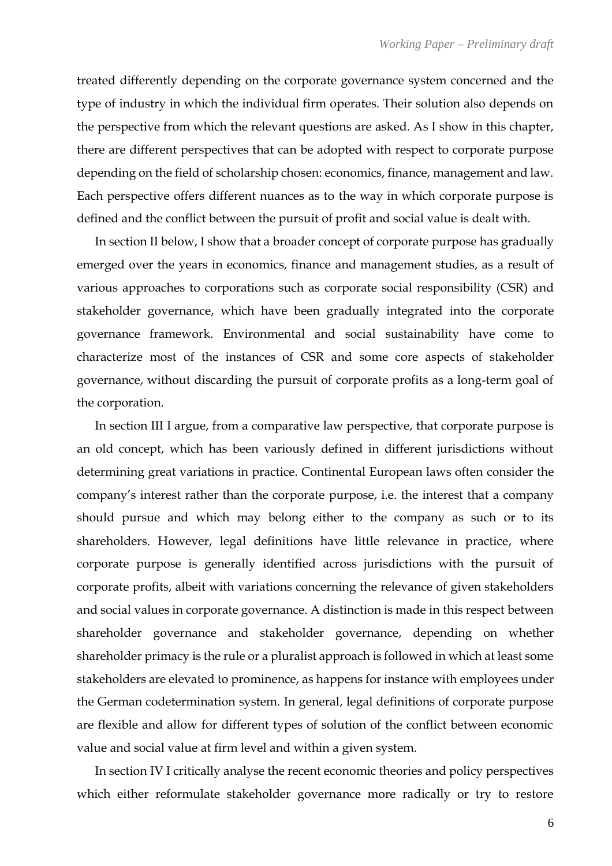treated differently depending on the corporate governance system concerned and the type of industry in which the individual firm operates. Their solution also depends on the perspective from which the relevant questions are asked. As I show in this chapter, there are different perspectives that can be adopted with respect to corporate purpose depending on the field of scholarship chosen: economics, finance, management and law. Each perspective offers different nuances as to the way in which corporate purpose is defined and the conflict between the pursuit of profit and social value is dealt with.

In section II below, I show that a broader concept of corporate purpose has gradually emerged over the years in economics, finance and management studies, as a result of various approaches to corporations such as corporate social responsibility (CSR) and stakeholder governance, which have been gradually integrated into the corporate governance framework. Environmental and social sustainability have come to characterize most of the instances of CSR and some core aspects of stakeholder governance, without discarding the pursuit of corporate profits as a long-term goal of the corporation.

In section III I argue, from a comparative law perspective, that corporate purpose is an old concept, which has been variously defined in different jurisdictions without determining great variations in practice. Continental European laws often consider the company's interest rather than the corporate purpose, i.e. the interest that a company should pursue and which may belong either to the company as such or to its shareholders. However, legal definitions have little relevance in practice, where corporate purpose is generally identified across jurisdictions with the pursuit of corporate profits, albeit with variations concerning the relevance of given stakeholders and social values in corporate governance. A distinction is made in this respect between shareholder governance and stakeholder governance, depending on whether shareholder primacy is the rule or a pluralist approach is followed in which at least some stakeholders are elevated to prominence, as happens for instance with employees under the German codetermination system. In general, legal definitions of corporate purpose are flexible and allow for different types of solution of the conflict between economic value and social value at firm level and within a given system.

In section IV I critically analyse the recent economic theories and policy perspectives which either reformulate stakeholder governance more radically or try to restore

6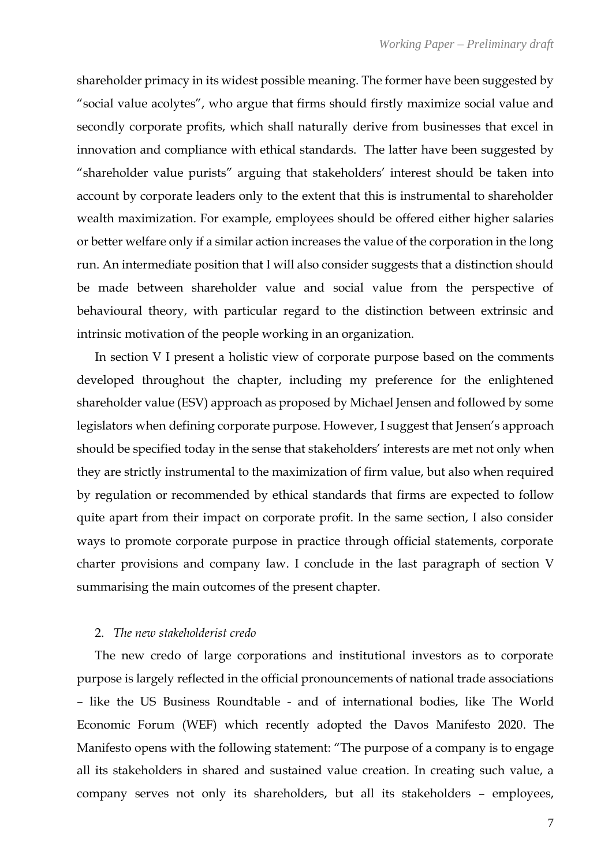shareholder primacy in its widest possible meaning. The former have been suggested by "social value acolytes", who argue that firms should firstly maximize social value and secondly corporate profits, which shall naturally derive from businesses that excel in innovation and compliance with ethical standards. The latter have been suggested by "shareholder value purists" arguing that stakeholders' interest should be taken into account by corporate leaders only to the extent that this is instrumental to shareholder wealth maximization. For example, employees should be offered either higher salaries or better welfare only if a similar action increases the value of the corporation in the long run. An intermediate position that I will also consider suggests that a distinction should be made between shareholder value and social value from the perspective of behavioural theory, with particular regard to the distinction between extrinsic and intrinsic motivation of the people working in an organization.

In section V I present a holistic view of corporate purpose based on the comments developed throughout the chapter, including my preference for the enlightened shareholder value (ESV) approach as proposed by Michael Jensen and followed by some legislators when defining corporate purpose. However, I suggest that Jensen's approach should be specified today in the sense that stakeholders' interests are met not only when they are strictly instrumental to the maximization of firm value, but also when required by regulation or recommended by ethical standards that firms are expected to follow quite apart from their impact on corporate profit. In the same section, I also consider ways to promote corporate purpose in practice through official statements, corporate charter provisions and company law. I conclude in the last paragraph of section V summarising the main outcomes of the present chapter.

## 2. *The new stakeholderist credo*

The new credo of large corporations and institutional investors as to corporate purpose is largely reflected in the official pronouncements of national trade associations – like the US Business Roundtable - and of international bodies, like The World Economic Forum (WEF) which recently adopted the Davos Manifesto 2020. The Manifesto opens with the following statement: "The purpose of a company is to engage all its stakeholders in shared and sustained value creation. In creating such value, a company serves not only its shareholders, but all its stakeholders – employees,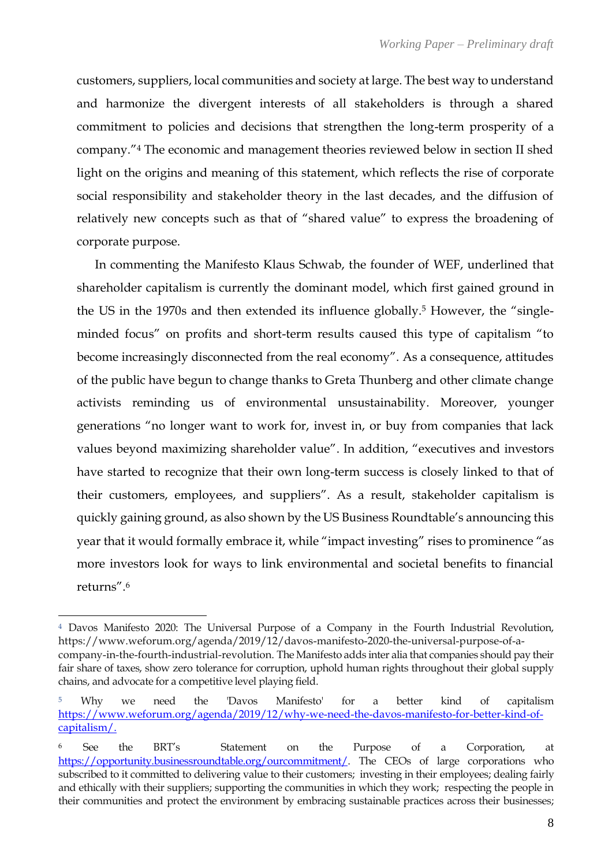customers, suppliers, local communities and society at large. The best way to understand and harmonize the divergent interests of all stakeholders is through a shared commitment to policies and decisions that strengthen the long-term prosperity of a company."<sup>4</sup> The economic and management theories reviewed below in section II shed light on the origins and meaning of this statement, which reflects the rise of corporate social responsibility and stakeholder theory in the last decades, and the diffusion of relatively new concepts such as that of "shared value" to express the broadening of corporate purpose.

In commenting the Manifesto Klaus Schwab, the founder of WEF, underlined that shareholder capitalism is currently the dominant model, which first gained ground in the US in the 1970s and then extended its influence globally.<sup>5</sup> However, the "singleminded focus" on profits and short-term results caused this type of capitalism "to become increasingly disconnected from the real economy". As a consequence, attitudes of the public have begun to change thanks to Greta Thunberg and other climate change activists reminding us of environmental unsustainability. Moreover, younger generations "no longer want to work for, invest in, or buy from companies that lack values beyond maximizing shareholder value". In addition, "executives and investors have started to recognize that their own long-term success is closely linked to that of their customers, employees, and suppliers". As a result, stakeholder capitalism is quickly gaining ground, as also shown by the US Business Roundtable's announcing this year that it would formally embrace it, while "impact investing" rises to prominence "as more investors look for ways to link environmental and societal benefits to financial returns".<sup>6</sup>

<sup>4</sup> Davos Manifesto 2020: The Universal Purpose of a Company in the Fourth Industrial Revolution, [https://www.weforum.org/agenda/2019/12/davos-manifesto-2020-the-universal-purpose-of-a](https://www.weforum.org/agenda/2019/12/davos-manifesto-2020-the-universal-purpose-of-a-company-in-the-fourth-industrial-revolution)[company-in-the-fourth-industrial-revolution.](https://www.weforum.org/agenda/2019/12/davos-manifesto-2020-the-universal-purpose-of-a-company-in-the-fourth-industrial-revolution) Th[e Manifesto](http://wef.ch/manifesto) adds inter alia that companies should pay their fair share of taxes, show zero tolerance for corruption, uphold human rights throughout their global supply chains, and advocate for a competitive level playing field.

<sup>5</sup> Why we need the 'Davos Manifesto' for a better kind of capitalism [https://www.weforum.org/agenda/2019/12/why-we-need-the-davos-manifesto-for-better-kind-of](https://www.weforum.org/agenda/2019/12/why-we-need-the-davos-manifesto-for-better-kind-of-capitalism/)[capitalism/.](https://www.weforum.org/agenda/2019/12/why-we-need-the-davos-manifesto-for-better-kind-of-capitalism/)

<sup>6</sup> See the BRT's Statement on the Purpose of a Corporation, at [https://opportunity.businessroundtable.org/ourcommitment/.](https://opportunity.businessroundtable.org/ourcommitment/) The CEOs of large corporations who subscribed to it committed to delivering value to their customers; investing in their employees; dealing fairly and ethically with their suppliers; supporting the communities in which they work; respecting the people in their communities and protect the environment by embracing sustainable practices across their businesses;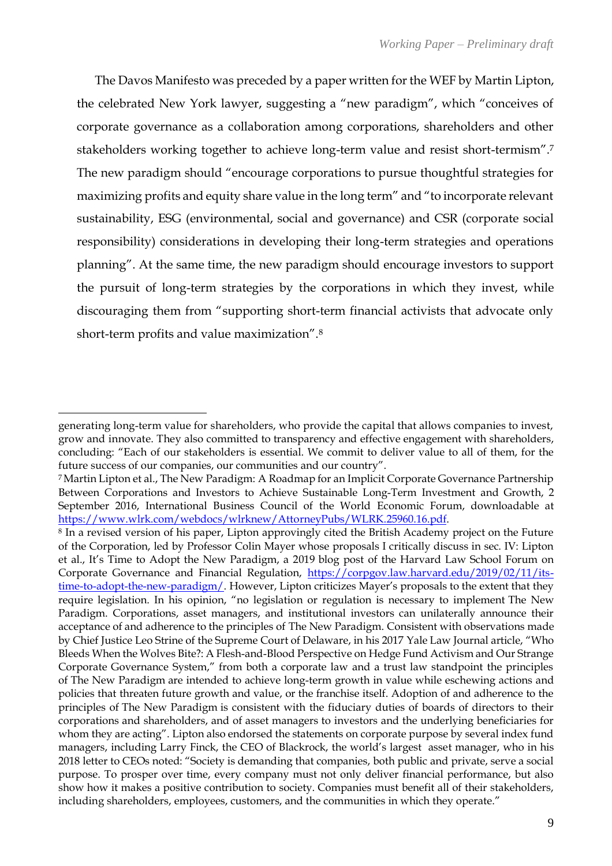The Davos Manifesto was preceded by a paper written for the WEF by Martin Lipton, the celebrated New York lawyer, suggesting a "new paradigm", which "conceives of corporate governance as a collaboration among corporations, shareholders and other stakeholders working together to achieve long-term value and resist short-termism".<sup>7</sup> The new paradigm should "encourage corporations to pursue thoughtful strategies for maximizing profits and equity share value in the long term" and "to incorporate relevant sustainability, ESG (environmental, social and governance) and CSR (corporate social responsibility) considerations in developing their long-term strategies and operations planning". At the same time, the new paradigm should encourage investors to support the pursuit of long-term strategies by the corporations in which they invest, while discouraging them from "supporting short-term financial activists that advocate only short-term profits and value maximization".<sup>8</sup>

generating long-term value for shareholders, who provide the capital that allows companies to invest, grow and innovate. They also committed to transparency and effective engagement with shareholders, concluding: "Each of our stakeholders is essential. We commit to deliver value to all of them, for the future success of our companies, our communities and our country".

<sup>7</sup>Martin Lipton et al., The New Paradigm: A Roadmap for an Implicit Corporate Governance Partnership Between Corporations and Investors to Achieve Sustainable Long-Term Investment and Growth, 2 September 2016, International Business Council of the World Economic Forum, downloadable at [https://www.wlrk.com/webdocs/wlrknew/AttorneyPubs/WLRK.25960.16.pdf.](https://www.wlrk.com/webdocs/wlrknew/AttorneyPubs/WLRK.25960.16.pdf)

<sup>8</sup> In a revised version of his paper, Lipton approvingly cited the British Academy project on the Future of the Corporation, led by Professor Colin Mayer whose proposals I critically discuss in sec. IV: Lipton et al., It's Time to Adopt the New Paradigm, a 2019 blog post of the Harvard Law School Forum on Corporate Governance and Financial Regulation, [https://corpgov.law.harvard.edu/2019/02/11/its](https://corpgov.law.harvard.edu/2019/02/11/its-time-to-adopt-the-new-paradigm/)[time-to-adopt-the-new-paradigm/](https://corpgov.law.harvard.edu/2019/02/11/its-time-to-adopt-the-new-paradigm/). However, Lipton criticizes Mayer's proposals to the extent that they require legislation. In his opinion, "no legislation or regulation is necessary to implement The New Paradigm. Corporations, asset managers, and institutional investors can unilaterally announce their acceptance of and adherence to the principles of The New Paradigm. Consistent with observations made by Chief Justice Leo Strine of the Supreme Court of Delaware, in his 2017 Yale Law Journal article, "Who Bleeds When the Wolves Bite?: A Flesh-and-Blood Perspective on Hedge Fund Activism and Our Strange Corporate Governance System," from both a corporate law and a trust law standpoint the principles of The New Paradigm are intended to achieve long-term growth in value while eschewing actions and policies that threaten future growth and value, or the franchise itself. Adoption of and adherence to the principles of The New Paradigm is consistent with the fiduciary duties of boards of directors to their corporations and shareholders, and of asset managers to investors and the underlying beneficiaries for whom they are acting". Lipton also endorsed the statements on corporate purpose by several index fund managers, including Larry Finck, the CEO of Blackrock, the world's largest asset manager, who in his 2018 letter to CEOs noted: "Society is demanding that companies, both public and private, serve a social purpose. To prosper over time, every company must not only deliver financial performance, but also show how it makes a positive contribution to society. Companies must benefit all of their stakeholders, including shareholders, employees, customers, and the communities in which they operate."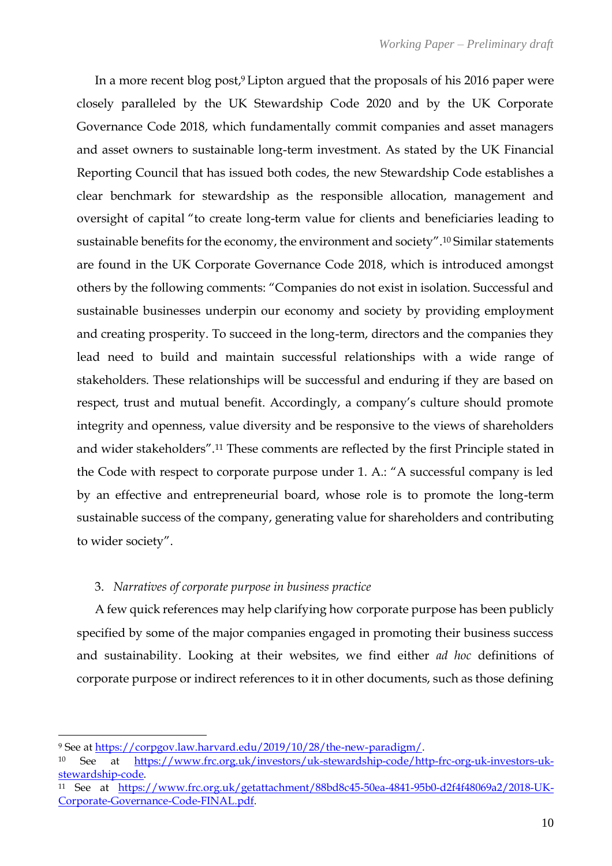In a more recent blog post, <sup>9</sup> Lipton argued that the proposals of his 2016 paper were closely paralleled by the UK Stewardship Code 2020 and by the UK Corporate Governance Code 2018, which fundamentally commit companies and asset managers and asset owners to sustainable long-term investment. As stated by the UK Financial Reporting Council that has issued both codes, the new Stewardship Code establishes a clear benchmark for stewardship as the responsible allocation, management and oversight of capital "to create long-term value for clients and beneficiaries leading to sustainable benefits for the economy, the environment and society".<sup>10</sup> Similar statements are found in the UK Corporate Governance Code 2018, which is introduced amongst others by the following comments: "Companies do not exist in isolation. Successful and sustainable businesses underpin our economy and society by providing employment and creating prosperity. To succeed in the long-term, directors and the companies they lead need to build and maintain successful relationships with a wide range of stakeholders. These relationships will be successful and enduring if they are based on respect, trust and mutual benefit. Accordingly, a company's culture should promote integrity and openness, value diversity and be responsive to the views of shareholders and wider stakeholders".<sup>11</sup> These comments are reflected by the first Principle stated in the Code with respect to corporate purpose under 1. A.: "A successful company is led by an effective and entrepreneurial board, whose role is to promote the long-term sustainable success of the company, generating value for shareholders and contributing to wider society".

## 3. *Narratives of corporate purpose in business practice*

A few quick references may help clarifying how corporate purpose has been publicly specified by some of the major companies engaged in promoting their business success and sustainability. Looking at their websites, we find either *ad hoc* definitions of corporate purpose or indirect references to it in other documents, such as those defining

<sup>9</sup> See at [https://corpgov.law.harvard.edu/2019/10/28/the-new-paradigm/.](https://corpgov.law.harvard.edu/2019/10/28/the-new-paradigm/)

<sup>10</sup> See at [https://www.frc.org.uk/investors/uk-stewardship-code/http-frc-org-uk-investors-uk](https://www.frc.org.uk/investors/uk-stewardship-code/http-frc-org-uk-investors-uk-stewardship-code)[stewardship-code.](https://www.frc.org.uk/investors/uk-stewardship-code/http-frc-org-uk-investors-uk-stewardship-code)

<sup>11</sup> See at [https://www.frc.org.uk/getattachment/88bd8c45-50ea-4841-95b0-d2f4f48069a2/2018-UK-](https://www.frc.org.uk/getattachment/88bd8c45-50ea-4841-95b0-d2f4f48069a2/2018-UK-Corporate-Governance-Code-FINAL.pdf)[Corporate-Governance-Code-FINAL.pdf.](https://www.frc.org.uk/getattachment/88bd8c45-50ea-4841-95b0-d2f4f48069a2/2018-UK-Corporate-Governance-Code-FINAL.pdf)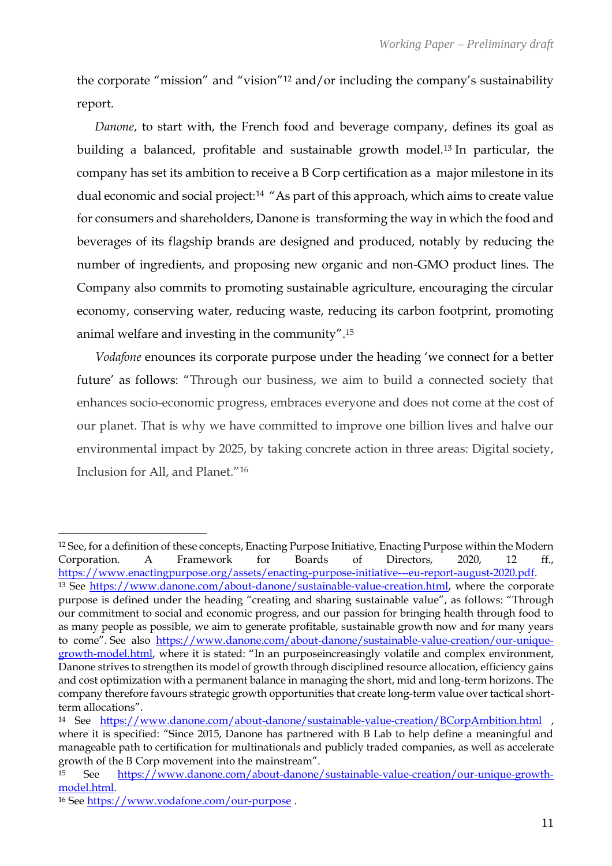the corporate "mission" and "vision"<sup>12</sup> and/or including the company's sustainability report.

*Danone*, to start with, the French food and beverage company, defines its goal as building a balanced, profitable and sustainable growth model.<sup>13</sup> In particular, the company has set its ambition to receive a B Corp certification as a major milestone in its dual economic and social project:<sup>14</sup> "As part of this approach, which aims to create value for consumers and shareholders, Danone is transforming the way in which the food and beverages of its flagship brands are designed and produced, notably by reducing the number of ingredients, and proposing new organic and non-GMO product lines. The Company also commits to promoting sustainable agriculture, encouraging the circular economy, conserving water, reducing waste, reducing its carbon footprint, promoting animal welfare and investing in the community".<sup>15</sup>

*Vodafone* enounces its corporate purpose under the heading 'we connect for a better future' as follows: "Through our business, we aim to build a connected society that enhances socio-economic progress, embraces everyone and does not come at the cost of our planet. That is why we have committed to improve one billion lives and halve our environmental impact by 2025, by taking concrete action in three areas: Digital society, Inclusion for All, and Planet."<sup>16</sup>

<sup>12</sup> See, for a definition of these concepts, Enacting Purpose Initiative, Enacting Purpose within the Modern Corporation. A Framework for Boards of Directors, 2020, 12 ff., [https://www.enactingpurpose.org/assets/enacting-purpose-initiative---eu-report-august-2020.pdf.](https://www.enactingpurpose.org/assets/enacting-purpose-initiative---eu-report-august-2020.pdf) <sup>13</sup> See [https://www.danone.com/about-danone/sustainable-value-creation.html,](https://www.danone.com/about-danone/sustainable-value-creation.html) where the corporate purpose is defined under the heading "creating and sharing sustainable value", as follows: "Through our commitment to social and economic progress, and our passion for bringing health through food to as many people as possible, we aim to generate profitable, sustainable growth now and for many years to come". See also [https://www.danone.com/about-danone/sustainable-value-creation/our-unique](https://www.danone.com/about-danone/sustainable-value-creation/our-unique-growth-model.html)[growth-model.html](https://www.danone.com/about-danone/sustainable-value-creation/our-unique-growth-model.html), where it is stated: "In an purposeincreasingly volatile and complex environment, Danone strives to strengthen its model of growth through disciplined resource allocation, efficiency gains and cost optimization with a permanent balance in managing the short, mid and long-term horizons. The company therefore favours strategic growth opportunities that create long-term value over tactical shortterm allocations".

<sup>14</sup> See <https://www.danone.com/about-danone/sustainable-value-creation/BCorpAmbition.html> , where it is specified: "Since 2015, Danone has partnered with B Lab to help define a meaningful and manageable path to certification for multinationals and publicly traded companies, as well as accelerate growth of the B Corp movement into the mainstream".

<sup>15</sup> See [https://www.danone.com/about-danone/sustainable-value-creation/our-unique-growth](https://www.danone.com/about-danone/sustainable-value-creation/our-unique-growth-model.html)[model.html.](https://www.danone.com/about-danone/sustainable-value-creation/our-unique-growth-model.html)

<sup>16</sup> Se[e https://www.vodafone.com/our-purpose](https://www.vodafone.com/our-purpose).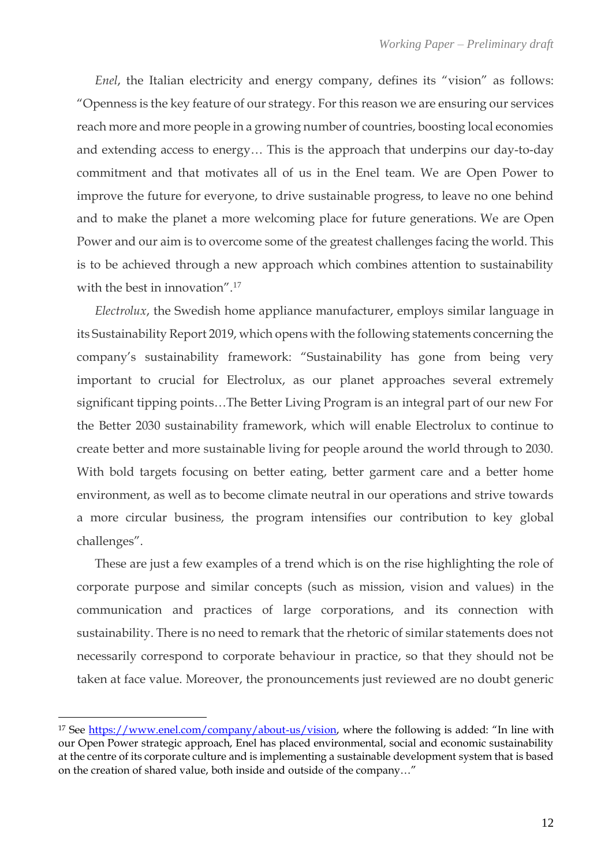*Enel*, the Italian electricity and energy company, defines its "vision" as follows: "Openness is the key feature of our strategy. For this reason we are ensuring our services reach more and more people in a growing number of countries, boosting local economies and extending access to energy… This is the approach that underpins our day-to-day commitment and that motivates all of us in the Enel team. We are Open Power to improve the future for everyone, to drive sustainable progress, to leave no one behind and to make the planet a more welcoming place for future generations. We are Open Power and our aim is to overcome some of the greatest challenges facing the world. This is to be achieved through a new approach which combines attention to sustainability with the best in innovation".<sup>17</sup>

*Electrolux*, the Swedish home appliance manufacturer, employs similar language in its Sustainability Report 2019, which opens with the following statements concerning the company's sustainability framework: "Sustainability has gone from being very important to crucial for Electrolux, as our planet approaches several extremely significant tipping points…The Better Living Program is an integral part of our new For the Better 2030 sustainability framework, which will enable Electrolux to continue to create better and more sustainable living for people around the world through to 2030. With bold targets focusing on better eating, better garment care and a better home environment, as well as to become climate neutral in our operations and strive towards a more circular business, the program intensifies our contribution to key global challenges".

These are just a few examples of a trend which is on the rise highlighting the role of corporate purpose and similar concepts (such as mission, vision and values) in the communication and practices of large corporations, and its connection with sustainability. There is no need to remark that the rhetoric of similar statements does not necessarily correspond to corporate behaviour in practice, so that they should not be taken at face value. Moreover, the pronouncements just reviewed are no doubt generic

<sup>17</sup> See [https://www.enel.com/company/about-us/vision,](https://www.enel.com/company/about-us/vision) where the following is added: "In line with our Open Power strategic approach, Enel has placed environmental, social and economic sustainability at the centre of its corporate culture and is implementing a sustainable development system that is based on the creation of shared value, both inside and outside of the company…"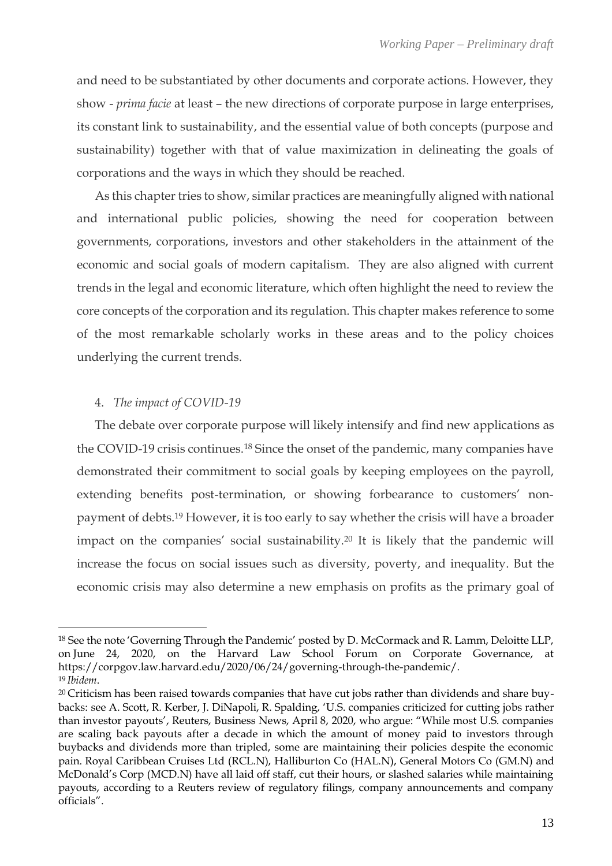and need to be substantiated by other documents and corporate actions. However, they show - *prima facie* at least – the new directions of corporate purpose in large enterprises, its constant link to sustainability, and the essential value of both concepts (purpose and sustainability) together with that of value maximization in delineating the goals of corporations and the ways in which they should be reached.

As this chapter tries to show, similar practices are meaningfully aligned with national and international public policies, showing the need for cooperation between governments, corporations, investors and other stakeholders in the attainment of the economic and social goals of modern capitalism. They are also aligned with current trends in the legal and economic literature, which often highlight the need to review the core concepts of the corporation and its regulation. This chapter makes reference to some of the most remarkable scholarly works in these areas and to the policy choices underlying the current trends.

## 4. *The impact of COVID-19*

The debate over corporate purpose will likely intensify and find new applications as the COVID-19 crisis continues.<sup>18</sup> Since the onset of the pandemic, many companies have demonstrated their commitment to social goals by keeping employees on the payroll, extending benefits post-termination, or showing forbearance to customers' nonpayment of debts. <sup>19</sup> However, it is too early to say whether the crisis will have a broader impact on the companies' social sustainability.<sup>20</sup> It is likely that the pandemic will increase the focus on social issues such as diversity, poverty, and inequality. But the economic crisis may also determine a new emphasis on profits as the primary goal of

<sup>18</sup> See the note 'Governing Through the Pandemic' posted by D. McCormack and R. Lamm, Deloitte LLP, on June 24, 2020, on the Harvard Law School Forum on Corporate Governance, at [https://corpgov.law.harvard.edu/2020/06/24/governing-through-the-pandemic/.](https://corpgov.law.harvard.edu/2020/06/24/governing-through-the-pandemic/) <sup>19</sup> *Ibidem*.

<sup>20</sup> Criticism has been raised towards companies that have cut jobs rather than dividends and share buybacks: se[e A. Scott,](https://www.reuters.com/journalists/alwyn-scott) [R. Kerber,](https://www.reuters.com/journalists/ross-kerber) [J. DiNapoli,](https://www.reuters.com/journalists/jessica-dinapoli) [R. Spalding](https://www.reuters.com/journalists/rebecca-spalding), 'U.S. companies criticized for cutting jobs rather than investor payouts', Reuters, Business News, April 8, 2020, who argue: "While most U.S. companies are scaling back payouts after a decade in which the amount of money paid to investors through buybacks and dividends more than tripled, some are maintaining their policies despite the economic pain. Royal Caribbean Cruises Ltd [\(RCL.N\)](https://www.reuters.com/companies/RCL.N), Halliburton Co [\(HAL.N\)](https://www.reuters.com/companies/HAL.N), General Motors Co [\(GM.N\)](https://www.reuters.com/companies/GM.N) and McDonald's Corp ([MCD.N\)](https://www.reuters.com/companies/MCD.N) have all laid off staff, cut their hours, or slashed salaries while maintaining payouts, according to a Reuters review of regulatory filings, company announcements and company officials".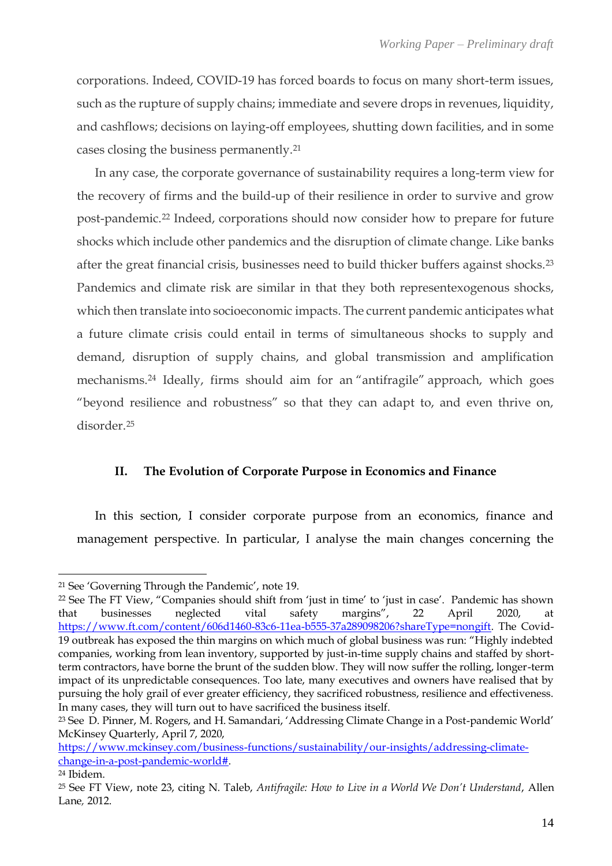corporations. Indeed, COVID-19 has forced boards to focus on many short-term issues, such as the rupture of supply chains; immediate and severe drops in revenues, liquidity, and cashflows; decisions on laying-off employees, shutting down facilities, and in some cases closing the business permanently.<sup>21</sup>

In any case, the corporate governance of sustainability requires a long-term view for the recovery of firms and the build-up of their resilience in order to survive and grow post-pandemic.<sup>22</sup> Indeed, corporations should now consider how to prepare for future shocks which include other pandemics and the disruption of climate change. Like banks after the great financial crisis, businesses need to build thicker buffers against shocks.<sup>23</sup> Pandemics and climate risk are similar in that they both representexogenous shocks, which then translate into socioeconomic impacts. The current pandemic anticipates what a future climate crisis could entail in terms of simultaneous shocks to supply and demand, disruption of supply chains, and global transmission and amplification mechanisms. <sup>24</sup> Ideally, firms should aim for an ["antifragile"](https://www.ft.com/content/a49f8514-3329-11e2-8e44-00144feabdc0) approach, which goes "beyond resilience and robustness" so that they can adapt to, and even thrive on, disorder<sup>25</sup>

## **II. The Evolution of Corporate Purpose in Economics and Finance**

In this section, I consider corporate purpose from an economics, finance and management perspective. In particular, I analyse the main changes concerning the

<sup>21</sup> See 'Governing Through the Pandemic', note 19.

<sup>22</sup> See [The FT View,](https://www.ft.com/ft-view) "Companies should shift from 'just in time' to 'just in case'. Pandemic has shown that businesses neglected vital safety margins", 22 April 2020, at [https://www.ft.com/content/606d1460-83c6-11ea-b555-37a289098206?shareType=nongift.](https://www.ft.com/content/606d1460-83c6-11ea-b555-37a289098206?shareType=nongift) The Covid-19 outbreak has exposed the thin margins on which much of global business was run: "Highly indebted companies, working from lean inventory, supported by just-in-time supply chains and staffed by shortterm contractors, have borne the brunt of the sudden blow. They will now suffer the rolling, longer-term impact of its unpredictable consequences. Too late, many executives and owners have realised that by pursuing the holy grail of ever greater efficiency, they sacrificed robustness, resilience and effectiveness. In many cases, they will turn out to have sacrificed the business itself.

<sup>23</sup> See [D. Pinner,](https://www.mckinsey.com/our-people/dickon-pinner) [M. Rogers,](https://www.mckinsey.com/our-people/matt-rogers) and [H. Samandari](https://www.mckinsey.com/our-people/hamid-samandari), 'Addressing Climate Change in a Post-pandemic World' McKinsey Quarterly, April 7, 2020,

[https://www.mckinsey.com/business-functions/sustainability/our-insights/addressing-climate](https://www.mckinsey.com/business-functions/sustainability/our-insights/addressing-climate-change-in-a-post-pandemic-world)[change-in-a-post-pandemic-world#.](https://www.mckinsey.com/business-functions/sustainability/our-insights/addressing-climate-change-in-a-post-pandemic-world)

<sup>24</sup> Ibidem.

<sup>25</sup> See FT View, note 23, citing N. Taleb, *Antifragile: How to Live in a World We Don't Understand*, Allen Lane*,* 2012.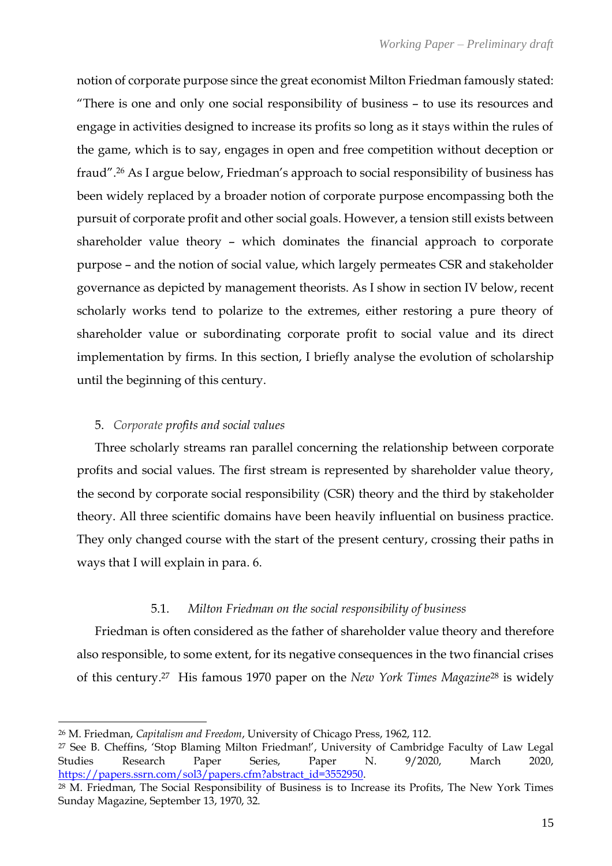notion of corporate purpose since the great economist Milton Friedman famously stated: "There is one and only one social responsibility of business – to use its resources and engage in activities designed to increase its profits so long as it stays within the rules of the game, which is to say, engages in open and free competition without deception or fraud".<sup>26</sup> As I argue below, Friedman's approach to social responsibility of business has been widely replaced by a broader notion of corporate purpose encompassing both the pursuit of corporate profit and other social goals. However, a tension still exists between shareholder value theory – which dominates the financial approach to corporate purpose – and the notion of social value, which largely permeates CSR and stakeholder governance as depicted by management theorists. As I show in section IV below, recent scholarly works tend to polarize to the extremes, either restoring a pure theory of shareholder value or subordinating corporate profit to social value and its direct implementation by firms. In this section, I briefly analyse the evolution of scholarship until the beginning of this century.

## 5. *Corporate profits and social values*

Three scholarly streams ran parallel concerning the relationship between corporate profits and social values. The first stream is represented by shareholder value theory, the second by corporate social responsibility (CSR) theory and the third by stakeholder theory. All three scientific domains have been heavily influential on business practice. They only changed course with the start of the present century, crossing their paths in ways that I will explain in para. 6.

## 5.1. *Milton Friedman on the social responsibility of business*

Friedman is often considered as the father of shareholder value theory and therefore also responsible, to some extent, for its negative consequences in the two financial crises of this century. <sup>27</sup> His famous 1970 paper on the *New York Times Magazine*<sup>28</sup> is widely

<sup>26</sup> M. Friedman, *Capitalism and Freedom*, University of Chicago Press, 1962, 112.

<sup>27</sup> See B. Cheffins, 'Stop Blaming Milton Friedman!', University of Cambridge Faculty of Law Legal Studies Research Paper Series, Paper N. 9/2020, March 2020, [https://papers.ssrn.com/sol3/papers.cfm?abstract\\_id=3552950.](https://papers.ssrn.com/sol3/papers.cfm?abstract_id=3552950)

<sup>28</sup> M. Friedman, The Social Responsibility of Business is to Increase its Profits, The New York Times Sunday Magazine, September 13, 1970, 32.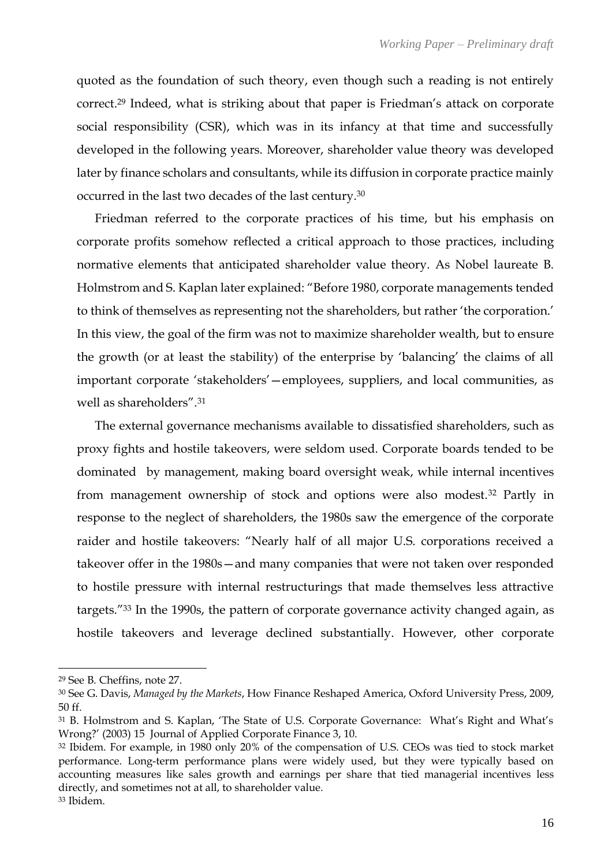quoted as the foundation of such theory, even though such a reading is not entirely correct. <sup>29</sup> Indeed, what is striking about that paper is Friedman's attack on corporate social responsibility (CSR), which was in its infancy at that time and successfully developed in the following years. Moreover, shareholder value theory was developed later by finance scholars and consultants, while its diffusion in corporate practice mainly occurred in the last two decades of the last century.<sup>30</sup>

Friedman referred to the corporate practices of his time, but his emphasis on corporate profits somehow reflected a critical approach to those practices, including normative elements that anticipated shareholder value theory. As Nobel laureate B. Holmstrom and S. Kaplan later explained: "Before 1980, corporate managements tended to think of themselves as representing not the shareholders, but rather 'the corporation.' In this view, the goal of the firm was not to maximize shareholder wealth, but to ensure the growth (or at least the stability) of the enterprise by 'balancing' the claims of all important corporate 'stakeholders'—employees, suppliers, and local communities, as well as shareholders". 31

The external governance mechanisms available to dissatisfied shareholders, such as proxy fights and hostile takeovers, were seldom used. Corporate boards tended to be dominated by management, making board oversight weak, while internal incentives from management ownership of stock and options were also modest.<sup>32</sup> Partly in response to the neglect of shareholders, the 1980s saw the emergence of the corporate raider and hostile takeovers: "Nearly half of all major U.S. corporations received a takeover offer in the 1980s—and many companies that were not taken over responded to hostile pressure with internal restructurings that made themselves less attractive targets."<sup>33</sup> In the 1990s, the pattern of corporate governance activity changed again, as hostile takeovers and leverage declined substantially. However, other corporate

<sup>29</sup> See B. Cheffins, note 27.

<sup>30</sup> See G. Davis, *Managed by the Markets*, How Finance Reshaped America, Oxford University Press, 2009, 50 ff.

<sup>31</sup> B. Holmstrom and S. Kaplan, 'The State of U.S. Corporate Governance: What's Right and What's Wrong?' (2003) 15 Journal of Applied Corporate Finance 3, 10.

<sup>32</sup> Ibidem. For example, in 1980 only 20% of the compensation of U.S. CEOs was tied to stock market performance. Long-term performance plans were widely used, but they were typically based on accounting measures like sales growth and earnings per share that tied managerial incentives less directly, and sometimes not at all, to shareholder value.

<sup>33</sup> Ibidem.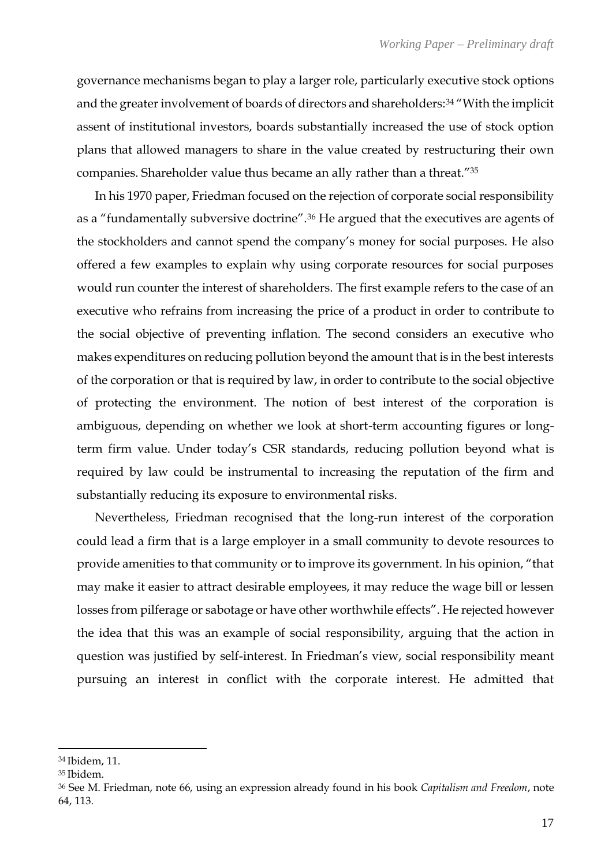governance mechanisms began to play a larger role, particularly executive stock options and the greater involvement of boards of directors and shareholders: <sup>34</sup> "With the implicit assent of institutional investors, boards substantially increased the use of stock option plans that allowed managers to share in the value created by restructuring their own companies. Shareholder value thus became an ally rather than a threat."<sup>35</sup>

In his 1970 paper, Friedman focused on the rejection of corporate social responsibility as a "fundamentally subversive doctrine".<sup>36</sup> He argued that the executives are agents of the stockholders and cannot spend the company's money for social purposes. He also offered a few examples to explain why using corporate resources for social purposes would run counter the interest of shareholders. The first example refers to the case of an executive who refrains from increasing the price of a product in order to contribute to the social objective of preventing inflation. The second considers an executive who makes expenditures on reducing pollution beyond the amount that is in the best interests of the corporation or that is required by law, in order to contribute to the social objective of protecting the environment. The notion of best interest of the corporation is ambiguous, depending on whether we look at short-term accounting figures or longterm firm value. Under today's CSR standards, reducing pollution beyond what is required by law could be instrumental to increasing the reputation of the firm and substantially reducing its exposure to environmental risks.

Nevertheless, Friedman recognised that the long-run interest of the corporation could lead a firm that is a large employer in a small community to devote resources to provide amenities to that community or to improve its government. In his opinion, "that may make it easier to attract desirable employees, it may reduce the wage bill or lessen losses from pilferage or sabotage or have other worthwhile effects". He rejected however the idea that this was an example of social responsibility, arguing that the action in question was justified by self-interest. In Friedman's view, social responsibility meant pursuing an interest in conflict with the corporate interest. He admitted that

<sup>34</sup> Ibidem, 11.

<sup>35</sup> Ibidem.

<sup>36</sup> See M. Friedman, note 66, using an expression already found in his book *Capitalism and Freedom*, note 64, 113.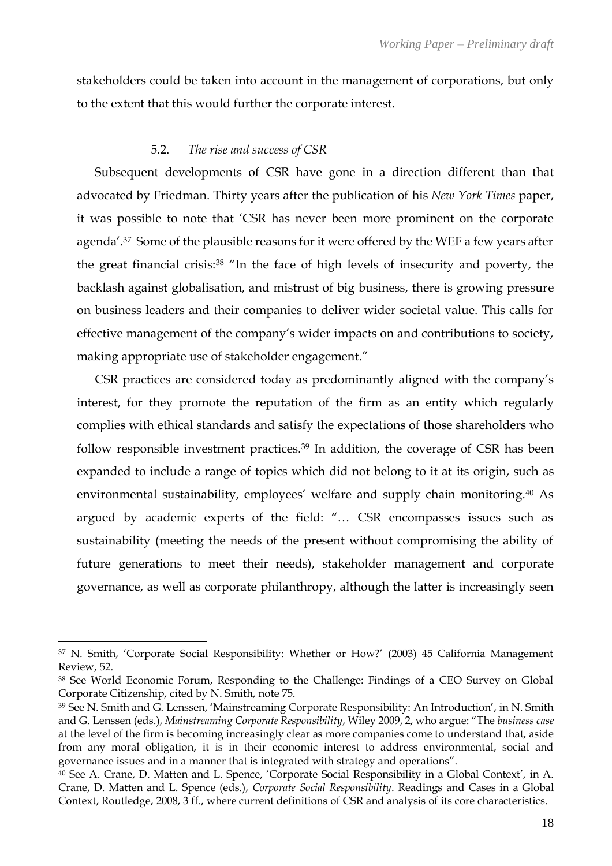stakeholders could be taken into account in the management of corporations, but only to the extent that this would further the corporate interest.

#### 5.2. *The rise and success of CSR*

Subsequent developments of CSR have gone in a direction different than that advocated by Friedman. Thirty years after the publication of his *New York Times* paper, it was possible to note that 'CSR has never been more prominent on the corporate agenda'.37 Some of the plausible reasons for it were offered by the WEF a few years after the great financial crisis: <sup>38</sup> "In the face of high levels of insecurity and poverty, the backlash against globalisation, and mistrust of big business, there is growing pressure on business leaders and their companies to deliver wider societal value. This calls for effective management of the company's wider impacts on and contributions to society, making appropriate use of stakeholder engagement."

CSR practices are considered today as predominantly aligned with the company's interest, for they promote the reputation of the firm as an entity which regularly complies with ethical standards and satisfy the expectations of those shareholders who follow responsible investment practices.<sup>39</sup> In addition, the coverage of CSR has been expanded to include a range of topics which did not belong to it at its origin, such as environmental sustainability, employees' welfare and supply chain monitoring.<sup>40</sup> As argued by academic experts of the field: "… CSR encompasses issues such as sustainability (meeting the needs of the present without compromising the ability of future generations to meet their needs), stakeholder management and corporate governance, as well as corporate philanthropy, although the latter is increasingly seen

<sup>37</sup> N. Smith, 'Corporate Social Responsibility: Whether or How?' (2003) 45 California Management Review, 52.

<sup>38</sup> See World Economic Forum, Responding to the Challenge: Findings of a CEO Survey on Global Corporate Citizenship, cited by N. Smith, note 75.

<sup>39</sup> See N. Smith and G. Lenssen, 'Mainstreaming Corporate Responsibility: An Introduction', in N. Smith and G. Lenssen (eds.), *Mainstreaming Corporate Responsibility*, Wiley 2009, 2, who argue: "The *business case* at the level of the firm is becoming increasingly clear as more companies come to understand that, aside from any moral obligation, it is in their economic interest to address environmental, social and governance issues and in a manner that is integrated with strategy and operations".

<sup>40</sup> See A. Crane, D. Matten and L. Spence, 'Corporate Social Responsibility in a Global Context', in A. Crane, D. Matten and L. Spence (eds.), *Corporate Social Responsibility*. Readings and Cases in a Global Context, Routledge, 2008, 3 ff., where current definitions of CSR and analysis of its core characteristics.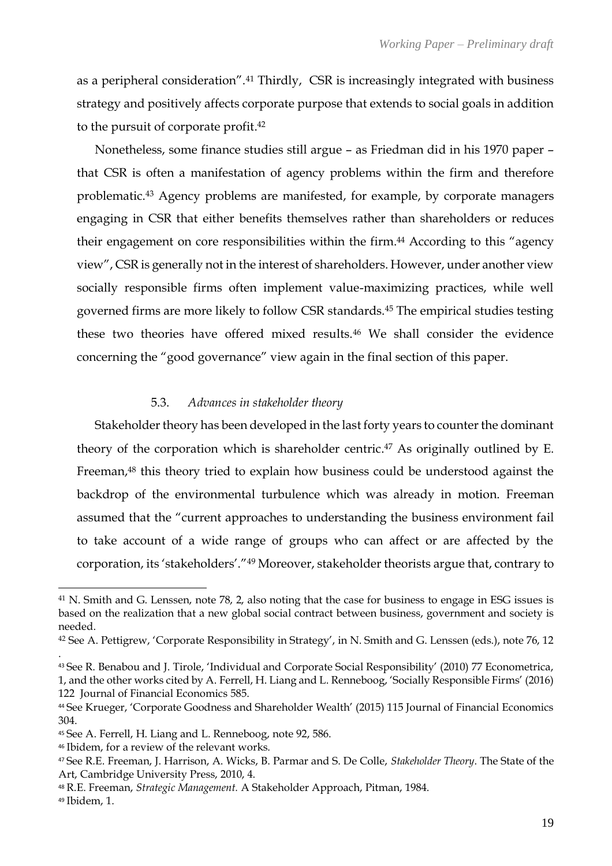as a peripheral consideration".<sup>41</sup> Thirdly, CSR is increasingly integrated with business strategy and positively affects corporate purpose that extends to social goals in addition to the pursuit of corporate profit. 42

Nonetheless, some finance studies still argue – as Friedman did in his 1970 paper – that CSR is often a manifestation of agency problems within the firm and therefore problematic.<sup>43</sup> Agency problems are manifested, for example, by corporate managers engaging in CSR that either benefits themselves rather than shareholders or reduces their engagement on core responsibilities within the firm. <sup>44</sup> According to this "agency view", CSR is generally not in the interest of shareholders. However, under another view socially responsible firms often implement value-maximizing practices, while well governed firms are more likely to follow CSR standards.<sup>45</sup> The empirical studies testing these two theories have offered mixed results.<sup>46</sup> We shall consider the evidence concerning the "good governance" view again in the final section of this paper.

## 5.3. *Advances in stakeholder theory*

Stakeholder theory has been developed in the last forty years to counter the dominant theory of the corporation which is shareholder centric. <sup>47</sup> As originally outlined by E. Freeman,<sup>48</sup> this theory tried to explain how business could be understood against the backdrop of the environmental turbulence which was already in motion. Freeman assumed that the "current approaches to understanding the business environment fail to take account of a wide range of groups who can affect or are affected by the corporation, its 'stakeholders'."<sup>49</sup> Moreover, stakeholder theorists argue that, contrary to

.

<sup>41</sup> N. Smith and G. Lenssen, note 78, 2, also noting that the case for business to engage in ESG issues is based on the realization that a new global social contract between business, government and society is needed.

<sup>42</sup> See A. Pettigrew, 'Corporate Responsibility in Strategy', in N. Smith and G. Lenssen (eds.), note 76, 12

<sup>43</sup> See R. Benabou and J. Tirole, 'Individual and Corporate Social Responsibility' (2010) 77 Econometrica, 1, and the other works cited by A. Ferrell, H. Liang and L. Renneboog, 'Socially Responsible Firms' (2016) 122 Journal of Financial Economics 585.

<sup>44</sup> See Krueger, 'Corporate Goodness and Shareholder Wealth' (2015) 115 Journal of Financial Economics 304.

<sup>45</sup> See A. Ferrell, H. Liang and L. Renneboog, note 92, 586.

<sup>46</sup> Ibidem, for a review of the relevant works.

<sup>47</sup> See R.E. Freeman, J. Harrison, A. Wicks, B. Parmar and S. De Colle, *Stakeholder Theory*. The State of the Art, Cambridge University Press, 2010, 4.

<sup>48</sup> R.E. Freeman, *Strategic Management.* A Stakeholder Approach, Pitman, 1984.

<sup>49</sup> Ibidem, 1.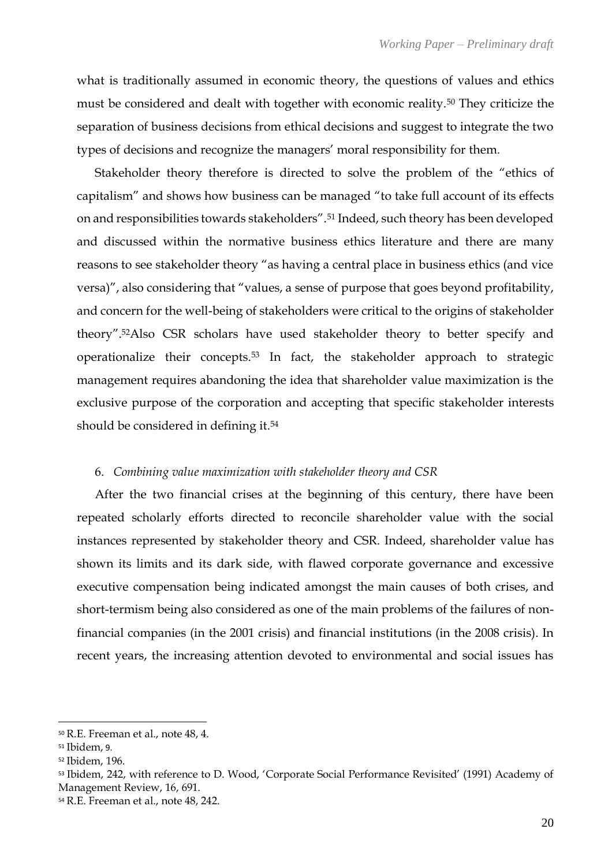what is traditionally assumed in economic theory, the questions of values and ethics must be considered and dealt with together with economic reality.<sup>50</sup> They criticize the separation of business decisions from ethical decisions and suggest to integrate the two types of decisions and recognize the managers' moral responsibility for them.

Stakeholder theory therefore is directed to solve the problem of the "ethics of capitalism" and shows how business can be managed "to take full account of its effects on and responsibilities towards stakeholders".<sup>51</sup> Indeed, such theory has been developed and discussed within the normative business ethics literature and there are many reasons to see stakeholder theory "as having a central place in business ethics (and vice versa)", also considering that "values, a sense of purpose that goes beyond profitability, and concern for the well-being of stakeholders were critical to the origins of stakeholder theory".52Also CSR scholars have used stakeholder theory to better specify and operationalize their concepts.<sup>53</sup> In fact, the stakeholder approach to strategic management requires abandoning the idea that shareholder value maximization is the exclusive purpose of the corporation and accepting that specific stakeholder interests should be considered in defining it.<sup>54</sup>

## 6. *Combining value maximization with stakeholder theory and CSR*

After the two financial crises at the beginning of this century, there have been repeated scholarly efforts directed to reconcile shareholder value with the social instances represented by stakeholder theory and CSR. Indeed, shareholder value has shown its limits and its dark side, with flawed corporate governance and excessive executive compensation being indicated amongst the main causes of both crises, and short-termism being also considered as one of the main problems of the failures of nonfinancial companies (in the 2001 crisis) and financial institutions (in the 2008 crisis). In recent years, the increasing attention devoted to environmental and social issues has

<sup>50</sup> R.E. Freeman et al., note 48, 4.

<sup>51</sup> Ibidem, 9.

<sup>52</sup> Ibidem, 196.

<sup>53</sup> Ibidem, 242, with reference to D. Wood, 'Corporate Social Performance Revisited' (1991) Academy of Management Review, 16, 691.

<sup>54</sup> R.E. Freeman et al., note 48, 242.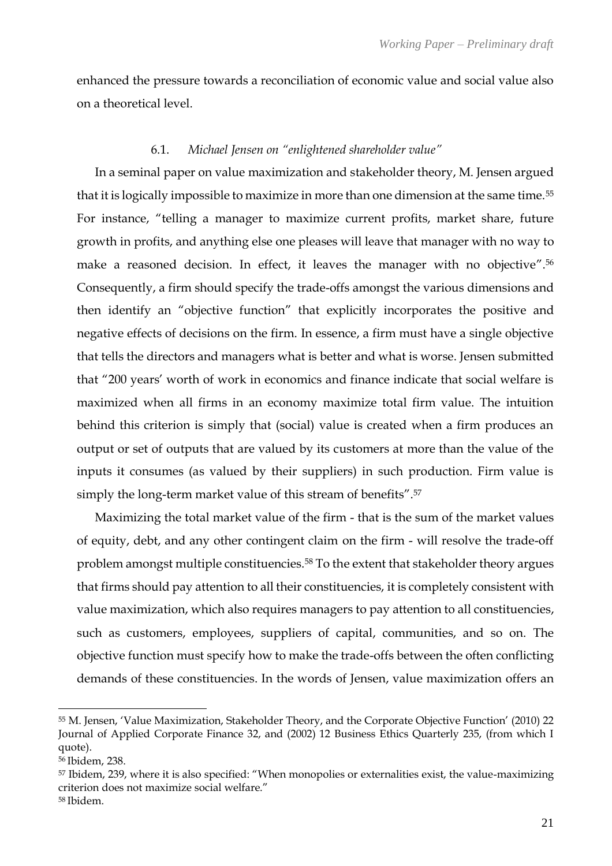enhanced the pressure towards a reconciliation of economic value and social value also on a theoretical level.

## 6.1. *Michael Jensen on "enlightened shareholder value"*

In a seminal paper on value maximization and stakeholder theory, M. Jensen argued that it is logically impossible to maximize in more than one dimension at the same time.<sup>55</sup> For instance, "telling a manager to maximize current profits, market share, future growth in profits, and anything else one pleases will leave that manager with no way to make a reasoned decision. In effect, it leaves the manager with no objective". 56 Consequently, a firm should specify the trade-offs amongst the various dimensions and then identify an "objective function" that explicitly incorporates the positive and negative effects of decisions on the firm. In essence, a firm must have a single objective that tells the directors and managers what is better and what is worse. Jensen submitted that "200 years' worth of work in economics and finance indicate that social welfare is maximized when all firms in an economy maximize total firm value. The intuition behind this criterion is simply that (social) value is created when a firm produces an output or set of outputs that are valued by its customers at more than the value of the inputs it consumes (as valued by their suppliers) in such production. Firm value is simply the long-term market value of this stream of benefits". 57

Maximizing the total market value of the firm - that is the sum of the market values of equity, debt, and any other contingent claim on the firm - will resolve the trade-off problem amongst multiple constituencies.<sup>58</sup> To the extent that stakeholder theory argues that firms should pay attention to all their constituencies, it is completely consistent with value maximization, which also requires managers to pay attention to all constituencies, such as customers, employees, suppliers of capital, communities, and so on. The objective function must specify how to make the trade-offs between the often conflicting demands of these constituencies. In the words of Jensen, value maximization offers an

<sup>55</sup> M. Jensen, 'Value Maximization, Stakeholder Theory, and the Corporate Objective Function' (2010) 22 Journal of Applied Corporate Finance 32, and (2002) 12 Business Ethics Quarterly 235, (from which I quote).

<sup>56</sup> Ibidem, 238.

<sup>57</sup> Ibidem, 239, where it is also specified: "When monopolies or externalities exist, the value-maximizing criterion does not maximize social welfare."

<sup>58</sup> Ibidem.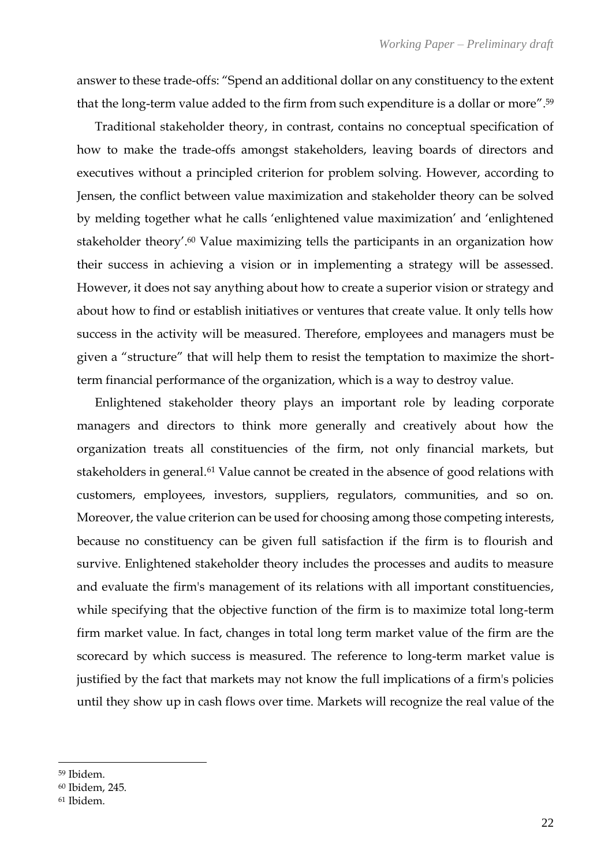answer to these trade-offs: "Spend an additional dollar on any constituency to the extent that the long-term value added to the firm from such expenditure is a dollar or more". 59

Traditional stakeholder theory, in contrast, contains no conceptual specification of how to make the trade-offs amongst stakeholders, leaving boards of directors and executives without a principled criterion for problem solving. However, according to Jensen, the conflict between value maximization and stakeholder theory can be solved by melding together what he calls 'enlightened value maximization' and 'enlightened stakeholder theory'. <sup>60</sup> Value maximizing tells the participants in an organization how their success in achieving a vision or in implementing a strategy will be assessed. However, it does not say anything about how to create a superior vision or strategy and about how to find or establish initiatives or ventures that create value. It only tells how success in the activity will be measured. Therefore, employees and managers must be given a "structure" that will help them to resist the temptation to maximize the shortterm financial performance of the organization, which is a way to destroy value.

Enlightened stakeholder theory plays an important role by leading corporate managers and directors to think more generally and creatively about how the organization treats all constituencies of the firm, not only financial markets, but stakeholders in general.<sup>61</sup> Value cannot be created in the absence of good relations with customers, employees, investors, suppliers, regulators, communities, and so on. Moreover, the value criterion can be used for choosing among those competing interests, because no constituency can be given full satisfaction if the firm is to flourish and survive. Enlightened stakeholder theory includes the processes and audits to measure and evaluate the firm's management of its relations with all important constituencies, while specifying that the objective function of the firm is to maximize total long-term firm market value. In fact, changes in total long term market value of the firm are the scorecard by which success is measured. The reference to long-term market value is justified by the fact that markets may not know the full implications of a firm's policies until they show up in cash flows over time. Markets will recognize the real value of the

<sup>59</sup> Ibidem.

<sup>60</sup> Ibidem, 245.

<sup>61</sup> Ibidem.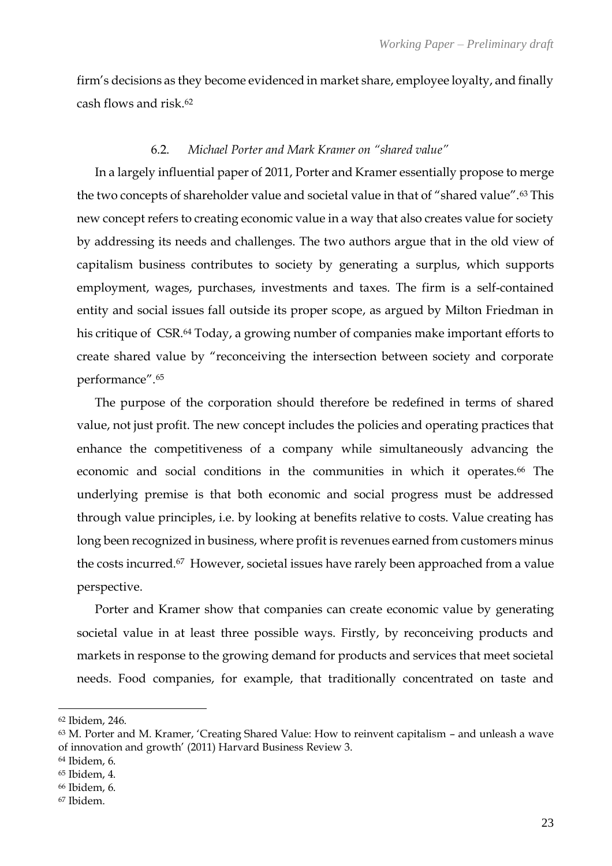firm's decisions as they become evidenced in market share, employee loyalty, and finally cash flows and risk.<sup>62</sup>

## 6.2. *Michael Porter and Mark Kramer on "shared value"*

In a largely influential paper of 2011, Porter and Kramer essentially propose to merge the two concepts of shareholder value and societal value in that of "shared value".<sup>63</sup> This new concept refers to creating economic value in a way that also creates value for society by addressing its needs and challenges. The two authors argue that in the old view of capitalism business contributes to society by generating a surplus, which supports employment, wages, purchases, investments and taxes. The firm is a self-contained entity and social issues fall outside its proper scope, as argued by Milton Friedman in his critique of CSR.<sup>64</sup> Today, a growing number of companies make important efforts to create shared value by "reconceiving the intersection between society and corporate performance". 65

The purpose of the corporation should therefore be redefined in terms of shared value, not just profit. The new concept includes the policies and operating practices that enhance the competitiveness of a company while simultaneously advancing the economic and social conditions in the communities in which it operates.<sup>66</sup> The underlying premise is that both economic and social progress must be addressed through value principles, i.e. by looking at benefits relative to costs. Value creating has long been recognized in business, where profit is revenues earned from customers minus the costs incurred.67 However, societal issues have rarely been approached from a value perspective.

Porter and Kramer show that companies can create economic value by generating societal value in at least three possible ways. Firstly, by reconceiving products and markets in response to the growing demand for products and services that meet societal needs. Food companies, for example, that traditionally concentrated on taste and

<sup>62</sup> Ibidem, 246.

<sup>63</sup> M. Porter and M. Kramer, 'Creating Shared Value: How to reinvent capitalism – and unleash a wave of innovation and growth' (2011) Harvard Business Review 3.

<sup>64</sup> Ibidem, 6.

<sup>65</sup> Ibidem, 4.

<sup>66</sup> Ibidem, 6.

<sup>67</sup> Ibidem.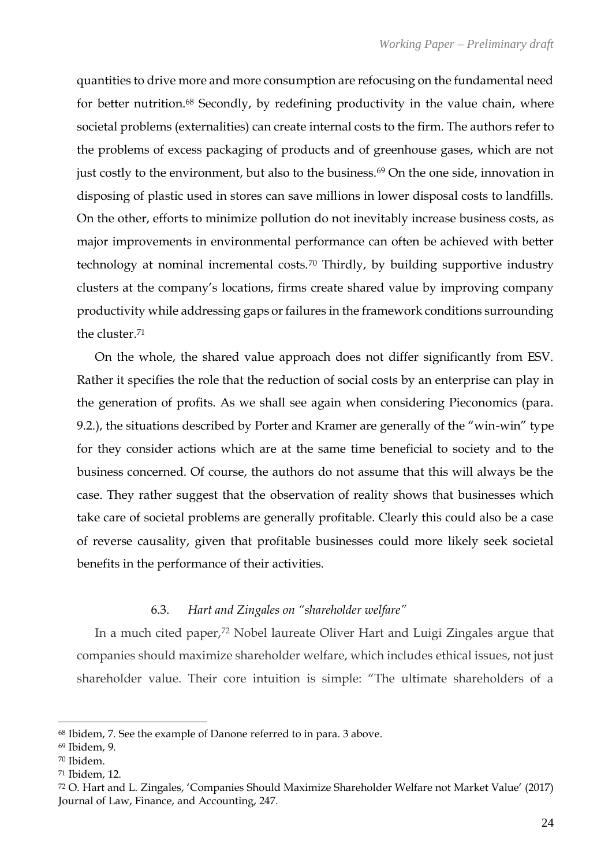quantities to drive more and more consumption are refocusing on the fundamental need for better nutrition.<sup>68</sup> Secondly, by redefining productivity in the value chain, where societal problems (externalities) can create internal costs to the firm. The authors refer to the problems of excess packaging of products and of greenhouse gases, which are not just costly to the environment, but also to the business.<sup>69</sup> On the one side, innovation in disposing of plastic used in stores can save millions in lower disposal costs to landfills. On the other, efforts to minimize pollution do not inevitably increase business costs, as major improvements in environmental performance can often be achieved with better technology at nominal incremental costs.<sup>70</sup> Thirdly, by building supportive industry clusters at the company's locations, firms create shared value by improving company productivity while addressing gaps or failures in the framework conditions surrounding the cluster.<sup>71</sup>

On the whole, the shared value approach does not differ significantly from ESV. Rather it specifies the role that the reduction of social costs by an enterprise can play in the generation of profits. As we shall see again when considering Pieconomics (para. 9.2.), the situations described by Porter and Kramer are generally of the "win-win" type for they consider actions which are at the same time beneficial to society and to the business concerned. Of course, the authors do not assume that this will always be the case. They rather suggest that the observation of reality shows that businesses which take care of societal problems are generally profitable. Clearly this could also be a case of reverse causality, given that profitable businesses could more likely seek societal benefits in the performance of their activities.

## 6.3. *Hart and Zingales on "shareholder welfare"*

In a much cited paper,<sup>72</sup> Nobel laureate Oliver Hart and Luigi Zingales argue that companies should maximize shareholder welfare, which includes ethical issues, not just shareholder value. Their core intuition is simple: "The ultimate shareholders of a

<sup>68</sup> Ibidem, 7. See the example of Danone referred to in para. 3 above.

<sup>69</sup> Ibidem, 9.

<sup>70</sup> Ibidem.

<sup>71</sup> Ibidem, 12.

<sup>72</sup> O. Hart and L. Zingales, 'Companies Should Maximize Shareholder Welfare not Market Value' (2017) Journal of Law, Finance, and Accounting, 247.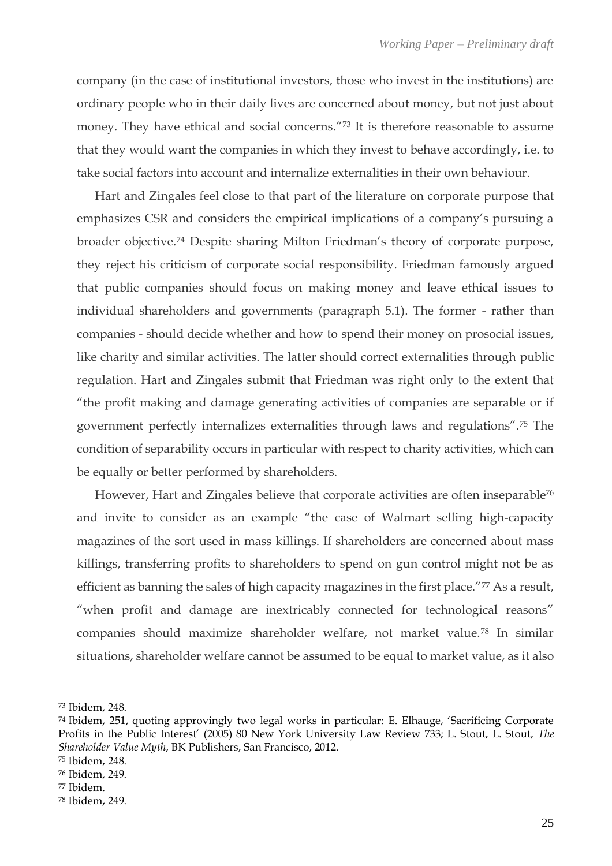company (in the case of institutional investors, those who invest in the institutions) are ordinary people who in their daily lives are concerned about money, but not just about money. They have ethical and social concerns."<sup>73</sup> It is therefore reasonable to assume that they would want the companies in which they invest to behave accordingly, i.e. to take social factors into account and internalize externalities in their own behaviour.

Hart and Zingales feel close to that part of the literature on corporate purpose that emphasizes CSR and considers the empirical implications of a company's pursuing a broader objective.<sup>74</sup> Despite sharing Milton Friedman's theory of corporate purpose, they reject his criticism of corporate social responsibility. Friedman famously argued that public companies should focus on making money and leave ethical issues to individual shareholders and governments (paragraph 5.1). The former - rather than companies - should decide whether and how to spend their money on prosocial issues, like charity and similar activities. The latter should correct externalities through public regulation. Hart and Zingales submit that Friedman was right only to the extent that "the profit making and damage generating activities of companies are separable or if government perfectly internalizes externalities through laws and regulations".<sup>75</sup> The condition of separability occurs in particular with respect to charity activities, which can be equally or better performed by shareholders.

However, Hart and Zingales believe that corporate activities are often inseparable<sup>76</sup> and invite to consider as an example "the case of Walmart selling high-capacity magazines of the sort used in mass killings. If shareholders are concerned about mass killings, transferring profits to shareholders to spend on gun control might not be as efficient as banning the sales of high capacity magazines in the first place."<sup>77</sup> As a result, "when profit and damage are inextricably connected for technological reasons" companies should maximize shareholder welfare, not market value.<sup>78</sup> In similar situations, shareholder welfare cannot be assumed to be equal to market value, as it also

<sup>75</sup> Ibidem, 248.

<sup>73</sup> Ibidem, 248.

<sup>74</sup> Ibidem, 251, quoting approvingly two legal works in particular: E. Elhauge, 'Sacrificing Corporate Profits in the Public Interest' (2005) 80 New York University Law Review 733; L. Stout, L. Stout, *The Shareholder Value Myth*, BK Publishers, San Francisco, 2012.

<sup>76</sup> Ibidem, 249.

<sup>77</sup> Ibidem.

<sup>78</sup> Ibidem, 249.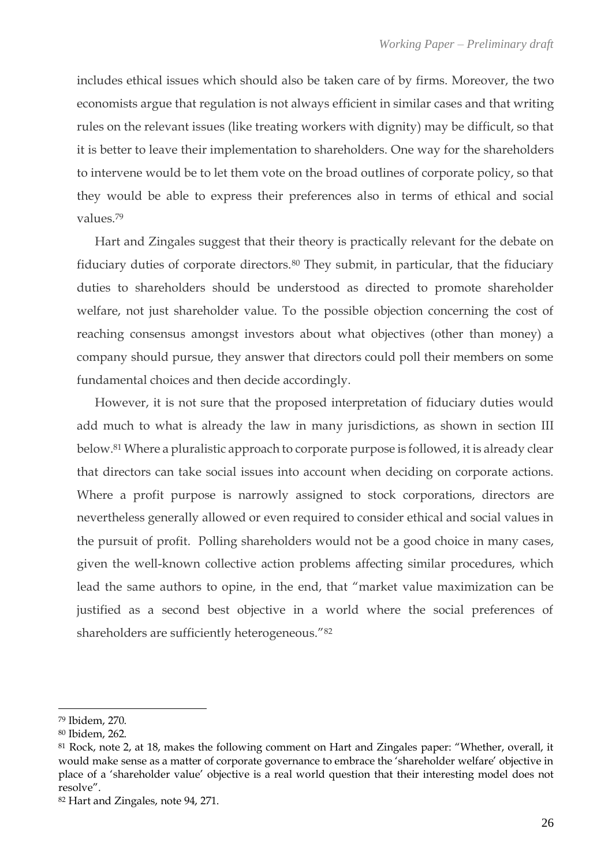includes ethical issues which should also be taken care of by firms. Moreover, the two economists argue that regulation is not always efficient in similar cases and that writing rules on the relevant issues (like treating workers with dignity) may be difficult, so that it is better to leave their implementation to shareholders. One way for the shareholders to intervene would be to let them vote on the broad outlines of corporate policy, so that they would be able to express their preferences also in terms of ethical and social values.<sup>79</sup>

Hart and Zingales suggest that their theory is practically relevant for the debate on fiduciary duties of corporate directors.<sup>80</sup> They submit, in particular, that the fiduciary duties to shareholders should be understood as directed to promote shareholder welfare, not just shareholder value. To the possible objection concerning the cost of reaching consensus amongst investors about what objectives (other than money) a company should pursue, they answer that directors could poll their members on some fundamental choices and then decide accordingly.

However, it is not sure that the proposed interpretation of fiduciary duties would add much to what is already the law in many jurisdictions, as shown in section III below. <sup>81</sup> Where a pluralistic approach to corporate purpose is followed, it is already clear that directors can take social issues into account when deciding on corporate actions. Where a profit purpose is narrowly assigned to stock corporations, directors are nevertheless generally allowed or even required to consider ethical and social values in the pursuit of profit. Polling shareholders would not be a good choice in many cases, given the well-known collective action problems affecting similar procedures, which lead the same authors to opine, in the end, that "market value maximization can be justified as a second best objective in a world where the social preferences of shareholders are sufficiently heterogeneous."<sup>82</sup>

<sup>79</sup> Ibidem, 270.

<sup>80</sup> Ibidem, 262.

<sup>81</sup> Rock, note 2, at 18, makes the following comment on Hart and Zingales paper: "Whether, overall, it would make sense as a matter of corporate governance to embrace the 'shareholder welfare' objective in place of a 'shareholder value' objective is a real world question that their interesting model does not resolve".

<sup>82</sup> Hart and Zingales, note 94, 271.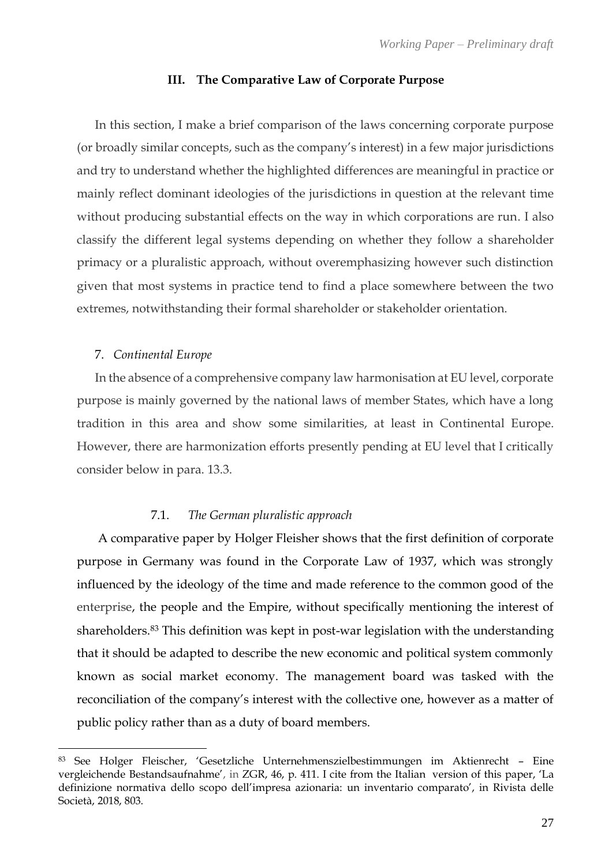#### **III. The Comparative Law of Corporate Purpose**

In this section, I make a brief comparison of the laws concerning corporate purpose (or broadly similar concepts, such as the company's interest) in a few major jurisdictions and try to understand whether the highlighted differences are meaningful in practice or mainly reflect dominant ideologies of the jurisdictions in question at the relevant time without producing substantial effects on the way in which corporations are run. I also classify the different legal systems depending on whether they follow a shareholder primacy or a pluralistic approach, without overemphasizing however such distinction given that most systems in practice tend to find a place somewhere between the two extremes, notwithstanding their formal shareholder or stakeholder orientation.

#### 7. *Continental Europe*

In the absence of a comprehensive company law harmonisation at EU level, corporate purpose is mainly governed by the national laws of member States, which have a long tradition in this area and show some similarities, at least in Continental Europe. However, there are harmonization efforts presently pending at EU level that I critically consider below in para. 13.3.

## 7.1. *The German pluralistic approach*

A comparative paper by Holger Fleisher shows that the first definition of corporate purpose in Germany was found in the Corporate Law of 1937, which was strongly influenced by the ideology of the time and made reference to the common good of the enterprise, the people and the Empire, without specifically mentioning the interest of shareholders.<sup>83</sup> This definition was kept in post-war legislation with the understanding that it should be adapted to describe the new economic and political system commonly known as social market economy. The management board was tasked with the reconciliation of the company's interest with the collective one, however as a matter of public policy rather than as a duty of board members.

<sup>83</sup> See Holger Fleischer, 'Gesetzliche Unternehmenszielbestimmungen im Aktienrecht – Eine vergleichende Bestandsaufnahme', in ZGR, 46, p. 411. I cite from the Italian version of this paper, 'La definizione normativa dello scopo dell'impresa azionaria: un inventario comparato', in Rivista delle Società, 2018, 803.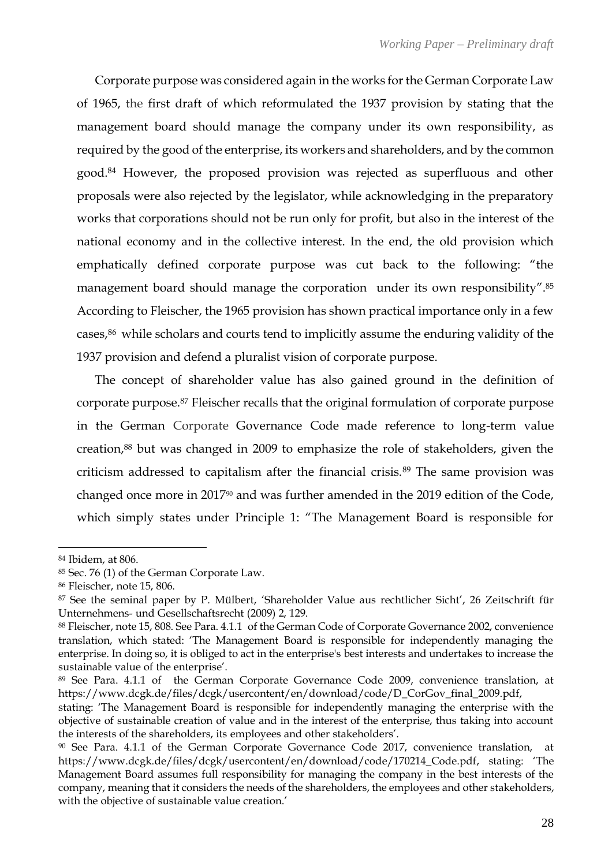Corporate purpose was considered again in the works for the German Corporate Law of 1965, the first draft of which reformulated the 1937 provision by stating that the management board should manage the company under its own responsibility, as required by the good of the enterprise, its workers and shareholders, and by the common good.<sup>84</sup> However, the proposed provision was rejected as superfluous and other proposals were also rejected by the legislator, while acknowledging in the preparatory works that corporations should not be run only for profit, but also in the interest of the national economy and in the collective interest. In the end, the old provision which emphatically defined corporate purpose was cut back to the following: "the management board should manage the corporation under its own responsibility".<sup>85</sup> According to Fleischer, the 1965 provision has shown practical importance only in a few cases,<sup>86</sup> while scholars and courts tend to implicitly assume the enduring validity of the 1937 provision and defend a pluralist vision of corporate purpose.

The concept of shareholder value has also gained ground in the definition of corporate purpose.<sup>87</sup> Fleischer recalls that the original formulation of corporate purpose in the German Corporate Governance Code made reference to long-term value creation,<sup>88</sup> but was changed in 2009 to emphasize the role of stakeholders, given the criticism addressed to capitalism after the financial crisis.<sup>89</sup> The same provision was changed once more in 2017<sup>90</sup> and was further amended in the 2019 edition of the Code, which simply states under Principle 1: "The Management Board is responsible for

<sup>84</sup> Ibidem, at 806.

<sup>85</sup> Sec. 76 (1) of the German Corporate Law.

<sup>86</sup> Fleischer, note 15, 806.

<sup>87</sup> See the seminal paper by P. Mülbert, 'Shareholder Value aus rechtlicher Sicht', 26 Zeitschrift für Unternehmens- und Gesellschaftsrecht (2009) 2, 129.

<sup>88</sup> Fleischer, note 15, 808. See Para. 4.1.1 of the German Code of Corporate Governance 2002, convenience translation, which stated: 'The Management Board is responsible for independently managing the enterprise. In doing so, it is obliged to act in the enterprise's best interests and undertakes to increase the sustainable value of the enterprise'.

<sup>89</sup> See Para. 4.1.1 of the German Corporate Governance Code 2009, convenience translation, at [https://www.dcgk.de/files/dcgk/usercontent/en/download/code/D\\_CorGov\\_final\\_2009.pdf,](https://www.dcgk.de/files/dcgk/usercontent/en/download/code/D_CorGov_final_2009.pdf)

stating: 'The Management Board is responsible for independently managing the enterprise with the objective of sustainable creation of value and in the interest of the enterprise, thus taking into account the interests of the shareholders, its employees and other stakeholders'.

<sup>90</sup> See Para. 4.1.1 of the German Corporate Governance Code 2017, convenience translation, at [https://www.dcgk.de/files/dcgk/usercontent/en/download/code/170214\\_Code.pdf](https://www.dcgk.de/files/dcgk/usercontent/en/download/code/170214_Code.pdf), stating: 'The Management Board assumes full responsibility for managing the company in the best interests of the company, meaning that it considers the needs of the shareholders, the employees and other stakeholders, with the objective of sustainable value creation.'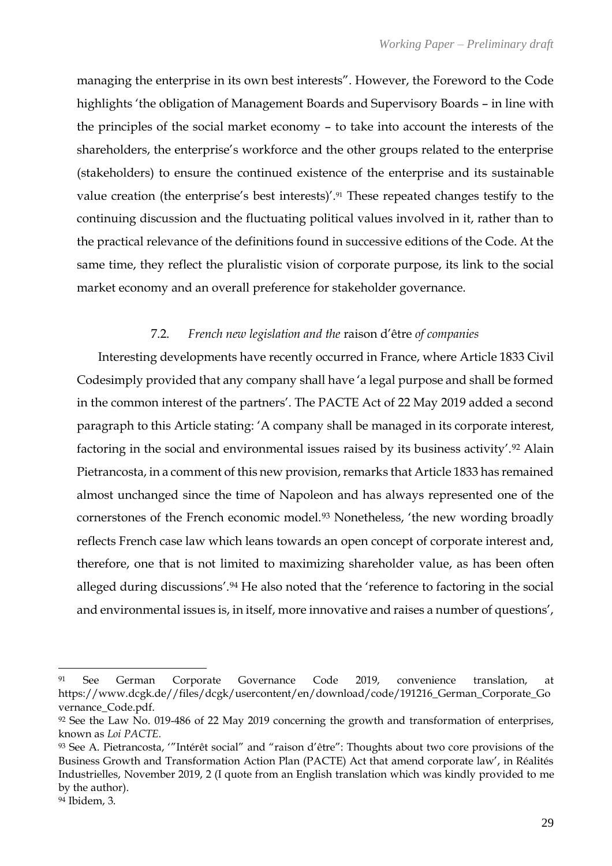managing the enterprise in its own best interests". However, the Foreword to the Code highlights 'the obligation of Management Boards and Supervisory Boards – in line with the principles of the social market economy – to take into account the interests of the shareholders, the enterprise's workforce and the other groups related to the enterprise (stakeholders) to ensure the continued existence of the enterprise and its sustainable value creation (the enterprise's best interests)'.<sup>91</sup> These repeated changes testify to the continuing discussion and the fluctuating political values involved in it, rather than to the practical relevance of the definitions found in successive editions of the Code. At the same time, they reflect the pluralistic vision of corporate purpose, its link to the social market economy and an overall preference for stakeholder governance.

## 7.2. *French new legislation and the* raison d'être *of companies*

Interesting developments have recently occurred in France, where Article 1833 Civil Codesimply provided that any company shall have 'a legal purpose and shall be formed in the common interest of the partners'. The PACTE Act of 22 May 2019 added a second paragraph to this Article stating: 'A company shall be managed in its corporate interest, factoring in the social and environmental issues raised by its business activity'.<sup>92</sup> Alain Pietrancosta, in a comment of this new provision, remarks that Article 1833 has remained almost unchanged since the time of Napoleon and has always represented one of the cornerstones of the French economic model.<sup>93</sup> Nonetheless, 'the new wording broadly reflects French case law which leans towards an open concept of corporate interest and, therefore, one that is not limited to maximizing shareholder value, as has been often alleged during discussions'.<sup>94</sup> He also noted that the 'reference to factoring in the social and environmental issues is, in itself, more innovative and raises a number of questions',

<sup>91</sup> See German Corporate Governance Code 2019, convenience translation, at [https://www.dcgk.de//files/dcgk/usercontent/en/download/code/191216\\_German\\_Corporate\\_Go](https://www.dcgk.de/files/dcgk/usercontent/en/download/code/191216_German_Corporate_Governance_Code.pdf) [vernance\\_Code.pdf.](https://www.dcgk.de/files/dcgk/usercontent/en/download/code/191216_German_Corporate_Governance_Code.pdf)

<sup>92</sup> See the Law No. 019-486 of 22 May 2019 concerning the growth and transformation of enterprises, known as *Loi PACTE.* 

<sup>93</sup> See A. Pietrancosta, '"Intérêt social" and "raison d'être": Thoughts about two core provisions of the Business Growth and Transformation Action Plan (PACTE) Act that amend corporate law', in Réalités Industrielles, November 2019, 2 (I quote from an English translation which was kindly provided to me by the author).

<sup>94</sup> Ibidem, 3.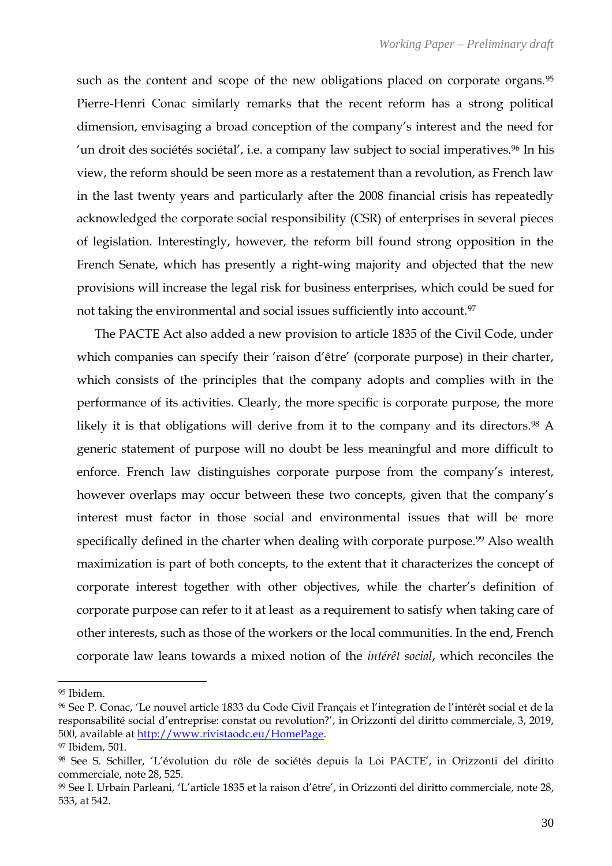such as the content and scope of the new obligations placed on corporate organs.<sup>95</sup> Pierre-Henri Conac similarly remarks that the recent reform has a strong political dimension, envisaging a broad conception of the company's interest and the need for 'un droit des sociétés sociétal', i.e. a company law subject to social imperatives.<sup>96</sup> In his view, the reform should be seen more as a restatement than a revolution, as French law in the last twenty years and particularly after the 2008 financial crisis has repeatedly acknowledged the corporate social responsibility (CSR) of enterprises in several pieces of legislation. Interestingly, however, the reform bill found strong opposition in the French Senate, which has presently a right-wing majority and objected that the new provisions will increase the legal risk for business enterprises, which could be sued for not taking the environmental and social issues sufficiently into account.<sup>97</sup>

The PACTE Act also added a new provision to article 1835 of the Civil Code, under which companies can specify their 'raison d'être' (corporate purpose) in their charter, which consists of the principles that the company adopts and complies with in the performance of its activities. Clearly, the more specific is corporate purpose, the more likely it is that obligations will derive from it to the company and its directors.<sup>98</sup> A generic statement of purpose will no doubt be less meaningful and more difficult to enforce. French law distinguishes corporate purpose from the company's interest, however overlaps may occur between these two concepts, given that the company's interest must factor in those social and environmental issues that will be more specifically defined in the charter when dealing with corporate purpose.<sup>99</sup> Also wealth maximization is part of both concepts, to the extent that it characterizes the concept of corporate interest together with other objectives, while the charter's definition of corporate purpose can refer to it at least as a requirement to satisfy when taking care of other interests, such as those of the workers or the local communities. In the end, French corporate law leans towards a mixed notion of the *intérêt social*, which reconciles the

<sup>95</sup> Ibidem.

<sup>96</sup> See P. Conac, 'Le nouvel article 1833 du Code Civil Français et l'integration de l'intérêt social et de la responsabilité social d'entreprise: constat ou revolution?', in Orizzonti del diritto commerciale, 3, 2019, 500, available at [http://www.rivistaodc.eu/HomePage.](http://www.rivistaodc.eu/HomePage)

<sup>97</sup> Ibidem, 501.

<sup>98</sup> See S. Schiller, 'L'évolution du röle de sociétés depuis la Loi PACTE', in Orizzonti del diritto commerciale, note 28, 525.

<sup>99</sup> See I. Urbain Parleani, 'L'article 1835 et la raison d'être', in Orizzonti del diritto commerciale, note 28, 533, at 542.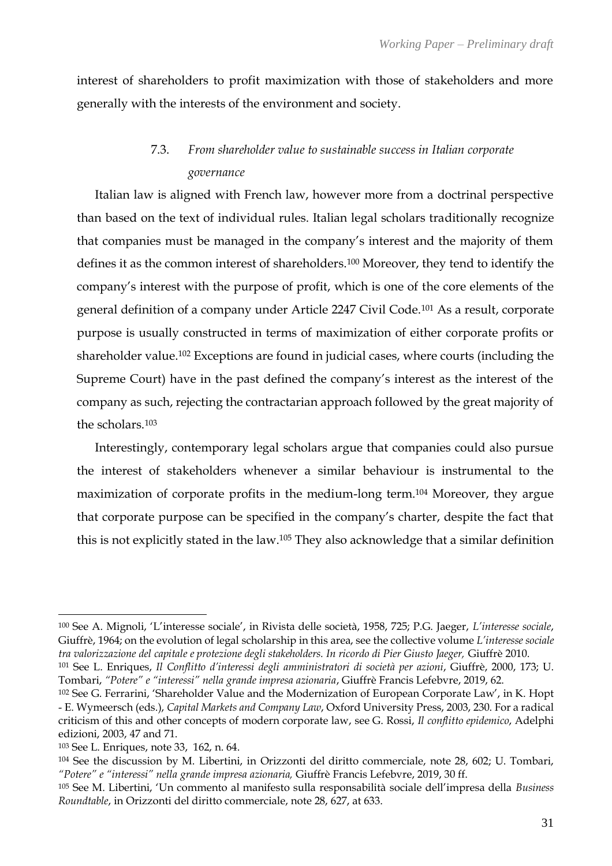interest of shareholders to profit maximization with those of stakeholders and more generally with the interests of the environment and society.

## 7.3. *From shareholder value to sustainable success in Italian corporate governance*

Italian law is aligned with French law, however more from a doctrinal perspective than based on the text of individual rules. Italian legal scholars traditionally recognize that companies must be managed in the company's interest and the majority of them defines it as the common interest of shareholders.<sup>100</sup> Moreover, they tend to identify the company's interest with the purpose of profit, which is one of the core elements of the general definition of a company under Article 2247 Civil Code.<sup>101</sup> As a result, corporate purpose is usually constructed in terms of maximization of either corporate profits or shareholder value.<sup>102</sup> Exceptions are found in judicial cases, where courts (including the Supreme Court) have in the past defined the company's interest as the interest of the company as such, rejecting the contractarian approach followed by the great majority of the scholars.<sup>103</sup>

Interestingly, contemporary legal scholars argue that companies could also pursue the interest of stakeholders whenever a similar behaviour is instrumental to the maximization of corporate profits in the medium-long term.<sup>104</sup> Moreover, they argue that corporate purpose can be specified in the company's charter, despite the fact that this is not explicitly stated in the law.<sup>105</sup> They also acknowledge that a similar definition

<sup>100</sup> See A. Mignoli, 'L'interesse sociale', in Rivista delle società, 1958, 725; P.G. Jaeger, *L'interesse sociale*, Giuffrè, 1964; on the evolution of legal scholarship in this area, see the collective volume *L'interesse sociale tra valorizzazione del capitale e protezione degli stakeholders. In ricordo di Pier Giusto Jaeger,* Giuffrè 2010.

<sup>101</sup> See L. Enriques, *Il Conflitto d'interessi degli amministratori di società per azioni*, Giuffrè, 2000, 173; U. Tombari, *"Potere" e "interessi" nella grande impresa azionaria*, Giuffrè Francis Lefebvre, 2019, 62.

<sup>102</sup> See G. Ferrarini, 'Shareholder Value and the Modernization of European Corporate Law', in K. Hopt - E. Wymeersch (eds.), *Capital Markets and Company Law*, Oxford University Press, 2003, 230. For a radical criticism of this and other concepts of modern corporate law, see G. Rossi, *Il conflitto epidemico*, Adelphi edizioni, 2003, 47 and 71.

<sup>103</sup> See L. Enriques, note 33, 162, n. 64.

<sup>104</sup> See the discussion by M. Libertini, in Orizzonti del diritto commerciale, note 28, 602; U. Tombari, *"Potere" e "interessi" nella grande impresa azionaria,* Giuffrè Francis Lefebvre, 2019, 30 ff.

<sup>105</sup> See M. Libertini, 'Un commento al manifesto sulla responsabilità sociale dell'impresa della *Business Roundtable*, in Orizzonti del diritto commerciale, note 28, 627, at 633.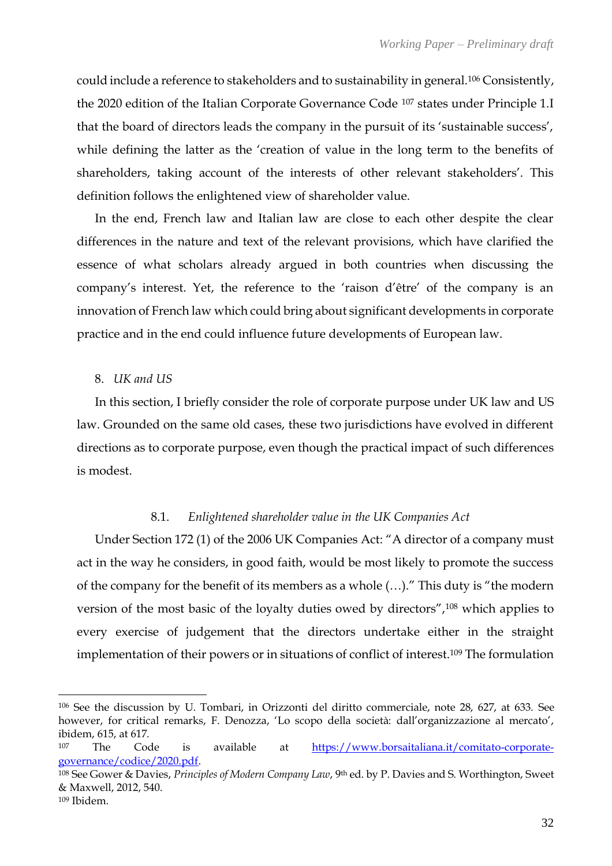could include a reference to stakeholders and to sustainability in general.<sup>106</sup> Consistently, the 2020 edition of the Italian Corporate Governance Code <sup>107</sup> states under Principle 1.I that the board of directors leads the company in the pursuit of its 'sustainable success', while defining the latter as the 'creation of value in the long term to the benefits of shareholders, taking account of the interests of other relevant stakeholders'. This definition follows the enlightened view of shareholder value.

In the end, French law and Italian law are close to each other despite the clear differences in the nature and text of the relevant provisions, which have clarified the essence of what scholars already argued in both countries when discussing the company's interest. Yet, the reference to the 'raison d'être' of the company is an innovation of French law which could bring about significant developments in corporate practice and in the end could influence future developments of European law.

## 8. *UK and US*

In this section, I briefly consider the role of corporate purpose under UK law and US law. Grounded on the same old cases, these two jurisdictions have evolved in different directions as to corporate purpose, even though the practical impact of such differences is modest.

## 8.1. *Enlightened shareholder value in the UK Companies Act*

Under Section 172 (1) of the 2006 UK Companies Act: "A director of a company must act in the way he considers, in good faith, would be most likely to promote the success of the company for the benefit of its members as a whole (…)." This duty is "the modern version of the most basic of the loyalty duties owed by directors",<sup>108</sup> which applies to every exercise of judgement that the directors undertake either in the straight implementation of their powers or in situations of conflict of interest.<sup>109</sup> The formulation

<sup>109</sup> Ibidem.

<sup>106</sup> See the discussion by U. Tombari, in Orizzonti del diritto commerciale, note 28, 627, at 633. See however, for critical remarks, F. Denozza, 'Lo scopo della società: dall'organizzazione al mercato', ibidem, 615, at 617.

<sup>107</sup> The Code is available at [https://www.borsaitaliana.it/comitato-corporate](https://www.borsaitaliana.it/comitato-corporate-governance/codice/2020.pdf)[governance/codice/2020.pdf.](https://www.borsaitaliana.it/comitato-corporate-governance/codice/2020.pdf)

<sup>108</sup> See Gower & Davies, *Principles of Modern Company Law*, 9th ed. by P. Davies and S. Worthington, Sweet & Maxwell, 2012, 540.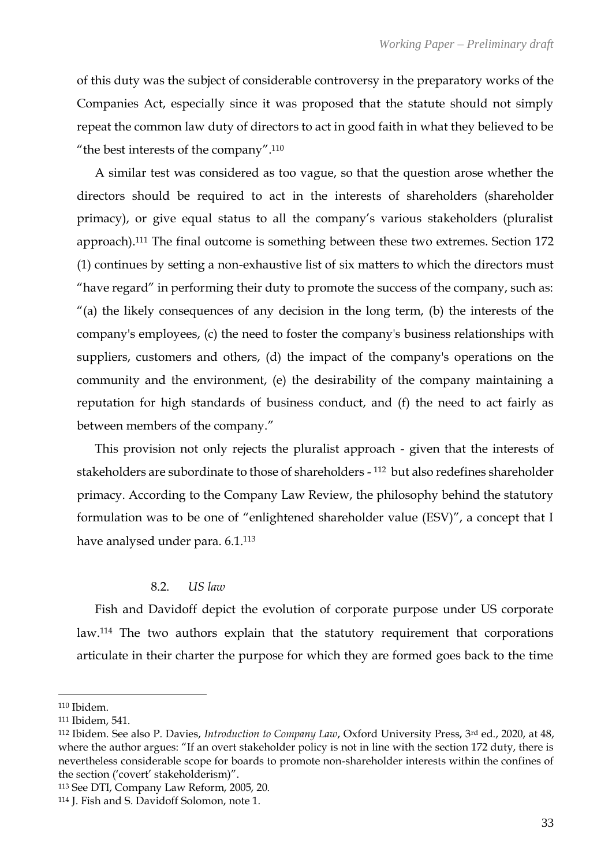of this duty was the subject of considerable controversy in the preparatory works of the Companies Act, especially since it was proposed that the statute should not simply repeat the common law duty of directors to act in good faith in what they believed to be "the best interests of the company".<sup>110</sup>

A similar test was considered as too vague, so that the question arose whether the directors should be required to act in the interests of shareholders (shareholder primacy), or give equal status to all the company's various stakeholders (pluralist approach).<sup>111</sup> The final outcome is something between these two extremes. Section 172 (1) continues by setting a non-exhaustive list of six matters to which the directors must "have regard" in performing their duty to promote the success of the company, such as: "(a) the likely consequences of any decision in the long term, (b) the interests of the company's employees, (c) the need to foster the company's business relationships with suppliers, customers and others, (d) the impact of the company's operations on the community and the environment, (e) the desirability of the company maintaining a reputation for high standards of business conduct, and (f) the need to act fairly as between members of the company."

This provision not only rejects the pluralist approach - given that the interests of stakeholders are subordinate to those of shareholders - <sup>112</sup> but also redefines shareholder primacy. According to the Company Law Review, the philosophy behind the statutory formulation was to be one of "enlightened shareholder value (ESV)", a concept that I have analysed under para. 6.1.<sup>113</sup>

## 8.2. *US law*

Fish and Davidoff depict the evolution of corporate purpose under US corporate law.<sup>114</sup> The two authors explain that the statutory requirement that corporations articulate in their charter the purpose for which they are formed goes back to the time

<sup>110</sup> Ibidem.

<sup>111</sup> Ibidem, 541.

<sup>112</sup> Ibidem. See also P. Davies, *Introduction to Company Law*, Oxford University Press, 3rd ed., 2020, at 48, where the author argues: "If an overt stakeholder policy is not in line with the section 172 duty, there is nevertheless considerable scope for boards to promote non-shareholder interests within the confines of the section ('covert' stakeholderism)".

<sup>113</sup> See DTI, Company Law Reform, 2005, 20.

<sup>114</sup> J. Fish and S. Davidoff Solomon, note 1.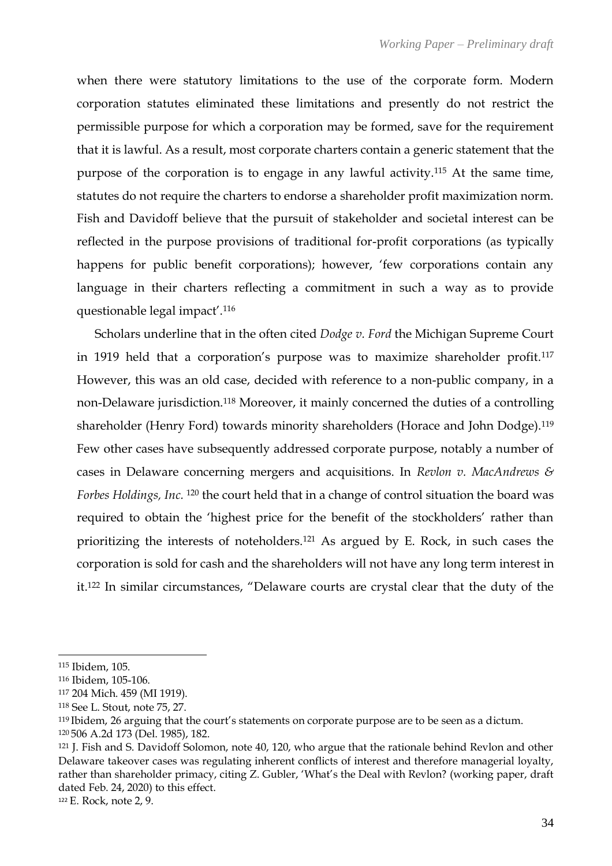when there were statutory limitations to the use of the corporate form. Modern corporation statutes eliminated these limitations and presently do not restrict the permissible purpose for which a corporation may be formed, save for the requirement that it is lawful. As a result, most corporate charters contain a generic statement that the purpose of the corporation is to engage in any lawful activity.<sup>115</sup> At the same time, statutes do not require the charters to endorse a shareholder profit maximization norm. Fish and Davidoff believe that the pursuit of stakeholder and societal interest can be reflected in the purpose provisions of traditional for-profit corporations (as typically happens for public benefit corporations); however, 'few corporations contain any language in their charters reflecting a commitment in such a way as to provide questionable legal impact'.<sup>116</sup>

Scholars underline that in the often cited *Dodge v. Ford* the Michigan Supreme Court in 1919 held that a corporation's purpose was to maximize shareholder profit.<sup>117</sup> However, this was an old case, decided with reference to a non-public company, in a non-Delaware jurisdiction.<sup>118</sup> Moreover, it mainly concerned the duties of a controlling shareholder (Henry Ford) towards minority shareholders (Horace and John Dodge).<sup>119</sup> Few other cases have subsequently addressed corporate purpose, notably a number of cases in Delaware concerning mergers and acquisitions. In *Revlon v. MacAndrews & Forbes Holdings, Inc.* <sup>120</sup> the court held that in a change of control situation the board was required to obtain the 'highest price for the benefit of the stockholders' rather than prioritizing the interests of noteholders.<sup>121</sup> As argued by E. Rock, in such cases the corporation is sold for cash and the shareholders will not have any long term interest in it.<sup>122</sup> In similar circumstances, "Delaware courts are crystal clear that the duty of the

<sup>115</sup> Ibidem, 105.

<sup>116</sup> Ibidem, 105-106.

<sup>117</sup> 204 Mich. 459 (MI 1919).

<sup>118</sup> See L. Stout, note 75, 27.

<sup>119</sup> Ibidem, 26 arguing that the court's statements on corporate purpose are to be seen as a dictum. <sup>120</sup> 506 A.2d 173 (Del. 1985), 182.

<sup>121</sup> J. Fish and S. Davidoff Solomon, note 40, 120, who argue that the rationale behind Revlon and other Delaware takeover cases was regulating inherent conflicts of interest and therefore managerial loyalty, rather than shareholder primacy, citing Z. Gubler, 'What's the Deal with Revlon? (working paper, draft dated Feb. 24, 2020) to this effect.

<sup>122</sup> E. Rock, note 2, 9.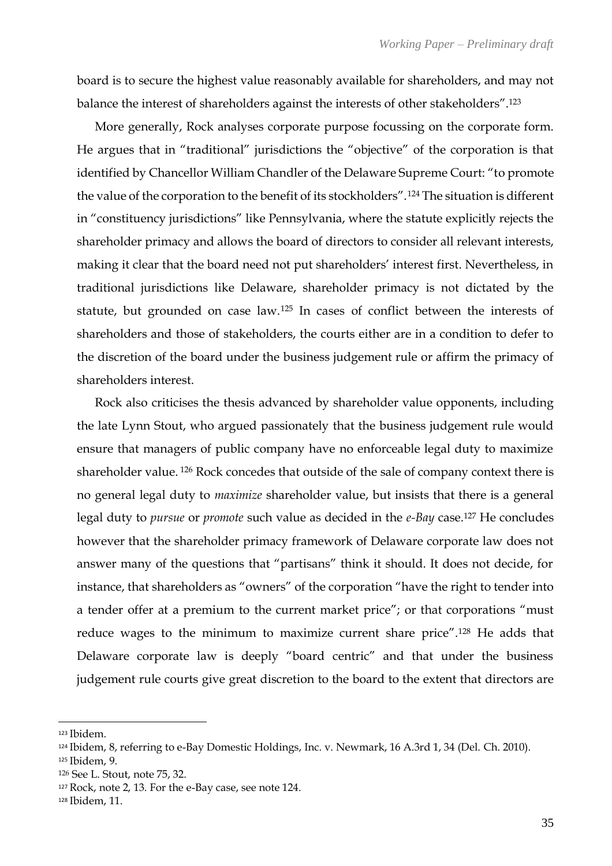board is to secure the highest value reasonably available for shareholders, and may not balance the interest of shareholders against the interests of other stakeholders".<sup>123</sup>

More generally, Rock analyses corporate purpose focussing on the corporate form. He argues that in "traditional" jurisdictions the "objective" of the corporation is that identified by Chancellor William Chandler of the Delaware Supreme Court: "to promote the value of the corporation to the benefit of its stockholders".<sup>124</sup> The situation is different in "constituency jurisdictions" like Pennsylvania, where the statute explicitly rejects the shareholder primacy and allows the board of directors to consider all relevant interests, making it clear that the board need not put shareholders' interest first. Nevertheless, in traditional jurisdictions like Delaware, shareholder primacy is not dictated by the statute, but grounded on case law.<sup>125</sup> In cases of conflict between the interests of shareholders and those of stakeholders, the courts either are in a condition to defer to the discretion of the board under the business judgement rule or affirm the primacy of shareholders interest.

Rock also criticises the thesis advanced by shareholder value opponents, including the late Lynn Stout, who argued passionately that the business judgement rule would ensure that managers of public company have no enforceable legal duty to maximize shareholder value. <sup>126</sup> Rock concedes that outside of the sale of company context there is no general legal duty to *maximize* shareholder value, but insists that there is a general legal duty to *pursue* or *promote* such value as decided in the *e-Bay* case.<sup>127</sup> He concludes however that the shareholder primacy framework of Delaware corporate law does not answer many of the questions that "partisans" think it should. It does not decide, for instance, that shareholders as "owners" of the corporation "have the right to tender into a tender offer at a premium to the current market price"; or that corporations "must reduce wages to the minimum to maximize current share price".<sup>128</sup> He adds that Delaware corporate law is deeply "board centric" and that under the business judgement rule courts give great discretion to the board to the extent that directors are

<sup>123</sup> Ibidem.

<sup>124</sup> Ibidem, 8, referring to e-Bay Domestic Holdings, Inc. v. Newmark, 16 A.3rd 1, 34 (Del. Ch. 2010).

<sup>125</sup> Ibidem, 9.

<sup>126</sup> See L. Stout, note 75, 32.

<sup>127</sup> Rock, note 2, 13. For the e-Bay case, see note 124.

<sup>128</sup> Ibidem, 11.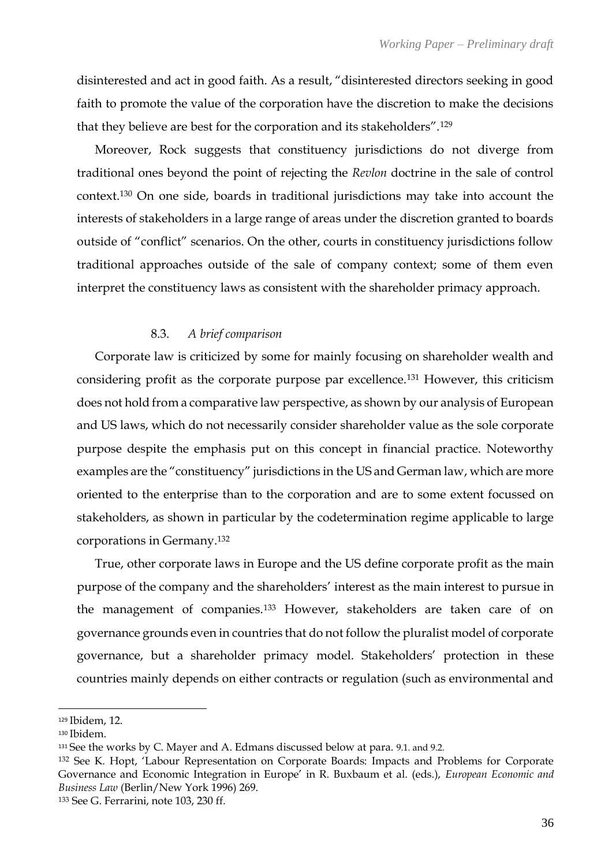disinterested and act in good faith. As a result, "disinterested directors seeking in good faith to promote the value of the corporation have the discretion to make the decisions that they believe are best for the corporation and its stakeholders".<sup>129</sup>

Moreover, Rock suggests that constituency jurisdictions do not diverge from traditional ones beyond the point of rejecting the *Revlon* doctrine in the sale of control context.<sup>130</sup> On one side, boards in traditional jurisdictions may take into account the interests of stakeholders in a large range of areas under the discretion granted to boards outside of "conflict" scenarios. On the other, courts in constituency jurisdictions follow traditional approaches outside of the sale of company context; some of them even interpret the constituency laws as consistent with the shareholder primacy approach.

## 8.3. *A brief comparison*

Corporate law is criticized by some for mainly focusing on shareholder wealth and considering profit as the corporate purpose par excellence.<sup>131</sup> However, this criticism does not hold from a comparative law perspective, as shown by our analysis of European and US laws, which do not necessarily consider shareholder value as the sole corporate purpose despite the emphasis put on this concept in financial practice. Noteworthy examples are the "constituency" jurisdictions in the US and German law, which are more oriented to the enterprise than to the corporation and are to some extent focussed on stakeholders, as shown in particular by the codetermination regime applicable to large corporations in Germany. 132

True, other corporate laws in Europe and the US define corporate profit as the main purpose of the company and the shareholders' interest as the main interest to pursue in the management of companies.<sup>133</sup> However, stakeholders are taken care of on governance grounds even in countries that do not follow the pluralist model of corporate governance, but a shareholder primacy model. Stakeholders' protection in these countries mainly depends on either contracts or regulation (such as environmental and

<sup>129</sup> Ibidem, 12.

<sup>130</sup> Ibidem.

<sup>131</sup> See the works by C. Mayer and A. Edmans discussed below at para. 9.1. and 9.2.

<sup>132</sup> See K. Hopt, 'Labour Representation on Corporate Boards: Impacts and Problems for Corporate Governance and Economic Integration in Europe' in R. Buxbaum et al. (eds.), *European Economic and Business Law* (Berlin/New York 1996) 269.

<sup>133</sup> See G. Ferrarini, note 103, 230 ff.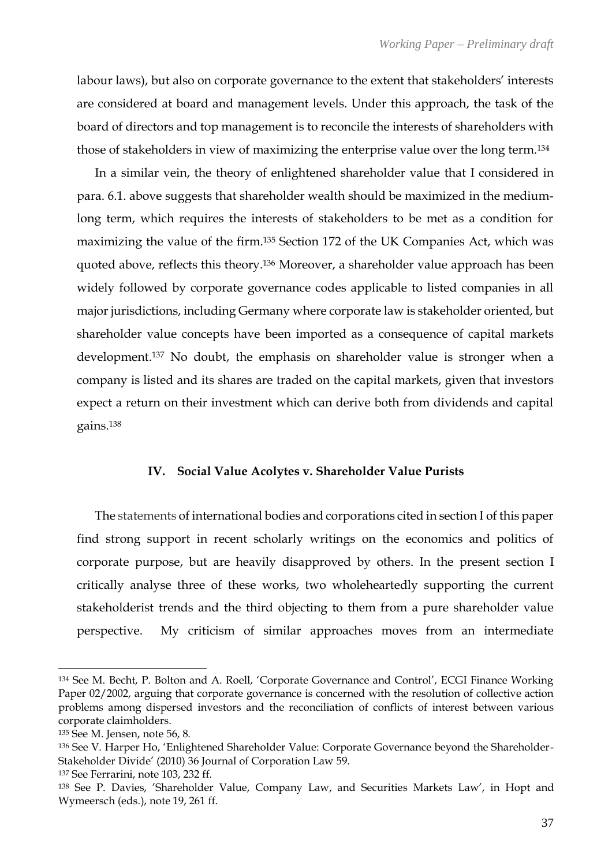labour laws), but also on corporate governance to the extent that stakeholders' interests are considered at board and management levels. Under this approach, the task of the board of directors and top management is to reconcile the interests of shareholders with those of stakeholders in view of maximizing the enterprise value over the long term.<sup>134</sup>

In a similar vein, the theory of enlightened shareholder value that I considered in para. 6.1. above suggests that shareholder wealth should be maximized in the mediumlong term, which requires the interests of stakeholders to be met as a condition for maximizing the value of the firm.<sup>135</sup> Section 172 of the UK Companies Act, which was quoted above, reflects this theory.<sup>136</sup> Moreover, a shareholder value approach has been widely followed by corporate governance codes applicable to listed companies in all major jurisdictions, including Germany where corporate law is stakeholder oriented, but shareholder value concepts have been imported as a consequence of capital markets development.<sup>137</sup> No doubt, the emphasis on shareholder value is stronger when a company is listed and its shares are traded on the capital markets, given that investors expect a return on their investment which can derive both from dividends and capital gains.<sup>138</sup>

## **IV. Social Value Acolytes v. Shareholder Value Purists**

The statements of international bodies and corporations cited in section I of this paper find strong support in recent scholarly writings on the economics and politics of corporate purpose, but are heavily disapproved by others. In the present section I critically analyse three of these works, two wholeheartedly supporting the current stakeholderist trends and the third objecting to them from a pure shareholder value perspective. My criticism of similar approaches moves from an intermediate

<sup>134</sup> See M. Becht, P. Bolton and A. Roell, 'Corporate Governance and Control', ECGI Finance Working Paper 02/2002, arguing that corporate governance is concerned with the resolution of collective action problems among dispersed investors and the reconciliation of conflicts of interest between various corporate claimholders.

<sup>135</sup> See M. Jensen, note 56, 8.

<sup>136</sup> See V. Harper Ho, 'Enlightened Shareholder Value: Corporate Governance beyond the Shareholder-Stakeholder Divide' (2010) 36 Journal of Corporation Law 59.

<sup>137</sup> See Ferrarini, note 103, 232 ff.

<sup>138</sup> See P. Davies, 'Shareholder Value, Company Law, and Securities Markets Law', in Hopt and Wymeersch (eds.), note 19, 261 ff.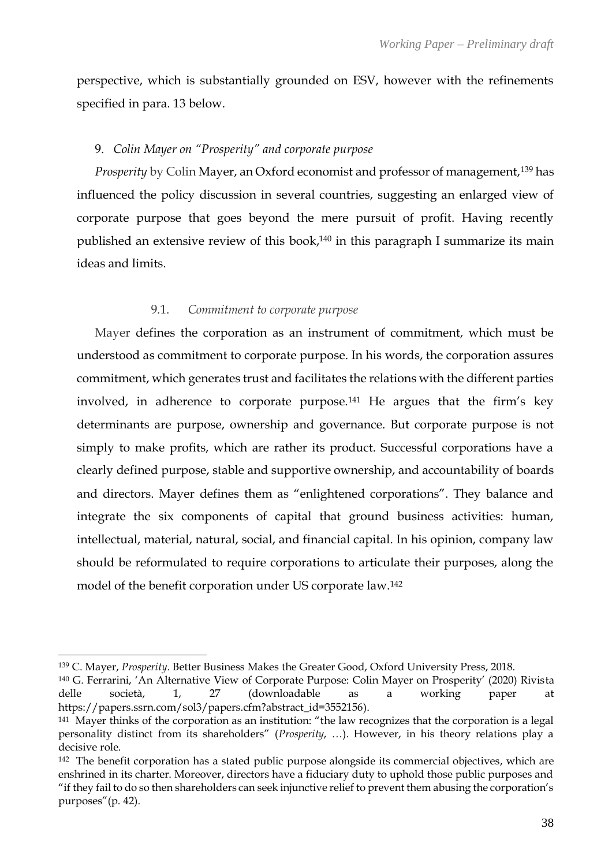perspective, which is substantially grounded on ESV, however with the refinements specified in para. 13 below.

## 9. *Colin Mayer on "Prosperity" and corporate purpose*

*Prosperity* by Colin Mayer, an Oxford economist and professor of management,<sup>139</sup> has influenced the policy discussion in several countries, suggesting an enlarged view of corporate purpose that goes beyond the mere pursuit of profit. Having recently published an extensive review of this book, <sup>140</sup> in this paragraph I summarize its main ideas and limits.

## 9.1. *Commitment to corporate purpose*

Mayer defines the corporation as an instrument of commitment, which must be understood as commitment to corporate purpose. In his words, the corporation assures commitment, which generates trust and facilitates the relations with the different parties involved, in adherence to corporate purpose.<sup>141</sup> He argues that the firm's key determinants are purpose, ownership and governance. But corporate purpose is not simply to make profits, which are rather its product. Successful corporations have a clearly defined purpose, stable and supportive ownership, and accountability of boards and directors. Mayer defines them as "enlightened corporations". They balance and integrate the six components of capital that ground business activities: human, intellectual, material, natural, social, and financial capital. In his opinion, company law should be reformulated to require corporations to articulate their purposes, along the model of the benefit corporation under US corporate law.<sup>142</sup>

<sup>139</sup> C. Mayer, *Prosperity*. Better Business Makes the Greater Good, Oxford University Press, 2018.

<sup>140</sup> G. Ferrarini, 'An Alternative View of Corporate Purpose: Colin Mayer on Prosperity' (2020) Rivista delle società, 1, 27 (downloadable as a working paper at [https://papers.ssrn.com/sol3/papers.cfm?abstract\\_id=3552156\)](https://papers.ssrn.com/sol3/papers.cfm?abstract_id=3552156).

<sup>141</sup> Mayer thinks of the corporation as an institution: "the law recognizes that the corporation is a legal personality distinct from its shareholders" (*Prosperity*, …). However, in his theory relations play a decisive role.

<sup>142</sup> The benefit corporation has a stated public purpose alongside its commercial objectives, which are enshrined in its charter. Moreover, directors have a fiduciary duty to uphold those public purposes and "if they fail to do so then shareholders can seek injunctive relief to prevent them abusing the corporation's purposes"(p. 42).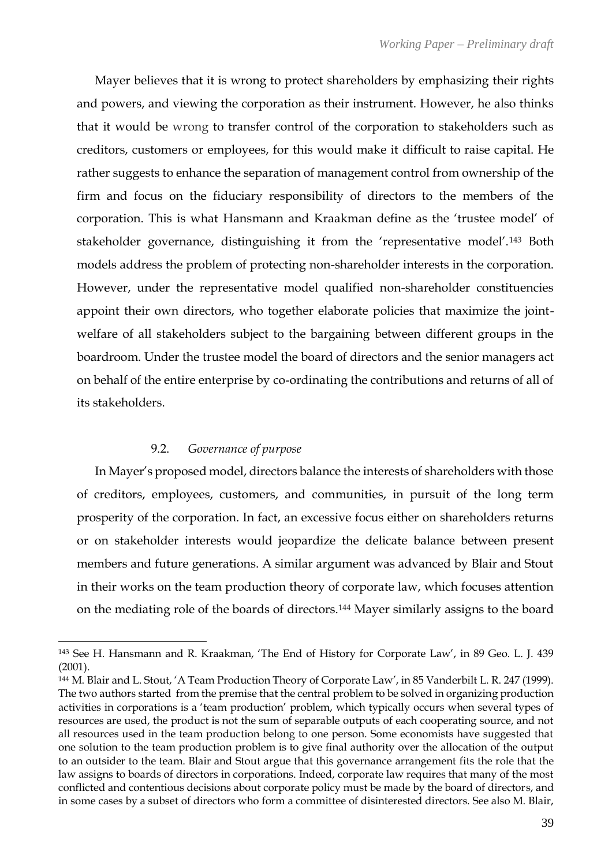Mayer believes that it is wrong to protect shareholders by emphasizing their rights and powers, and viewing the corporation as their instrument. However, he also thinks that it would be wrong to transfer control of the corporation to stakeholders such as creditors, customers or employees, for this would make it difficult to raise capital. He rather suggests to enhance the separation of management control from ownership of the firm and focus on the fiduciary responsibility of directors to the members of the corporation. This is what Hansmann and Kraakman define as the 'trustee model' of stakeholder governance, distinguishing it from the 'representative model'.<sup>143</sup> Both models address the problem of protecting non-shareholder interests in the corporation. However, under the representative model qualified non-shareholder constituencies appoint their own directors, who together elaborate policies that maximize the jointwelfare of all stakeholders subject to the bargaining between different groups in the boardroom. Under the trustee model the board of directors and the senior managers act on behalf of the entire enterprise by co-ordinating the contributions and returns of all of its stakeholders.

## 9.2. *Governance of purpose*

In Mayer's proposed model, directors balance the interests of shareholders with those of creditors, employees, customers, and communities, in pursuit of the long term prosperity of the corporation. In fact, an excessive focus either on shareholders returns or on stakeholder interests would jeopardize the delicate balance between present members and future generations. A similar argument was advanced by Blair and Stout in their works on the team production theory of corporate law, which focuses attention on the mediating role of the boards of directors.<sup>144</sup> Mayer similarly assigns to the board

<sup>143</sup> See H. Hansmann and R. Kraakman, 'The End of History for Corporate Law', in 89 Geo. L. J. 439 (2001).

<sup>144</sup> M. Blair and L. Stout, 'A Team Production Theory of Corporate Law', in 85 Vanderbilt L. R. 247 (1999). The two authors started from the premise that the central problem to be solved in organizing production activities in corporations is a 'team production' problem, which typically occurs when several types of resources are used, the product is not the sum of separable outputs of each cooperating source, and not all resources used in the team production belong to one person. Some economists have suggested that one solution to the team production problem is to give final authority over the allocation of the output to an outsider to the team. Blair and Stout argue that this governance arrangement fits the role that the law assigns to boards of directors in corporations. Indeed, corporate law requires that many of the most conflicted and contentious decisions about corporate policy must be made by the board of directors, and in some cases by a subset of directors who form a committee of disinterested directors. See also M. Blair,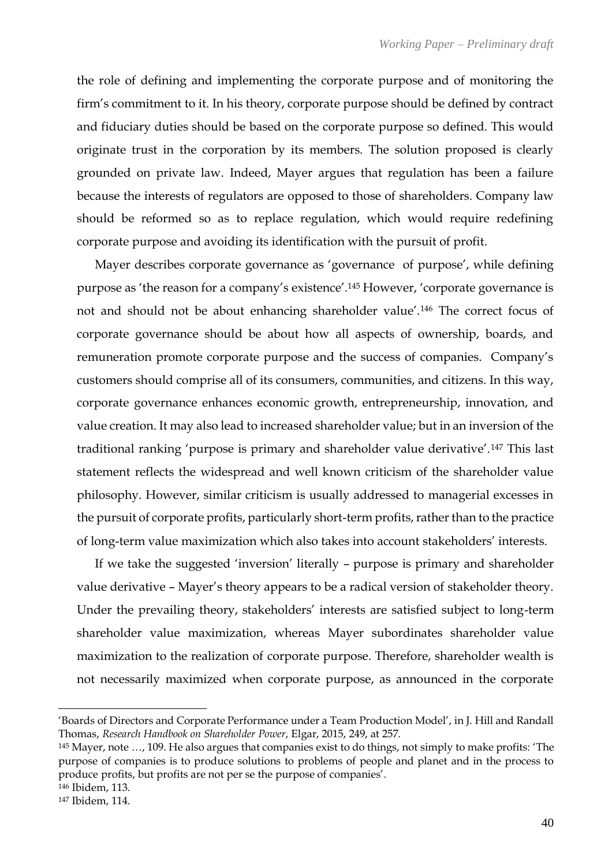the role of defining and implementing the corporate purpose and of monitoring the firm's commitment to it. In his theory, corporate purpose should be defined by contract and fiduciary duties should be based on the corporate purpose so defined. This would originate trust in the corporation by its members. The solution proposed is clearly grounded on private law. Indeed, Mayer argues that regulation has been a failure because the interests of regulators are opposed to those of shareholders. Company law should be reformed so as to replace regulation, which would require redefining corporate purpose and avoiding its identification with the pursuit of profit.

Mayer describes corporate governance as 'governance of purpose', while defining purpose as 'the reason for a company's existence'.<sup>145</sup> However, 'corporate governance is not and should not be about enhancing shareholder value'.<sup>146</sup> The correct focus of corporate governance should be about how all aspects of ownership, boards, and remuneration promote corporate purpose and the success of companies. Company's customers should comprise all of its consumers, communities, and citizens. In this way, corporate governance enhances economic growth, entrepreneurship, innovation, and value creation. It may also lead to increased shareholder value; but in an inversion of the traditional ranking 'purpose is primary and shareholder value derivative'.<sup>147</sup> This last statement reflects the widespread and well known criticism of the shareholder value philosophy. However, similar criticism is usually addressed to managerial excesses in the pursuit of corporate profits, particularly short-term profits, rather than to the practice of long-term value maximization which also takes into account stakeholders' interests.

If we take the suggested 'inversion' literally – purpose is primary and shareholder value derivative – Mayer's theory appears to be a radical version of stakeholder theory. Under the prevailing theory, stakeholders' interests are satisfied subject to long-term shareholder value maximization, whereas Mayer subordinates shareholder value maximization to the realization of corporate purpose. Therefore, shareholder wealth is not necessarily maximized when corporate purpose, as announced in the corporate

<sup>&#</sup>x27;Boards of Directors and Corporate Performance under a Team Production Model', in J. Hill and Randall Thomas, *Research Handbook on Shareholder Power*, Elgar, 2015, 249, at 257.

<sup>145</sup> Mayer, note …, 109. He also argues that companies exist to do things, not simply to make profits: 'The purpose of companies is to produce solutions to problems of people and planet and in the process to produce profits, but profits are not per se the purpose of companies'.

<sup>146</sup> Ibidem, 113.

<sup>147</sup> Ibidem, 114.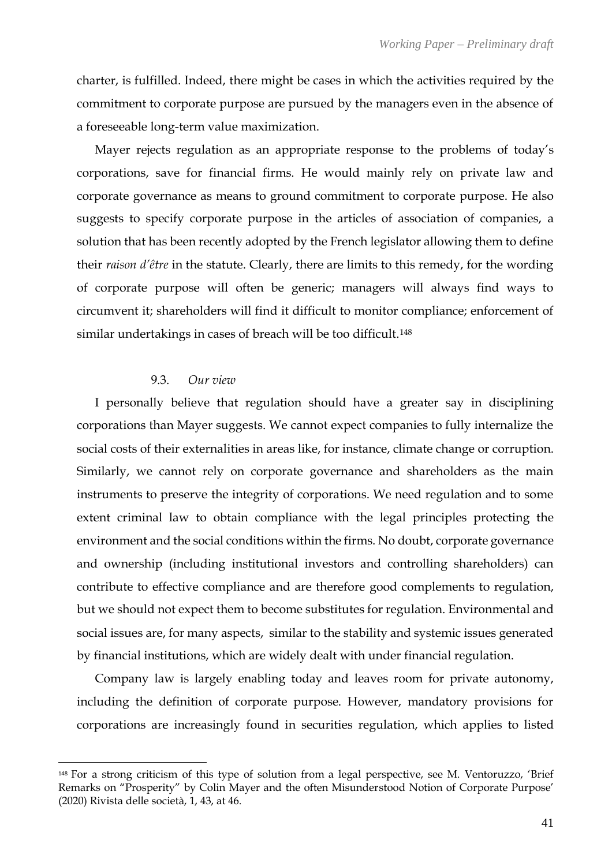charter, is fulfilled. Indeed, there might be cases in which the activities required by the commitment to corporate purpose are pursued by the managers even in the absence of a foreseeable long-term value maximization.

Mayer rejects regulation as an appropriate response to the problems of today's corporations, save for financial firms. He would mainly rely on private law and corporate governance as means to ground commitment to corporate purpose. He also suggests to specify corporate purpose in the articles of association of companies, a solution that has been recently adopted by the French legislator allowing them to define their *raison d'être* in the statute. Clearly, there are limits to this remedy, for the wording of corporate purpose will often be generic; managers will always find ways to circumvent it; shareholders will find it difficult to monitor compliance; enforcement of similar undertakings in cases of breach will be too difficult.<sup>148</sup>

## 9.3. *Our view*

I personally believe that regulation should have a greater say in disciplining corporations than Mayer suggests. We cannot expect companies to fully internalize the social costs of their externalities in areas like, for instance, climate change or corruption. Similarly, we cannot rely on corporate governance and shareholders as the main instruments to preserve the integrity of corporations. We need regulation and to some extent criminal law to obtain compliance with the legal principles protecting the environment and the social conditions within the firms. No doubt, corporate governance and ownership (including institutional investors and controlling shareholders) can contribute to effective compliance and are therefore good complements to regulation, but we should not expect them to become substitutes for regulation. Environmental and social issues are, for many aspects, similar to the stability and systemic issues generated by financial institutions, which are widely dealt with under financial regulation.

Company law is largely enabling today and leaves room for private autonomy, including the definition of corporate purpose. However, mandatory provisions for corporations are increasingly found in securities regulation, which applies to listed

<sup>148</sup> For a strong criticism of this type of solution from a legal perspective, see M. Ventoruzzo, 'Brief Remarks on "Prosperity" by Colin Mayer and the often Misunderstood Notion of Corporate Purpose' (2020) Rivista delle società, 1, 43, at 46.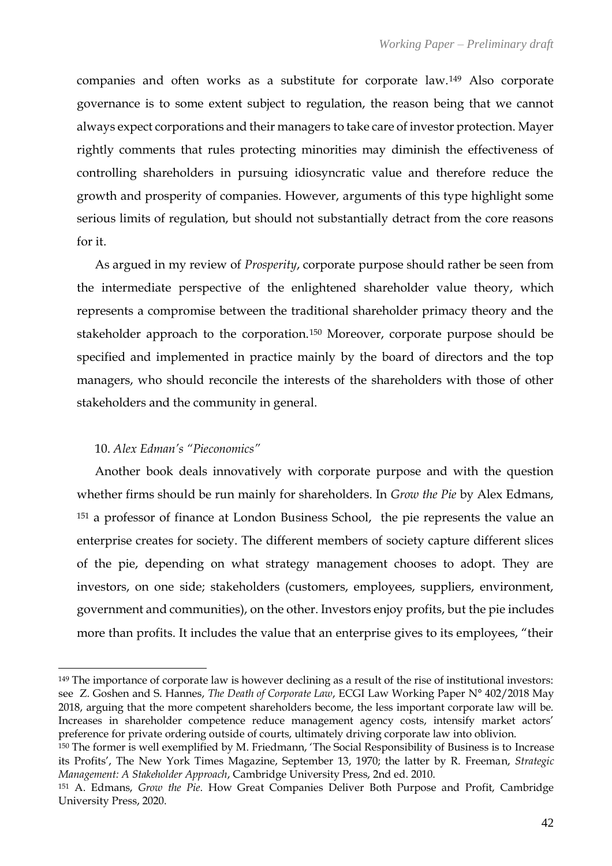companies and often works as a substitute for corporate law.<sup>149</sup> Also corporate governance is to some extent subject to regulation, the reason being that we cannot always expect corporations and their managers to take care of investor protection. Mayer rightly comments that rules protecting minorities may diminish the effectiveness of controlling shareholders in pursuing idiosyncratic value and therefore reduce the growth and prosperity of companies. However, arguments of this type highlight some serious limits of regulation, but should not substantially detract from the core reasons for it.

As argued in my review of *Prosperity*, corporate purpose should rather be seen from the intermediate perspective of the enlightened shareholder value theory, which represents a compromise between the traditional shareholder primacy theory and the stakeholder approach to the corporation.<sup>150</sup> Moreover, corporate purpose should be specified and implemented in practice mainly by the board of directors and the top managers, who should reconcile the interests of the shareholders with those of other stakeholders and the community in general.

## 10. *Alex Edman's "Pieconomics"*

Another book deals innovatively with corporate purpose and with the question whether firms should be run mainly for shareholders. In *Grow the Pie* by Alex Edmans, <sup>151</sup> a professor of finance at London Business School, the pie represents the value an enterprise creates for society. The different members of society capture different slices of the pie, depending on what strategy management chooses to adopt. They are investors, on one side; stakeholders (customers, employees, suppliers, environment, government and communities), on the other. Investors enjoy profits, but the pie includes more than profits. It includes the value that an enterprise gives to its employees, "their

<sup>149</sup> The importance of corporate law is however declining as a result of the rise of institutional investors: see Z. Goshen and S. Hannes, *The Death of Corporate Law*, ECGI Law Working Paper N° 402/2018 May 2018, arguing that the more competent shareholders become, the less important corporate law will be. Increases in shareholder competence reduce management agency costs, intensify market actors' preference for private ordering outside of courts, ultimately driving corporate law into oblivion.

<sup>150</sup> The former is well exemplified by M. Friedmann, 'The Social Responsibility of Business is to Increase its Profits', The New York Times Magazine, September 13, 1970; the latter by R. Freeman, *Strategic Management: A Stakeholder Approach*, Cambridge University Press, 2nd ed. 2010.

<sup>151</sup> A. Edmans, *Grow the Pie*. How Great Companies Deliver Both Purpose and Profit, Cambridge University Press, 2020.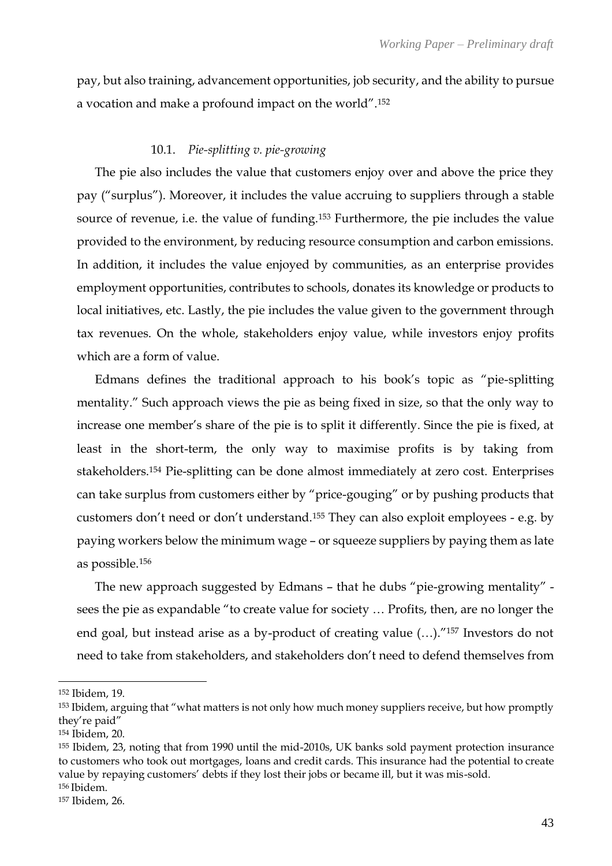pay, but also training, advancement opportunities, job security, and the ability to pursue a vocation and make a profound impact on the world".<sup>152</sup>

## 10.1. *Pie-splitting v. pie-growing*

The pie also includes the value that customers enjoy over and above the price they pay ("surplus"). Moreover, it includes the value accruing to suppliers through a stable source of revenue, i.e. the value of funding.<sup>153</sup> Furthermore, the pie includes the value provided to the environment, by reducing resource consumption and carbon emissions. In addition, it includes the value enjoyed by communities, as an enterprise provides employment opportunities, contributes to schools, donates its knowledge or products to local initiatives, etc. Lastly, the pie includes the value given to the government through tax revenues. On the whole, stakeholders enjoy value, while investors enjoy profits which are a form of value.

Edmans defines the traditional approach to his book's topic as "pie-splitting mentality." Such approach views the pie as being fixed in size, so that the only way to increase one member's share of the pie is to split it differently. Since the pie is fixed, at least in the short-term, the only way to maximise profits is by taking from stakeholders.<sup>154</sup> Pie-splitting can be done almost immediately at zero cost. Enterprises can take surplus from customers either by "price-gouging" or by pushing products that customers don't need or don't understand.<sup>155</sup> They can also exploit employees - e.g. by paying workers below the minimum wage – or squeeze suppliers by paying them as late as possible.<sup>156</sup>

The new approach suggested by Edmans – that he dubs "pie-growing mentality" sees the pie as expandable "to create value for society … Profits, then, are no longer the end goal, but instead arise as a by-product of creating value (…)."<sup>157</sup> Investors do not need to take from stakeholders, and stakeholders don't need to defend themselves from

<sup>152</sup> Ibidem, 19.

<sup>153</sup> Ibidem, arguing that "what matters is not only how much money suppliers receive, but how promptly they're paid"

<sup>154</sup> Ibidem, 20.

<sup>155</sup> Ibidem, 23, noting that from 1990 until the mid-2010s, UK banks sold payment protection insurance to customers who took out mortgages, loans and credit cards. This insurance had the potential to create value by repaying customers' debts if they lost their jobs or became ill, but it was mis-sold. <sup>156</sup> Ibidem.

<sup>157</sup> Ibidem, 26.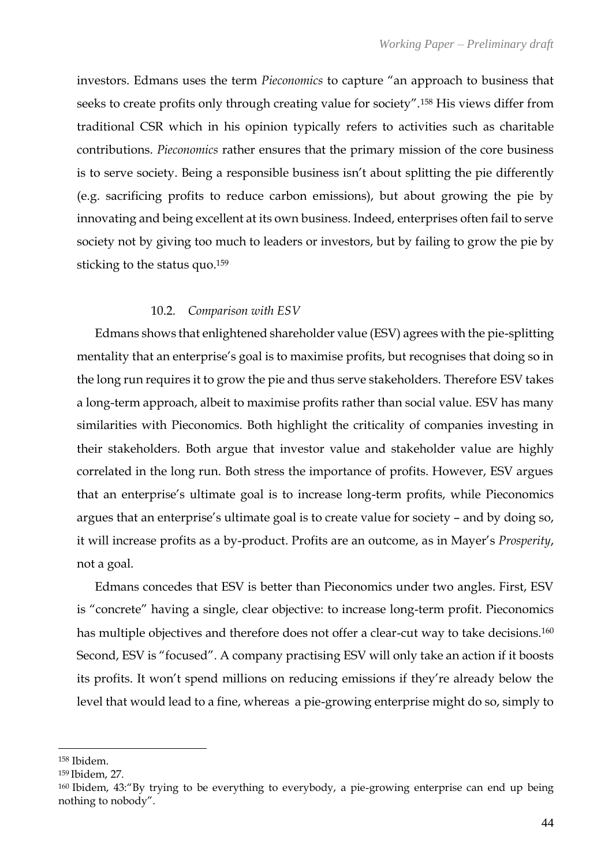investors. Edmans uses the term *Pieconomics* to capture "an approach to business that seeks to create profits only through creating value for society".<sup>158</sup> His views differ from traditional CSR which in his opinion typically refers to activities such as charitable contributions. *Pieconomics* rather ensures that the primary mission of the core business is to serve society. Being a responsible business isn't about splitting the pie differently (e.g. sacrificing profits to reduce carbon emissions), but about growing the pie by innovating and being excellent at its own business. Indeed, enterprises often fail to serve society not by giving too much to leaders or investors, but by failing to grow the pie by sticking to the status quo.<sup>159</sup>

## 10.2. *Comparison with ESV*

Edmans shows that enlightened shareholder value (ESV) agrees with the pie-splitting mentality that an enterprise's goal is to maximise profits, but recognises that doing so in the long run requires it to grow the pie and thus serve stakeholders. Therefore ESV takes a long-term approach, albeit to maximise profits rather than social value. ESV has many similarities with Pieconomics. Both highlight the criticality of companies investing in their stakeholders. Both argue that investor value and stakeholder value are highly correlated in the long run. Both stress the importance of profits. However, ESV argues that an enterprise's ultimate goal is to increase long-term profits, while Pieconomics argues that an enterprise's ultimate goal is to create value for society – and by doing so, it will increase profits as a by-product. Profits are an outcome, as in Mayer's *Prosperity*, not a goal.

Edmans concedes that ESV is better than Pieconomics under two angles. First, ESV is "concrete" having a single, clear objective: to increase long-term profit. Pieconomics has multiple objectives and therefore does not offer a clear-cut way to take decisions.<sup>160</sup> Second, ESV is "focused". A company practising ESV will only take an action if it boosts its profits. It won't spend millions on reducing emissions if they're already below the level that would lead to a fine, whereas a pie-growing enterprise might do so, simply to

<sup>158</sup> Ibidem.

<sup>159</sup> Ibidem, 27.

<sup>160</sup> Ibidem, 43:"By trying to be everything to everybody, a pie-growing enterprise can end up being nothing to nobody".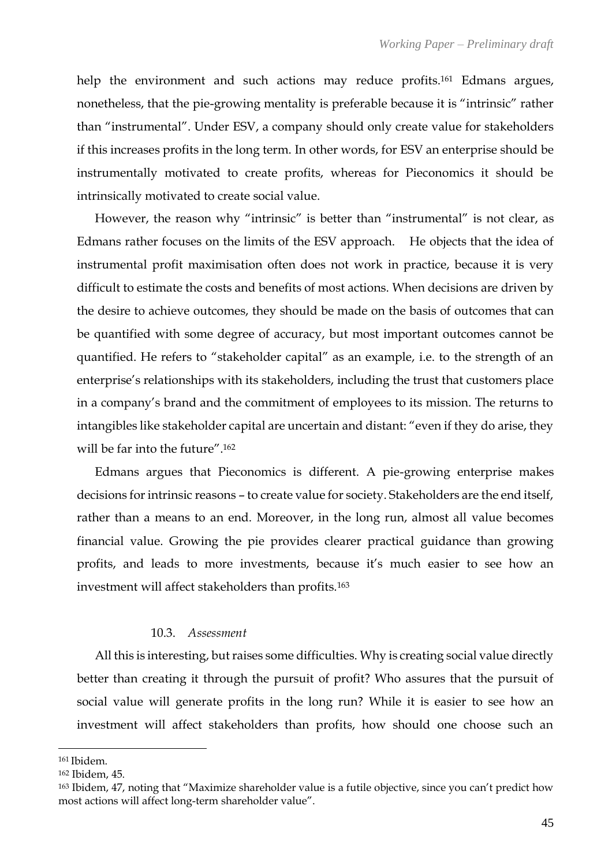help the environment and such actions may reduce profits.<sup>161</sup> Edmans argues, nonetheless, that the pie-growing mentality is preferable because it is "intrinsic" rather than "instrumental". Under ESV, a company should only create value for stakeholders if this increases profits in the long term. In other words, for ESV an enterprise should be instrumentally motivated to create profits, whereas for Pieconomics it should be intrinsically motivated to create social value.

However, the reason why "intrinsic" is better than "instrumental" is not clear, as Edmans rather focuses on the limits of the ESV approach. He objects that the idea of instrumental profit maximisation often does not work in practice, because it is very difficult to estimate the costs and benefits of most actions. When decisions are driven by the desire to achieve outcomes, they should be made on the basis of outcomes that can be quantified with some degree of accuracy, but most important outcomes cannot be quantified. He refers to "stakeholder capital" as an example, i.e. to the strength of an enterprise's relationships with its stakeholders, including the trust that customers place in a company's brand and the commitment of employees to its mission. The returns to intangibles like stakeholder capital are uncertain and distant: "even if they do arise, they will be far into the future".<sup>162</sup>

Edmans argues that Pieconomics is different. A pie-growing enterprise makes decisions for intrinsic reasons – to create value for society. Stakeholders are the end itself, rather than a means to an end. Moreover, in the long run, almost all value becomes financial value. Growing the pie provides clearer practical guidance than growing profits, and leads to more investments, because it's much easier to see how an investment will affect stakeholders than profits.<sup>163</sup>

## 10.3. *Assessment*

All this is interesting, but raises some difficulties. Why is creating social value directly better than creating it through the pursuit of profit? Who assures that the pursuit of social value will generate profits in the long run? While it is easier to see how an investment will affect stakeholders than profits, how should one choose such an

<sup>161</sup> Ibidem.

<sup>162</sup> Ibidem, 45.

<sup>163</sup> Ibidem, 47, noting that "Maximize shareholder value is a futile objective, since you can't predict how most actions will affect long-term shareholder value".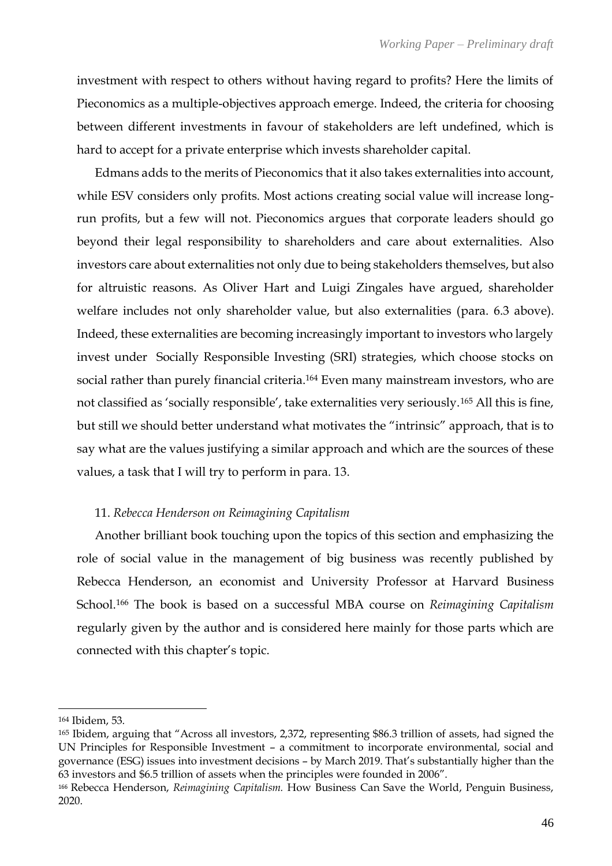investment with respect to others without having regard to profits? Here the limits of Pieconomics as a multiple-objectives approach emerge. Indeed, the criteria for choosing between different investments in favour of stakeholders are left undefined, which is hard to accept for a private enterprise which invests shareholder capital.

Edmans adds to the merits of Pieconomics that it also takes externalities into account, while ESV considers only profits. Most actions creating social value will increase longrun profits, but a few will not. Pieconomics argues that corporate leaders should go beyond their legal responsibility to shareholders and care about externalities. Also investors care about externalities not only due to being stakeholders themselves, but also for altruistic reasons. As Oliver Hart and Luigi Zingales have argued, shareholder welfare includes not only shareholder value, but also externalities (para. 6.3 above). Indeed, these externalities are becoming increasingly important to investors who largely invest under Socially Responsible Investing (SRI) strategies, which choose stocks on social rather than purely financial criteria.<sup>164</sup> Even many mainstream investors, who are not classified as 'socially responsible', take externalities very seriously.<sup>165</sup> All this is fine, but still we should better understand what motivates the "intrinsic" approach, that is to say what are the values justifying a similar approach and which are the sources of these values, a task that I will try to perform in para. 13.

## 11. *Rebecca Henderson on Reimagining Capitalism*

Another brilliant book touching upon the topics of this section and emphasizing the role of social value in the management of big business was recently published by Rebecca Henderson, an economist and University Professor at Harvard Business School. <sup>166</sup> The book is based on a successful MBA course on *Reimagining Capitalism* regularly given by the author and is considered here mainly for those parts which are connected with this chapter's topic.

<sup>164</sup> Ibidem, 53.

<sup>165</sup> Ibidem, arguing that "Across all investors, 2,372, representing \$86.3 trillion of assets, had signed the UN Principles for Responsible Investment – a commitment to incorporate environmental, social and governance (ESG) issues into investment decisions – by March 2019. That's substantially higher than the 63 investors and \$6.5 trillion of assets when the principles were founded in 2006".

<sup>166</sup> Rebecca Henderson, *Reimagining Capitalism.* How Business Can Save the World, Penguin Business, 2020.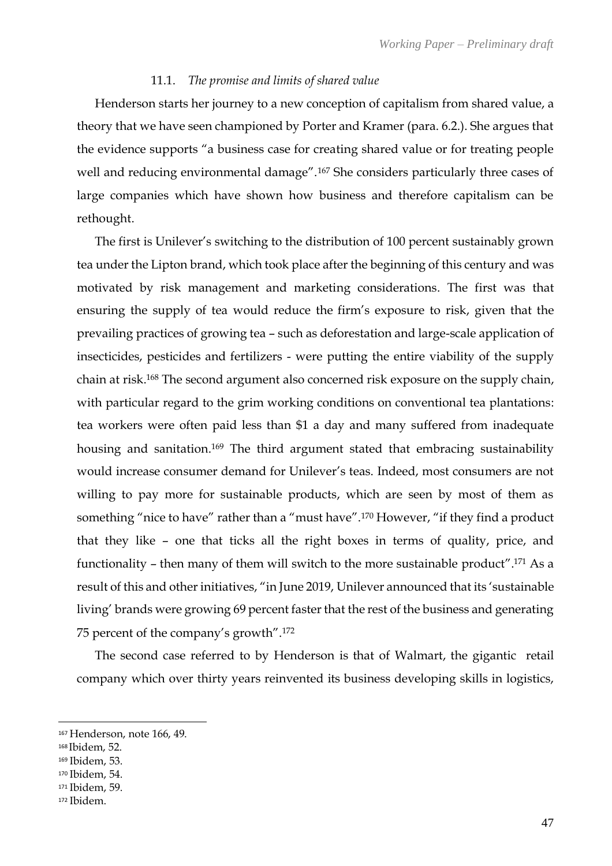#### 11.1. *The promise and limits of shared value*

Henderson starts her journey to a new conception of capitalism from shared value, a theory that we have seen championed by Porter and Kramer (para. 6.2.). She argues that the evidence supports "a business case for creating shared value or for treating people well and reducing environmental damage".<sup>167</sup> She considers particularly three cases of large companies which have shown how business and therefore capitalism can be rethought.

The first is Unilever's switching to the distribution of 100 percent sustainably grown tea under the Lipton brand, which took place after the beginning of this century and was motivated by risk management and marketing considerations. The first was that ensuring the supply of tea would reduce the firm's exposure to risk, given that the prevailing practices of growing tea – such as deforestation and large-scale application of insecticides, pesticides and fertilizers - were putting the entire viability of the supply chain at risk. <sup>168</sup> The second argument also concerned risk exposure on the supply chain, with particular regard to the grim working conditions on conventional tea plantations: tea workers were often paid less than \$1 a day and many suffered from inadequate housing and sanitation.<sup>169</sup> The third argument stated that embracing sustainability would increase consumer demand for Unilever's teas. Indeed, most consumers are not willing to pay more for sustainable products, which are seen by most of them as something "nice to have" rather than a "must have".<sup>170</sup> However, "if they find a product that they like – one that ticks all the right boxes in terms of quality, price, and functionality – then many of them will switch to the more sustainable product".<sup>171</sup> As a result of this and other initiatives, "in June 2019, Unilever announced that its 'sustainable living' brands were growing 69 percent faster that the rest of the business and generating 75 percent of the company's growth".<sup>172</sup>

The second case referred to by Henderson is that of Walmart, the gigantic retail company which over thirty years reinvented its business developing skills in logistics,

<sup>167</sup> Henderson, note 166, 49.

<sup>168</sup> Ibidem, 52.

<sup>169</sup> Ibidem, 53.

<sup>170</sup> Ibidem, 54.

<sup>171</sup> Ibidem, 59.

<sup>172</sup> Ibidem.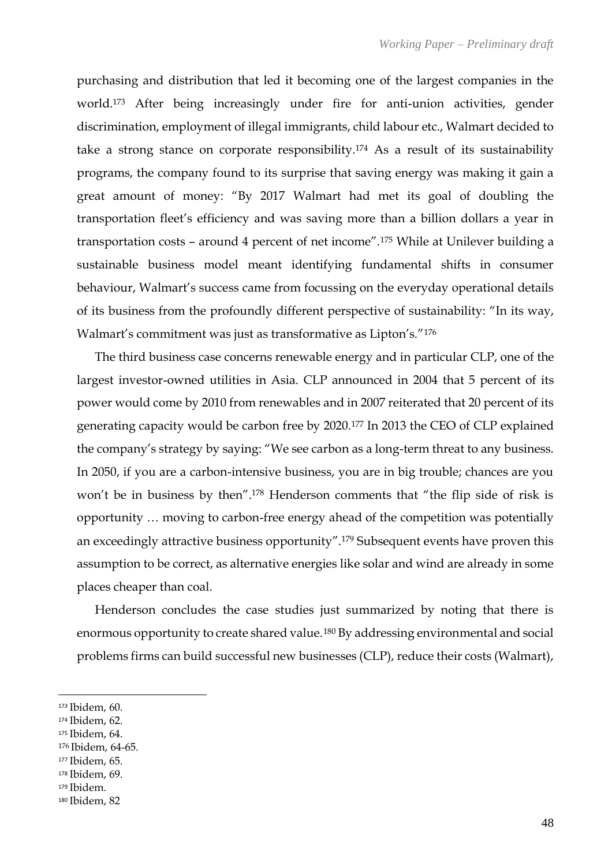purchasing and distribution that led it becoming one of the largest companies in the world.<sup>173</sup> After being increasingly under fire for anti-union activities, gender discrimination, employment of illegal immigrants, child labour etc., Walmart decided to take a strong stance on corporate responsibility.<sup>174</sup> As a result of its sustainability programs, the company found to its surprise that saving energy was making it gain a great amount of money: "By 2017 Walmart had met its goal of doubling the transportation fleet's efficiency and was saving more than a billion dollars a year in transportation costs – around 4 percent of net income".<sup>175</sup> While at Unilever building a sustainable business model meant identifying fundamental shifts in consumer behaviour, Walmart's success came from focussing on the everyday operational details of its business from the profoundly different perspective of sustainability: "In its way, Walmart's commitment was just as transformative as Lipton's."<sup>176</sup>

The third business case concerns renewable energy and in particular CLP, one of the largest investor-owned utilities in Asia. CLP announced in 2004 that 5 percent of its power would come by 2010 from renewables and in 2007 reiterated that 20 percent of its generating capacity would be carbon free by 2020.<sup>177</sup> In 2013 the CEO of CLP explained the company's strategy by saying: "We see carbon as a long-term threat to any business. In 2050, if you are a carbon-intensive business, you are in big trouble; chances are you won't be in business by then".<sup>178</sup> Henderson comments that "the flip side of risk is opportunity … moving to carbon-free energy ahead of the competition was potentially an exceedingly attractive business opportunity".<sup>179</sup> Subsequent events have proven this assumption to be correct, as alternative energies like solar and wind are already in some places cheaper than coal.

Henderson concludes the case studies just summarized by noting that there is enormous opportunity to create shared value.<sup>180</sup> By addressing environmental and social problems firms can build successful new businesses (CLP), reduce their costs (Walmart),

<sup>174</sup> Ibidem, 62.

- <sup>177</sup> Ibidem, 65.
- <sup>178</sup> Ibidem, 69.

<sup>173</sup> Ibidem, 60.

<sup>175</sup> Ibidem, 64.

<sup>176</sup> Ibidem, 64-65.

<sup>179</sup> Ibidem.

<sup>180</sup> Ibidem, 82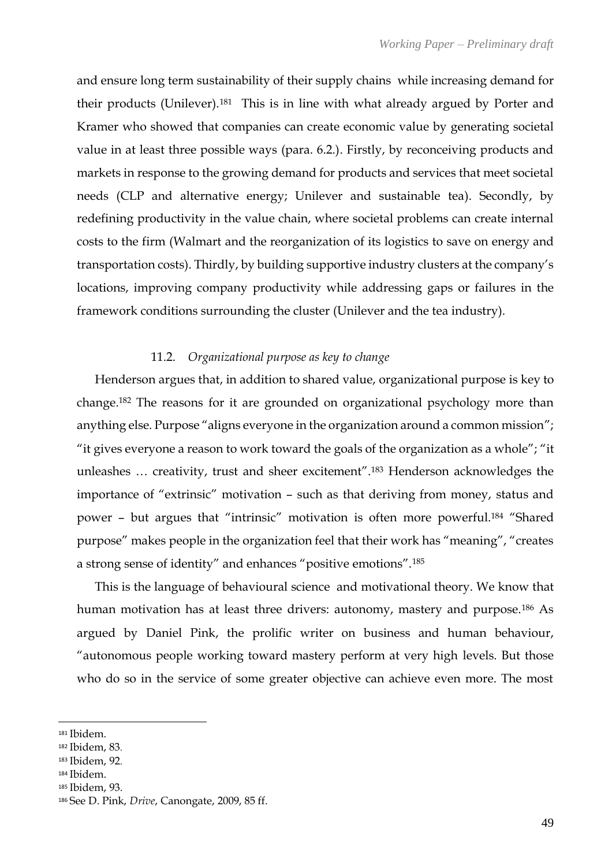and ensure long term sustainability of their supply chains while increasing demand for their products (Unilever).181 This is in line with what already argued by Porter and Kramer who showed that companies can create economic value by generating societal value in at least three possible ways (para. 6.2.). Firstly, by reconceiving products and markets in response to the growing demand for products and services that meet societal needs (CLP and alternative energy; Unilever and sustainable tea). Secondly, by redefining productivity in the value chain, where societal problems can create internal costs to the firm (Walmart and the reorganization of its logistics to save on energy and transportation costs). Thirdly, by building supportive industry clusters at the company's locations, improving company productivity while addressing gaps or failures in the framework conditions surrounding the cluster (Unilever and the tea industry).

## 11.2. *Organizational purpose as key to change*

Henderson argues that, in addition to shared value, organizational purpose is key to change. <sup>182</sup> The reasons for it are grounded on organizational psychology more than anything else. Purpose "aligns everyone in the organization around a common mission"; "it gives everyone a reason to work toward the goals of the organization as a whole"; "it unleashes … creativity, trust and sheer excitement".<sup>183</sup> Henderson acknowledges the importance of "extrinsic" motivation – such as that deriving from money, status and power – but argues that "intrinsic" motivation is often more powerful.<sup>184</sup> "Shared purpose" makes people in the organization feel that their work has "meaning", "creates a strong sense of identity" and enhances "positive emotions".<sup>185</sup>

This is the language of behavioural science and motivational theory. We know that human motivation has at least three drivers: autonomy, mastery and purpose.<sup>186</sup> As argued by Daniel Pink, the prolific writer on business and human behaviour, "autonomous people working toward mastery perform at very high levels. But those who do so in the service of some greater objective can achieve even more. The most

<sup>184</sup> Ibidem.

<sup>181</sup> Ibidem.

<sup>182</sup> Ibidem, 83.

<sup>183</sup> Ibidem, 92.

<sup>185</sup> Ibidem, 93.

<sup>186</sup> See D. Pink, *Drive*, Canongate, 2009, 85 ff.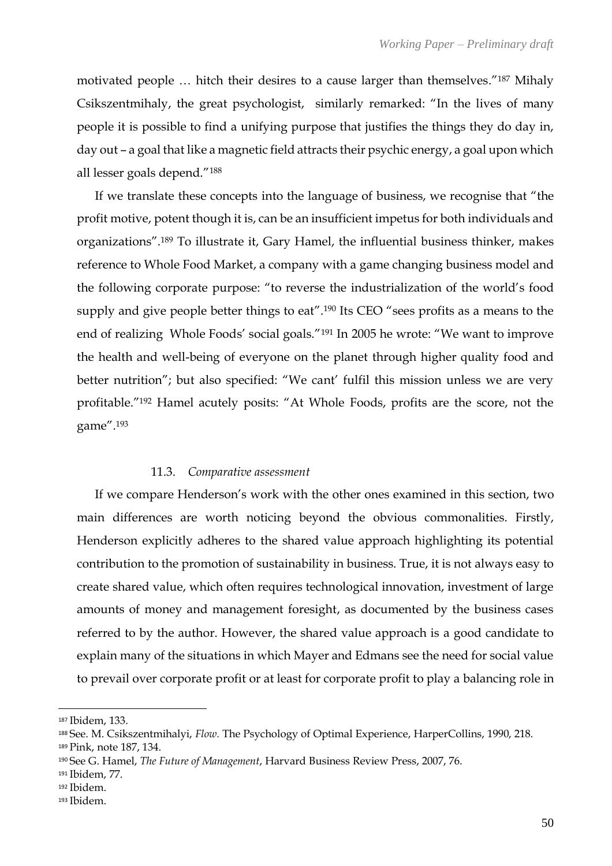motivated people … hitch their desires to a cause larger than themselves."<sup>187</sup> Mihaly Csikszentmihaly, the great psychologist, similarly remarked: "In the lives of many people it is possible to find a unifying purpose that justifies the things they do day in, day out – a goal that like a magnetic field attracts their psychic energy, a goal upon which all lesser goals depend."<sup>188</sup>

If we translate these concepts into the language of business, we recognise that "the profit motive, potent though it is, can be an insufficient impetus for both individuals and organizations".<sup>189</sup> To illustrate it, Gary Hamel, the influential business thinker, makes reference to Whole Food Market, a company with a game changing business model and the following corporate purpose: "to reverse the industrialization of the world's food supply and give people better things to eat".<sup>190</sup> Its CEO "sees profits as a means to the end of realizing Whole Foods' social goals."<sup>191</sup> In 2005 he wrote: "We want to improve the health and well-being of everyone on the planet through higher quality food and better nutrition"; but also specified: "We cant' fulfil this mission unless we are very profitable."<sup>192</sup> Hamel acutely posits: "At Whole Foods, profits are the score, not the game".<sup>193</sup>

## 11.3. *Comparative assessment*

If we compare Henderson's work with the other ones examined in this section, two main differences are worth noticing beyond the obvious commonalities. Firstly, Henderson explicitly adheres to the shared value approach highlighting its potential contribution to the promotion of sustainability in business. True, it is not always easy to create shared value, which often requires technological innovation, investment of large amounts of money and management foresight, as documented by the business cases referred to by the author. However, the shared value approach is a good candidate to explain many of the situations in which Mayer and Edmans see the need for social value to prevail over corporate profit or at least for corporate profit to play a balancing role in

<sup>193</sup> Ibidem.

<sup>187</sup> Ibidem, 133.

<sup>188</sup> See. M. Csikszentmihalyi, *Flow.* The Psychology of Optimal Experience, HarperCollins, 1990, 218.

<sup>189</sup> Pink, note 187, 134.

<sup>190</sup> See G. Hamel, *The Future of Management*, Harvard Business Review Press, 2007, 76.

<sup>191</sup> Ibidem, 77.

<sup>192</sup> Ibidem.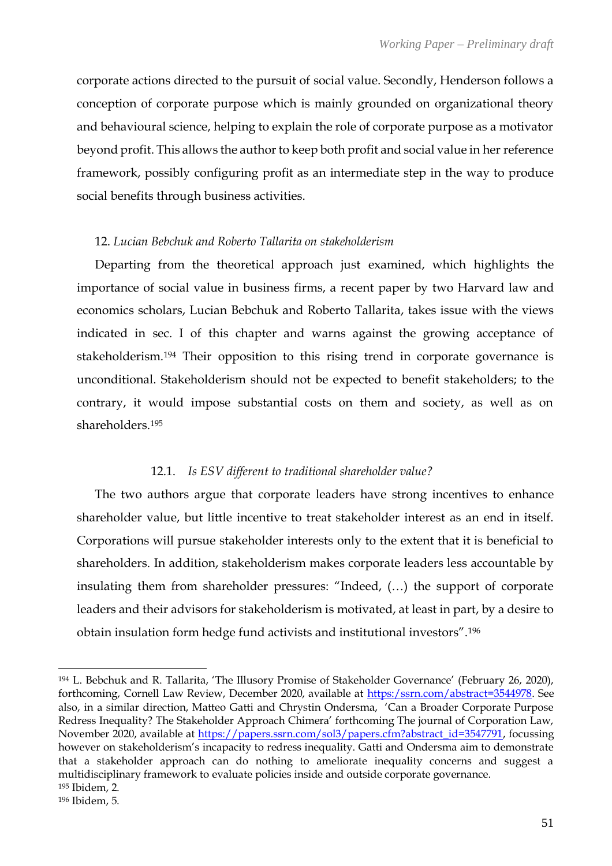corporate actions directed to the pursuit of social value. Secondly, Henderson follows a conception of corporate purpose which is mainly grounded on organizational theory and behavioural science, helping to explain the role of corporate purpose as a motivator beyond profit. This allows the author to keep both profit and social value in her reference framework, possibly configuring profit as an intermediate step in the way to produce social benefits through business activities.

## 12. *Lucian Bebchuk and Roberto Tallarita on stakeholderism*

Departing from the theoretical approach just examined, which highlights the importance of social value in business firms, a recent paper by two Harvard law and economics scholars, Lucian Bebchuk and Roberto Tallarita, takes issue with the views indicated in sec. I of this chapter and warns against the growing acceptance of stakeholderism.<sup>194</sup> Their opposition to this rising trend in corporate governance is unconditional. Stakeholderism should not be expected to benefit stakeholders; to the contrary, it would impose substantial costs on them and society, as well as on shareholders.<sup>195</sup>

## 12.1. *Is ESV different to traditional shareholder value?*

The two authors argue that corporate leaders have strong incentives to enhance shareholder value, but little incentive to treat stakeholder interest as an end in itself. Corporations will pursue stakeholder interests only to the extent that it is beneficial to shareholders. In addition, stakeholderism makes corporate leaders less accountable by insulating them from shareholder pressures: "Indeed, (…) the support of corporate leaders and their advisors for stakeholderism is motivated, at least in part, by a desire to obtain insulation form hedge fund activists and institutional investors".<sup>196</sup>

<sup>194</sup> L. Bebchuk and R. Tallarita, 'The Illusory Promise of Stakeholder Governance' (February 26, 2020), forthcoming, Cornell Law Review, December 2020, available at [https:/ssrn.com/abstract=3544978.](https://ssrn.com/abstract=3544978) See also, in a similar direction, Matteo Gatti and Chrystin Ondersma, 'Can a Broader Corporate Purpose Redress Inequality? The Stakeholder Approach Chimera' forthcoming The journal of Corporation Law, November 2020, available at [https://papers.ssrn.com/sol3/papers.cfm?abstract\\_id=3547791,](https://papers.ssrn.com/sol3/papers.cfm?abstract_id=3547791) focussing however on stakeholderism's incapacity to redress inequality. Gatti and Ondersma aim to demonstrate that a stakeholder approach can do nothing to ameliorate inequality concerns and suggest a multidisciplinary framework to evaluate policies inside and outside corporate governance. <sup>195</sup> Ibidem, 2.

<sup>196</sup> Ibidem, 5.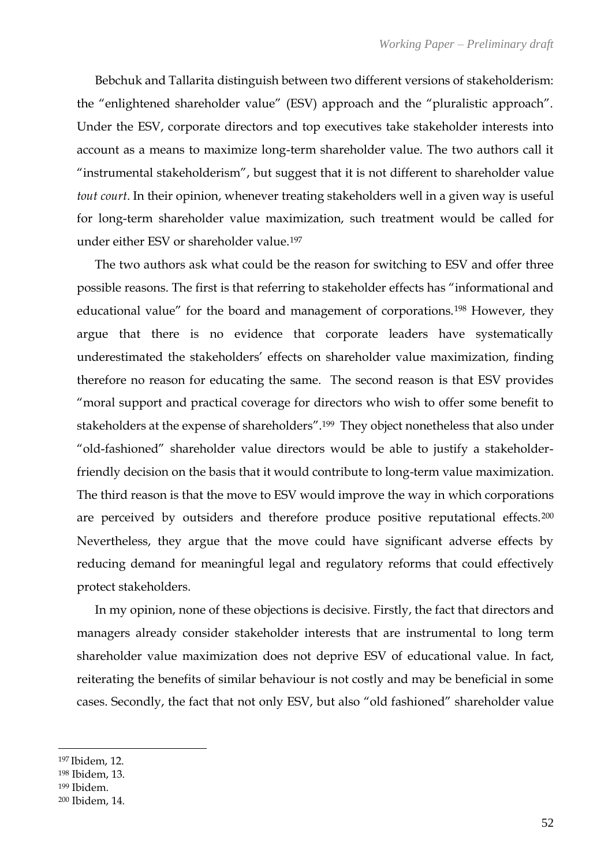Bebchuk and Tallarita distinguish between two different versions of stakeholderism: the "enlightened shareholder value" (ESV) approach and the "pluralistic approach". Under the ESV, corporate directors and top executives take stakeholder interests into account as a means to maximize long-term shareholder value. The two authors call it "instrumental stakeholderism", but suggest that it is not different to shareholder value *tout court*. In their opinion, whenever treating stakeholders well in a given way is useful for long-term shareholder value maximization, such treatment would be called for under either ESV or shareholder value.<sup>197</sup>

The two authors ask what could be the reason for switching to ESV and offer three possible reasons. The first is that referring to stakeholder effects has "informational and educational value" for the board and management of corporations.<sup>198</sup> However, they argue that there is no evidence that corporate leaders have systematically underestimated the stakeholders' effects on shareholder value maximization, finding therefore no reason for educating the same. The second reason is that ESV provides "moral support and practical coverage for directors who wish to offer some benefit to stakeholders at the expense of shareholders".199 They object nonetheless that also under "old-fashioned" shareholder value directors would be able to justify a stakeholderfriendly decision on the basis that it would contribute to long-term value maximization. The third reason is that the move to ESV would improve the way in which corporations are perceived by outsiders and therefore produce positive reputational effects.<sup>200</sup> Nevertheless, they argue that the move could have significant adverse effects by reducing demand for meaningful legal and regulatory reforms that could effectively protect stakeholders.

In my opinion, none of these objections is decisive. Firstly, the fact that directors and managers already consider stakeholder interests that are instrumental to long term shareholder value maximization does not deprive ESV of educational value. In fact, reiterating the benefits of similar behaviour is not costly and may be beneficial in some cases. Secondly, the fact that not only ESV, but also "old fashioned" shareholder value

<sup>197</sup> Ibidem, 12.

<sup>198</sup> Ibidem, 13.

<sup>199</sup> Ibidem.

<sup>200</sup> Ibidem, 14.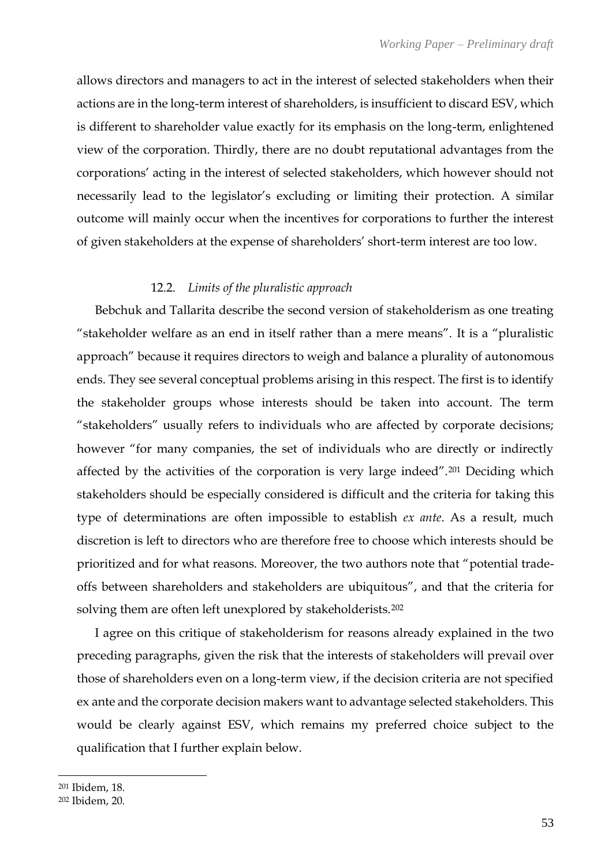allows directors and managers to act in the interest of selected stakeholders when their actions are in the long-term interest of shareholders, is insufficient to discard ESV, which is different to shareholder value exactly for its emphasis on the long-term, enlightened view of the corporation. Thirdly, there are no doubt reputational advantages from the corporations' acting in the interest of selected stakeholders, which however should not necessarily lead to the legislator's excluding or limiting their protection. A similar outcome will mainly occur when the incentives for corporations to further the interest of given stakeholders at the expense of shareholders' short-term interest are too low.

## 12.2. *Limits of the pluralistic approach*

Bebchuk and Tallarita describe the second version of stakeholderism as one treating "stakeholder welfare as an end in itself rather than a mere means". It is a "pluralistic approach" because it requires directors to weigh and balance a plurality of autonomous ends. They see several conceptual problems arising in this respect. The first is to identify the stakeholder groups whose interests should be taken into account. The term "stakeholders" usually refers to individuals who are affected by corporate decisions; however "for many companies, the set of individuals who are directly or indirectly affected by the activities of the corporation is very large indeed".<sup>201</sup> Deciding which stakeholders should be especially considered is difficult and the criteria for taking this type of determinations are often impossible to establish *ex ante*. As a result, much discretion is left to directors who are therefore free to choose which interests should be prioritized and for what reasons. Moreover, the two authors note that "potential tradeoffs between shareholders and stakeholders are ubiquitous", and that the criteria for solving them are often left unexplored by stakeholderists.<sup>202</sup>

I agree on this critique of stakeholderism for reasons already explained in the two preceding paragraphs, given the risk that the interests of stakeholders will prevail over those of shareholders even on a long-term view, if the decision criteria are not specified ex ante and the corporate decision makers want to advantage selected stakeholders. This would be clearly against ESV, which remains my preferred choice subject to the qualification that I further explain below.

<sup>201</sup> Ibidem, 18.

<sup>202</sup> Ibidem, 20.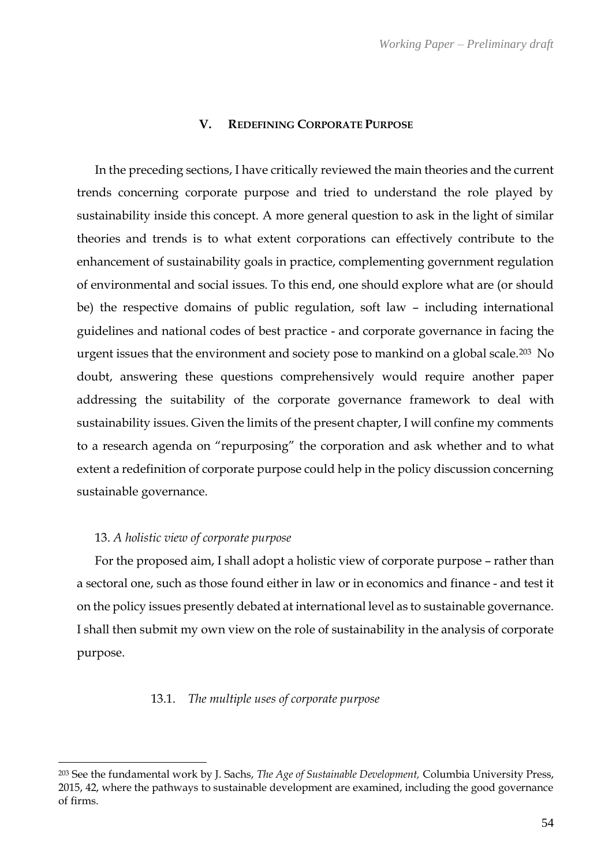#### **V. REDEFINING CORPORATE PURPOSE**

In the preceding sections, I have critically reviewed the main theories and the current trends concerning corporate purpose and tried to understand the role played by sustainability inside this concept. A more general question to ask in the light of similar theories and trends is to what extent corporations can effectively contribute to the enhancement of sustainability goals in practice, complementing government regulation of environmental and social issues. To this end, one should explore what are (or should be) the respective domains of public regulation, soft law – including international guidelines and national codes of best practice - and corporate governance in facing the urgent issues that the environment and society pose to mankind on a global scale.<sup>203</sup> No doubt, answering these questions comprehensively would require another paper addressing the suitability of the corporate governance framework to deal with sustainability issues. Given the limits of the present chapter, I will confine my comments to a research agenda on "repurposing" the corporation and ask whether and to what extent a redefinition of corporate purpose could help in the policy discussion concerning sustainable governance.

#### 13. *A holistic view of corporate purpose*

For the proposed aim, I shall adopt a holistic view of corporate purpose – rather than a sectoral one, such as those found either in law or in economics and finance - and test it on the policy issues presently debated at international level as to sustainable governance. I shall then submit my own view on the role of sustainability in the analysis of corporate purpose.

#### 13.1. *The multiple uses of corporate purpose*

<sup>203</sup> See the fundamental work by J. Sachs, *The Age of Sustainable Development,* Columbia University Press, 2015, 42, where the pathways to sustainable development are examined, including the good governance of firms.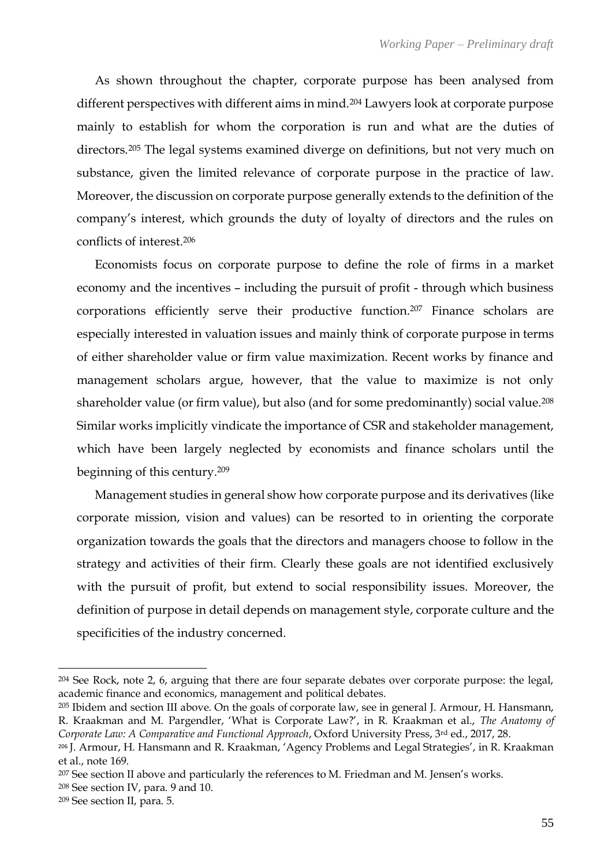As shown throughout the chapter, corporate purpose has been analysed from different perspectives with different aims in mind.<sup>204</sup> Lawyers look at corporate purpose mainly to establish for whom the corporation is run and what are the duties of directors.<sup>205</sup> The legal systems examined diverge on definitions, but not very much on substance, given the limited relevance of corporate purpose in the practice of law. Moreover, the discussion on corporate purpose generally extends to the definition of the company's interest, which grounds the duty of loyalty of directors and the rules on conflicts of interest.<sup>206</sup>

Economists focus on corporate purpose to define the role of firms in a market economy and the incentives – including the pursuit of profit - through which business corporations efficiently serve their productive function.<sup>207</sup> Finance scholars are especially interested in valuation issues and mainly think of corporate purpose in terms of either shareholder value or firm value maximization. Recent works by finance and management scholars argue, however, that the value to maximize is not only shareholder value (or firm value), but also (and for some predominantly) social value.<sup>208</sup> Similar works implicitly vindicate the importance of CSR and stakeholder management, which have been largely neglected by economists and finance scholars until the beginning of this century.<sup>209</sup>

Management studies in general show how corporate purpose and its derivatives (like corporate mission, vision and values) can be resorted to in orienting the corporate organization towards the goals that the directors and managers choose to follow in the strategy and activities of their firm. Clearly these goals are not identified exclusively with the pursuit of profit, but extend to social responsibility issues. Moreover, the definition of purpose in detail depends on management style, corporate culture and the specificities of the industry concerned.

<sup>204</sup> See Rock, note 2, 6, arguing that there are four separate debates over corporate purpose: the legal, academic finance and economics, management and political debates.

<sup>205</sup> Ibidem and section III above. On the goals of corporate law, see in general J. Armour, H. Hansmann, R. Kraakman and M. Pargendler, 'What is Corporate Law?', in R. Kraakman et al., *The Anatomy of Corporate Law: A Comparative and Functional Approach*, Oxford University Press, 3rd ed., 2017, 28.

<sup>206</sup> J. Armour, H. Hansmann and R. Kraakman, 'Agency Problems and Legal Strategies', in R. Kraakman et al., note 169.

<sup>&</sup>lt;sup>207</sup> See section II above and particularly the references to M. Friedman and M. Jensen's works.

<sup>208</sup> See section IV, para. 9 and 10.

<sup>209</sup> See section II, para. 5.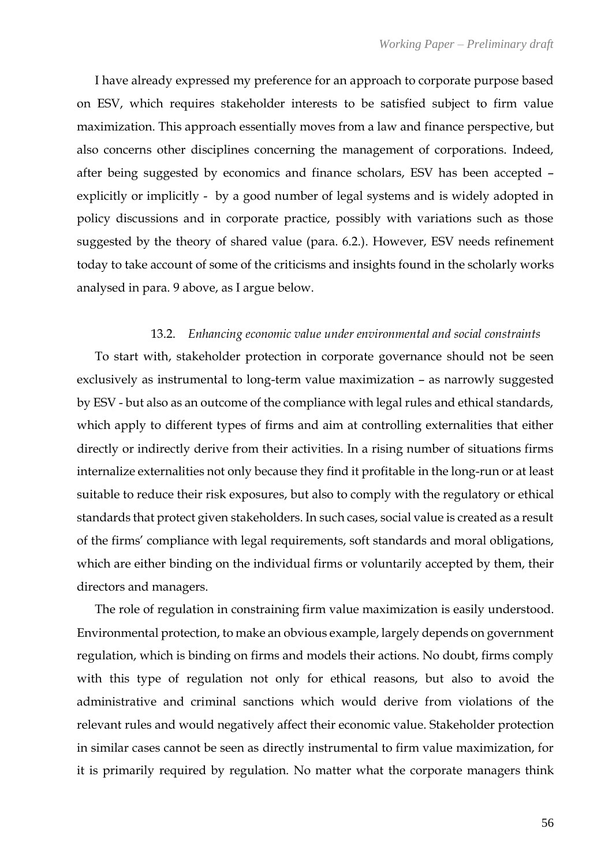I have already expressed my preference for an approach to corporate purpose based on ESV, which requires stakeholder interests to be satisfied subject to firm value maximization. This approach essentially moves from a law and finance perspective, but also concerns other disciplines concerning the management of corporations. Indeed, after being suggested by economics and finance scholars, ESV has been accepted – explicitly or implicitly - by a good number of legal systems and is widely adopted in policy discussions and in corporate practice, possibly with variations such as those suggested by the theory of shared value (para. 6.2.). However, ESV needs refinement today to take account of some of the criticisms and insights found in the scholarly works analysed in para. 9 above, as I argue below.

#### 13.2. *Enhancing economic value under environmental and social constraints*

To start with, stakeholder protection in corporate governance should not be seen exclusively as instrumental to long-term value maximization – as narrowly suggested by ESV - but also as an outcome of the compliance with legal rules and ethical standards, which apply to different types of firms and aim at controlling externalities that either directly or indirectly derive from their activities. In a rising number of situations firms internalize externalities not only because they find it profitable in the long-run or at least suitable to reduce their risk exposures, but also to comply with the regulatory or ethical standards that protect given stakeholders. In such cases, social value is created as a result of the firms' compliance with legal requirements, soft standards and moral obligations, which are either binding on the individual firms or voluntarily accepted by them, their directors and managers.

The role of regulation in constraining firm value maximization is easily understood. Environmental protection, to make an obvious example, largely depends on government regulation, which is binding on firms and models their actions. No doubt, firms comply with this type of regulation not only for ethical reasons, but also to avoid the administrative and criminal sanctions which would derive from violations of the relevant rules and would negatively affect their economic value. Stakeholder protection in similar cases cannot be seen as directly instrumental to firm value maximization, for it is primarily required by regulation. No matter what the corporate managers think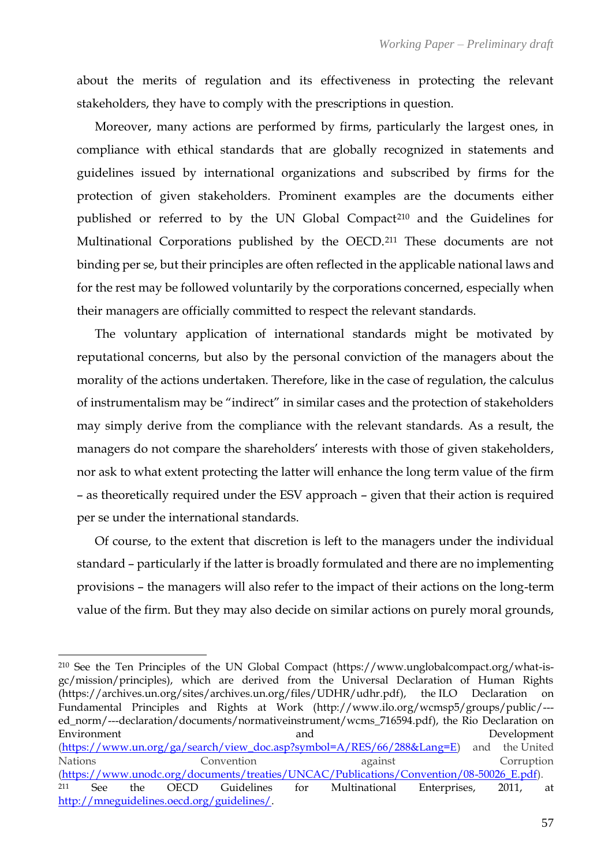about the merits of regulation and its effectiveness in protecting the relevant stakeholders, they have to comply with the prescriptions in question.

Moreover, many actions are performed by firms, particularly the largest ones, in compliance with ethical standards that are globally recognized in statements and guidelines issued by international organizations and subscribed by firms for the protection of given stakeholders. Prominent examples are the documents either published or referred to by the UN Global Compact<sup>210</sup> and the Guidelines for Multinational Corporations published by the OECD.<sup>211</sup> These documents are not binding per se, but their principles are often reflected in the applicable national laws and for the rest may be followed voluntarily by the corporations concerned, especially when their managers are officially committed to respect the relevant standards.

The voluntary application of international standards might be motivated by reputational concerns, but also by the personal conviction of the managers about the morality of the actions undertaken. Therefore, like in the case of regulation, the calculus of instrumentalism may be "indirect" in similar cases and the protection of stakeholders may simply derive from the compliance with the relevant standards. As a result, the managers do not compare the shareholders' interests with those of given stakeholders, nor ask to what extent protecting the latter will enhance the long term value of the firm – as theoretically required under the ESV approach – given that their action is required per se under the international standards.

Of course, to the extent that discretion is left to the managers under the individual standard – particularly if the latter is broadly formulated and there are no implementing provisions – the managers will also refer to the impact of their actions on the long-term value of the firm. But they may also decide on similar actions on purely moral grounds,

<sup>210</sup> See the Ten Principles of the UN Global Compact [\(https://www.unglobalcompact.org/what-is](https://www.unglobalcompact.org/what-is-gc/mission/principles)[gc/mission/principles\)](https://www.unglobalcompact.org/what-is-gc/mission/principles), which are derived from the Universal Declaration of Human Rights [\(https://archives.un.org/sites/archives.un.org/files/UDHR/udhr.pdf\)](https://archives.un.org/sites/archives.un.org/files/UDHR/udhr.pdf), the ILO Declaration on Fundamental Principles and Rights at Work [\(http://www.ilo.org/wcmsp5/groups/public/--](http://www.ilo.org/wcmsp5/groups/public/---ed_norm/---declaration/documents/normativeinstrument/wcms_716594.pdf) [ed\\_norm/---declaration/documents/normativeinstrument/wcms\\_716594.pdf\)](http://www.ilo.org/wcmsp5/groups/public/---ed_norm/---declaration/documents/normativeinstrument/wcms_716594.pdf), the Rio Declaration on Environment and Development and Development and Development and Development and Development and Development and Development and Development and Development and Development and Development and Development and Development an [\(https://www.un.org/ga/search/view\\_doc.asp?symbol=A/RES/66/288&Lang=E\)](https://www.un.org/ga/search/view_doc.asp?symbol=A/RES/66/288&Lang=E) and the United Nations Convention against Corruption [\(https://www.unodc.org/documents/treaties/UNCAC/Publications/Convention/08-50026\\_E.pdf\)](https://www.unodc.org/documents/treaties/UNCAC/Publications/Convention/08-50026_E.pdf). <sup>211</sup> See the OECD Guidelines for Multinational Enterprises, 2011, at [http://mneguidelines.oecd.org/guidelines/.](http://mneguidelines.oecd.org/guidelines/)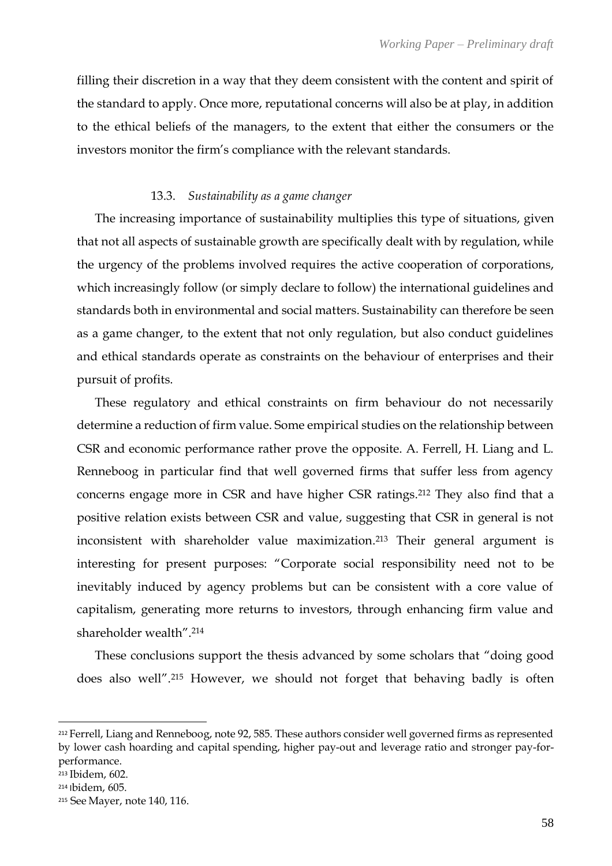filling their discretion in a way that they deem consistent with the content and spirit of the standard to apply. Once more, reputational concerns will also be at play, in addition to the ethical beliefs of the managers, to the extent that either the consumers or the investors monitor the firm's compliance with the relevant standards.

## 13.3. *Sustainability as a game changer*

The increasing importance of sustainability multiplies this type of situations, given that not all aspects of sustainable growth are specifically dealt with by regulation, while the urgency of the problems involved requires the active cooperation of corporations, which increasingly follow (or simply declare to follow) the international guidelines and standards both in environmental and social matters. Sustainability can therefore be seen as a game changer, to the extent that not only regulation, but also conduct guidelines and ethical standards operate as constraints on the behaviour of enterprises and their pursuit of profits.

These regulatory and ethical constraints on firm behaviour do not necessarily determine a reduction of firm value. Some empirical studies on the relationship between CSR and economic performance rather prove the opposite. A. Ferrell, H. Liang and L. Renneboog in particular find that well governed firms that suffer less from agency concerns engage more in CSR and have higher CSR ratings. <sup>212</sup> They also find that a positive relation exists between CSR and value, suggesting that CSR in general is not inconsistent with shareholder value maximization. <sup>213</sup> Their general argument is interesting for present purposes: "Corporate social responsibility need not to be inevitably induced by agency problems but can be consistent with a core value of capitalism, generating more returns to investors, through enhancing firm value and shareholder wealth".<sup>214</sup>

These conclusions support the thesis advanced by some scholars that "doing good does also well".<sup>215</sup> However, we should not forget that behaving badly is often

<sup>212</sup> Ferrell, Liang and Renneboog, note 92, 585. These authors consider well governed firms as represented by lower cash hoarding and capital spending, higher pay-out and leverage ratio and stronger pay-forperformance.

<sup>213</sup> Ibidem, 602.

<sup>214</sup> Ibidem, 605.

<sup>215</sup> See Mayer, note 140, 116.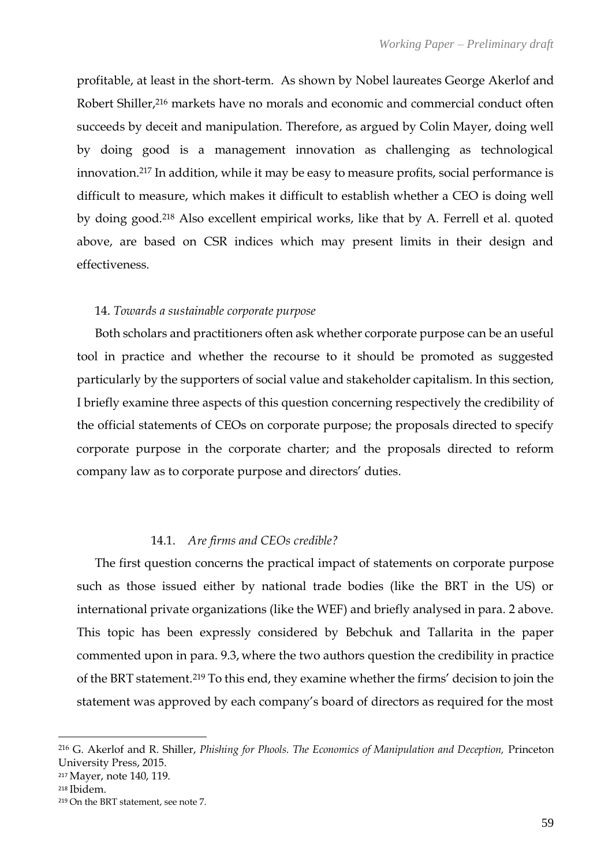profitable, at least in the short-term. As shown by Nobel laureates George Akerlof and Robert Shiller,<sup>216</sup> markets have no morals and economic and commercial conduct often succeeds by deceit and manipulation. Therefore, as argued by Colin Mayer, doing well by doing good is a management innovation as challenging as technological innovation.<sup>217</sup> In addition, while it may be easy to measure profits, social performance is difficult to measure, which makes it difficult to establish whether a CEO is doing well by doing good.<sup>218</sup> Also excellent empirical works, like that by A. Ferrell et al. quoted above, are based on CSR indices which may present limits in their design and effectiveness.

## 14. *Towards a sustainable corporate purpose*

Both scholars and practitioners often ask whether corporate purpose can be an useful tool in practice and whether the recourse to it should be promoted as suggested particularly by the supporters of social value and stakeholder capitalism. In this section, I briefly examine three aspects of this question concerning respectively the credibility of the official statements of CEOs on corporate purpose; the proposals directed to specify corporate purpose in the corporate charter; and the proposals directed to reform company law as to corporate purpose and directors' duties.

## 14.1. *Are firms and CEOs credible?*

The first question concerns the practical impact of statements on corporate purpose such as those issued either by national trade bodies (like the BRT in the US) or international private organizations (like the WEF) and briefly analysed in para. 2 above. This topic has been expressly considered by Bebchuk and Tallarita in the paper commented upon in para. 9.3, where the two authors question the credibility in practice of the BRT statement.<sup>219</sup> To this end, they examine whether the firms' decision to join the statement was approved by each company's board of directors as required for the most

<sup>216</sup> G. Akerlof and R. Shiller, *Phishing for Phools. The Economics of Manipulation and Deception,* Princeton University Press, 2015.

<sup>217</sup> Mayer, note 140, 119.

<sup>218</sup> Ibidem.

<sup>219</sup> On the BRT statement, see note 7.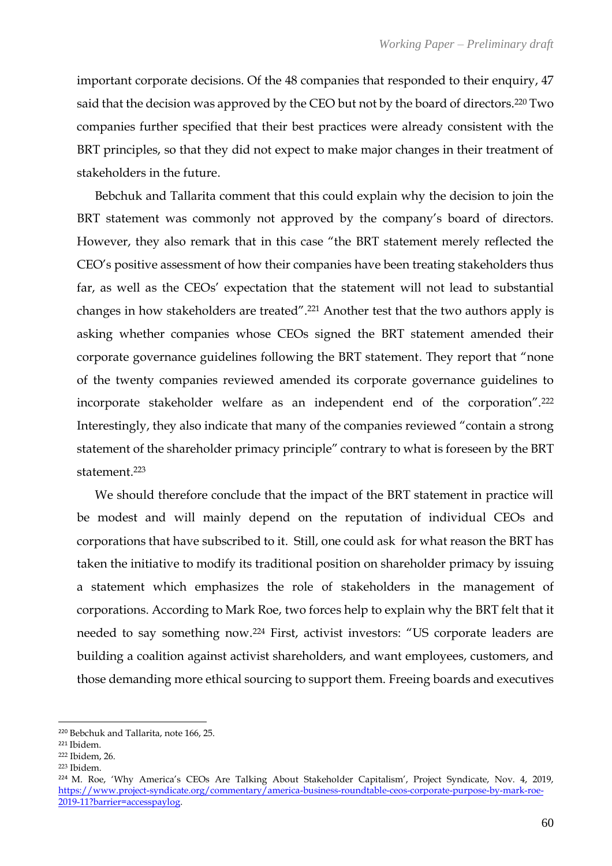important corporate decisions. Of the 48 companies that responded to their enquiry, 47 said that the decision was approved by the CEO but not by the board of directors.<sup>220</sup> Two companies further specified that their best practices were already consistent with the BRT principles, so that they did not expect to make major changes in their treatment of stakeholders in the future.

Bebchuk and Tallarita comment that this could explain why the decision to join the BRT statement was commonly not approved by the company's board of directors. However, they also remark that in this case "the BRT statement merely reflected the CEO's positive assessment of how their companies have been treating stakeholders thus far, as well as the CEOs' expectation that the statement will not lead to substantial changes in how stakeholders are treated".<sup>221</sup> Another test that the two authors apply is asking whether companies whose CEOs signed the BRT statement amended their corporate governance guidelines following the BRT statement. They report that "none of the twenty companies reviewed amended its corporate governance guidelines to incorporate stakeholder welfare as an independent end of the corporation".<sup>222</sup> Interestingly, they also indicate that many of the companies reviewed "contain a strong statement of the shareholder primacy principle" contrary to what is foreseen by the BRT statement.<sup>223</sup>

We should therefore conclude that the impact of the BRT statement in practice will be modest and will mainly depend on the reputation of individual CEOs and corporations that have subscribed to it. Still, one could ask for what reason the BRT has taken the initiative to modify its traditional position on shareholder primacy by issuing a statement which emphasizes the role of stakeholders in the management of corporations. According to Mark Roe, two forces help to explain why the BRT felt that it needed to say something now. <sup>224</sup> First, activist investors: "US corporate leaders are building a coalition against activist shareholders, and want employees, customers, and those demanding more ethical sourcing to support them. Freeing boards and executives

<sup>223</sup> Ibidem.

<sup>220</sup> Bebchuk and Tallarita, note 166, 25.

<sup>221</sup> Ibidem.

<sup>222</sup> Ibidem, 26.

<sup>224</sup> M. Roe, 'Why America's CEOs Are Talking About Stakeholder Capitalism', Project Syndicate, Nov. 4, 2019, [https://www.project-syndicate.org/commentary/america-business-roundtable-ceos-corporate-purpose-by-mark-roe-](https://www.project-syndicate.org/commentary/america-business-roundtable-ceos-corporate-purpose-by-mark-roe-2019-11?barrier=accesspaylog)[2019-11?barrier=accesspaylog.](https://www.project-syndicate.org/commentary/america-business-roundtable-ceos-corporate-purpose-by-mark-roe-2019-11?barrier=accesspaylog)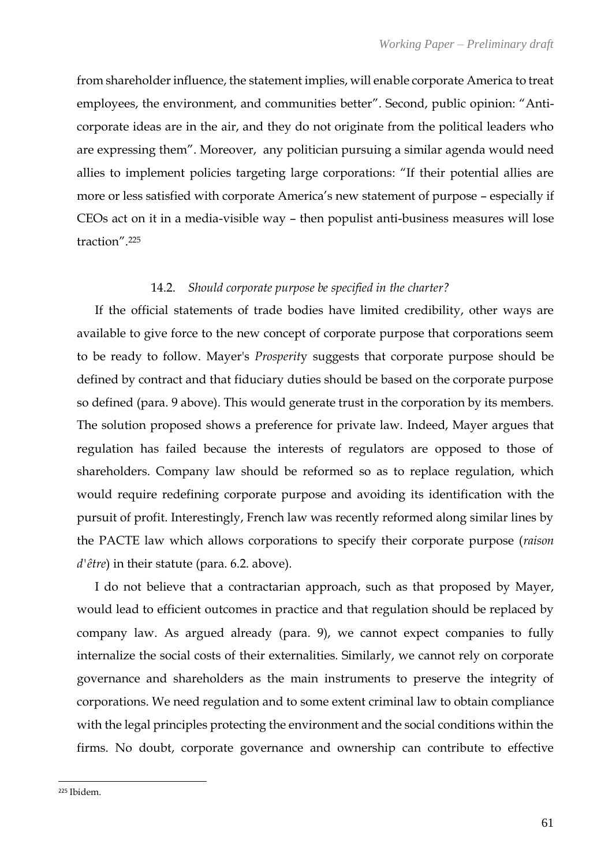from shareholder influence, the statement implies, will enable corporate America to treat employees, the environment, and communities better". Second, public opinion: "Anticorporate ideas are in the air, and they do not originate from the political leaders who are expressing them". Moreover, any politician pursuing a similar agenda would need allies to implement policies targeting large corporations: "If their potential allies are more or less satisfied with corporate America's new statement of purpose – especially if CEOs act on it in a media-visible way – then populist anti-business measures will lose traction". 225

## 14.2. *Should corporate purpose be specified in the charter?*

If the official statements of trade bodies have limited credibility, other ways are available to give force to the new concept of corporate purpose that corporations seem to be ready to follow. Mayer's *Prosperit*y suggests that corporate purpose should be defined by contract and that fiduciary duties should be based on the corporate purpose so defined (para. 9 above). This would generate trust in the corporation by its members. The solution proposed shows a preference for private law. Indeed, Mayer argues that regulation has failed because the interests of regulators are opposed to those of shareholders. Company law should be reformed so as to replace regulation, which would require redefining corporate purpose and avoiding its identification with the pursuit of profit. Interestingly, French law was recently reformed along similar lines by the PACTE law which allows corporations to specify their corporate purpose (*raison d'être*) in their statute (para. 6.2. above).

I do not believe that a contractarian approach, such as that proposed by Mayer, would lead to efficient outcomes in practice and that regulation should be replaced by company law. As argued already (para. 9), we cannot expect companies to fully internalize the social costs of their externalities. Similarly, we cannot rely on corporate governance and shareholders as the main instruments to preserve the integrity of corporations. We need regulation and to some extent criminal law to obtain compliance with the legal principles protecting the environment and the social conditions within the firms. No doubt, corporate governance and ownership can contribute to effective

<sup>225</sup> Ibidem.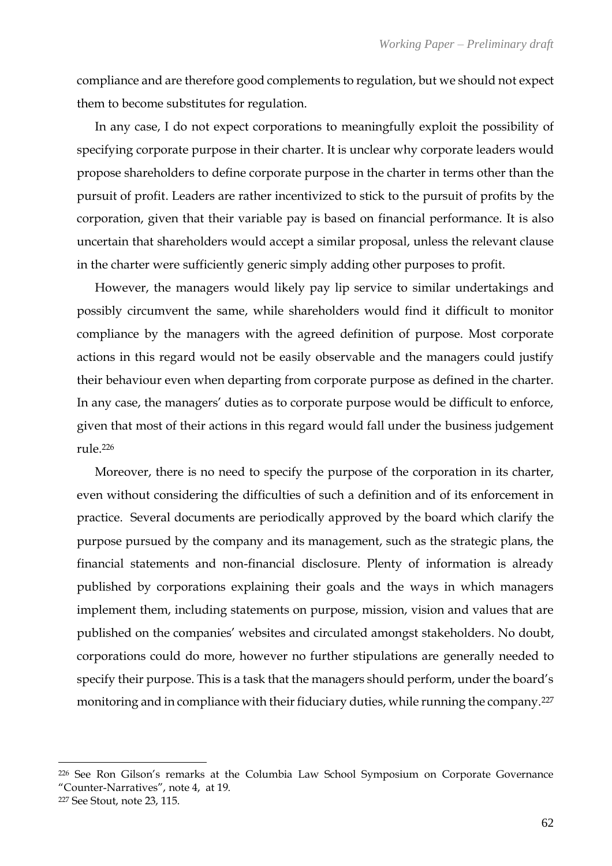compliance and are therefore good complements to regulation, but we should not expect them to become substitutes for regulation.

In any case, I do not expect corporations to meaningfully exploit the possibility of specifying corporate purpose in their charter. It is unclear why corporate leaders would propose shareholders to define corporate purpose in the charter in terms other than the pursuit of profit. Leaders are rather incentivized to stick to the pursuit of profits by the corporation, given that their variable pay is based on financial performance. It is also uncertain that shareholders would accept a similar proposal, unless the relevant clause in the charter were sufficiently generic simply adding other purposes to profit.

However, the managers would likely pay lip service to similar undertakings and possibly circumvent the same, while shareholders would find it difficult to monitor compliance by the managers with the agreed definition of purpose. Most corporate actions in this regard would not be easily observable and the managers could justify their behaviour even when departing from corporate purpose as defined in the charter. In any case, the managers' duties as to corporate purpose would be difficult to enforce, given that most of their actions in this regard would fall under the business judgement rule.<sup>226</sup>

Moreover, there is no need to specify the purpose of the corporation in its charter, even without considering the difficulties of such a definition and of its enforcement in practice. Several documents are periodically approved by the board which clarify the purpose pursued by the company and its management, such as the strategic plans, the financial statements and non-financial disclosure. Plenty of information is already published by corporations explaining their goals and the ways in which managers implement them, including statements on purpose, mission, vision and values that are published on the companies' websites and circulated amongst stakeholders. No doubt, corporations could do more, however no further stipulations are generally needed to specify their purpose. This is a task that the managers should perform, under the board's monitoring and in compliance with their fiduciary duties, while running the company.<sup>227</sup>

<sup>226</sup> See Ron Gilson's remarks at the Columbia Law School Symposium on Corporate Governance "Counter-Narratives", note 4, at 19.

<sup>227</sup> See Stout, note 23, 115.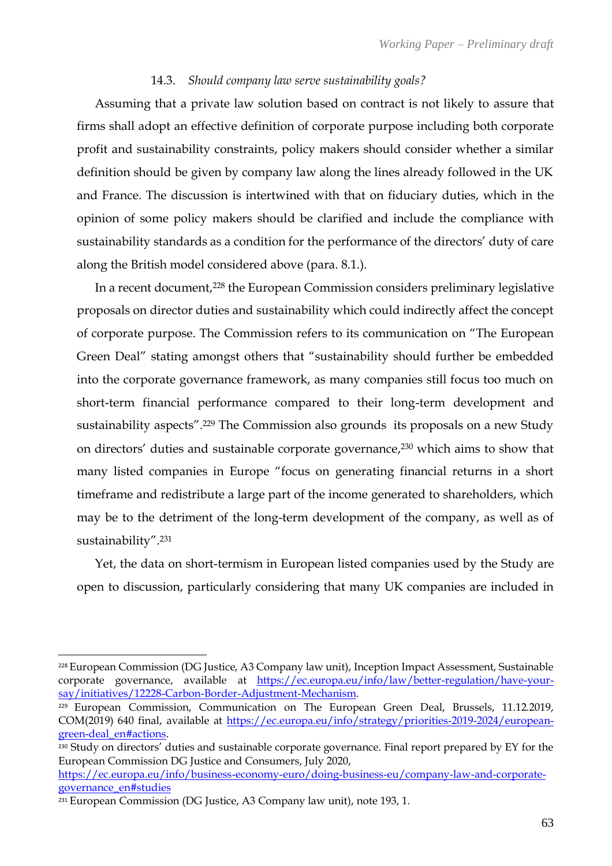## 14.3. *Should company law serve sustainability goals?*

Assuming that a private law solution based on contract is not likely to assure that firms shall adopt an effective definition of corporate purpose including both corporate profit and sustainability constraints, policy makers should consider whether a similar definition should be given by company law along the lines already followed in the UK and France. The discussion is intertwined with that on fiduciary duties, which in the opinion of some policy makers should be clarified and include the compliance with sustainability standards as a condition for the performance of the directors' duty of care along the British model considered above (para. 8.1.).

In a recent document,<sup>228</sup> the European Commission considers preliminary legislative proposals on director duties and sustainability which could indirectly affect the concept of corporate purpose. The Commission refers to its communication on "The European Green Deal" stating amongst others that "sustainability should further be embedded into the corporate governance framework, as many companies still focus too much on short-term financial performance compared to their long-term development and sustainability aspects".<sup>229</sup> The Commission also grounds its proposals on a new Study on directors' duties and sustainable corporate governance, <sup>230</sup> which aims to show that many listed companies in Europe "focus on generating financial returns in a short timeframe and redistribute a large part of the income generated to shareholders, which may be to the detriment of the long-term development of the company, as well as of sustainability".<sup>231</sup>

Yet, the data on short-termism in European listed companies used by the Study are open to discussion, particularly considering that many UK companies are included in

<sup>228</sup> European Commission (DG Justice, A3 Company law unit), Inception Impact Assessment, Sustainable corporate governance, available at [https://ec.europa.eu/info/law/better-regulation/have-your](https://ec.europa.eu/info/law/better-regulation/have-your-say/initiatives/12228-Carbon-Border-Adjustment-Mechanism)[say/initiatives/12228-Carbon-Border-Adjustment-Mechanism.](https://ec.europa.eu/info/law/better-regulation/have-your-say/initiatives/12228-Carbon-Border-Adjustment-Mechanism)

<sup>&</sup>lt;sup>229</sup> European Commission, Communication on The European Green Deal, Brussels, 11.12.2019, COM(2019) 640 final, available at [https://ec.europa.eu/info/strategy/priorities-2019-2024/european](https://ec.europa.eu/info/strategy/priorities-2019-2024/european-green-deal_en#actions)[green-deal\\_en#actions.](https://ec.europa.eu/info/strategy/priorities-2019-2024/european-green-deal_en#actions)

<sup>&</sup>lt;sup>230</sup> Study on directors' duties and sustainable corporate governance. Final report prepared by EY for the European Commission DG Justice and Consumers, July 2020,

[https://ec.europa.eu/info/business-economy-euro/doing-business-eu/company-law-and-corporate](https://ec.europa.eu/info/business-economy-euro/doing-business-eu/company-law-and-corporate-governance_en#studies)[governance\\_en#studies](https://ec.europa.eu/info/business-economy-euro/doing-business-eu/company-law-and-corporate-governance_en#studies)

<sup>231</sup> European Commission (DG Justice, A3 Company law unit), note 193, 1.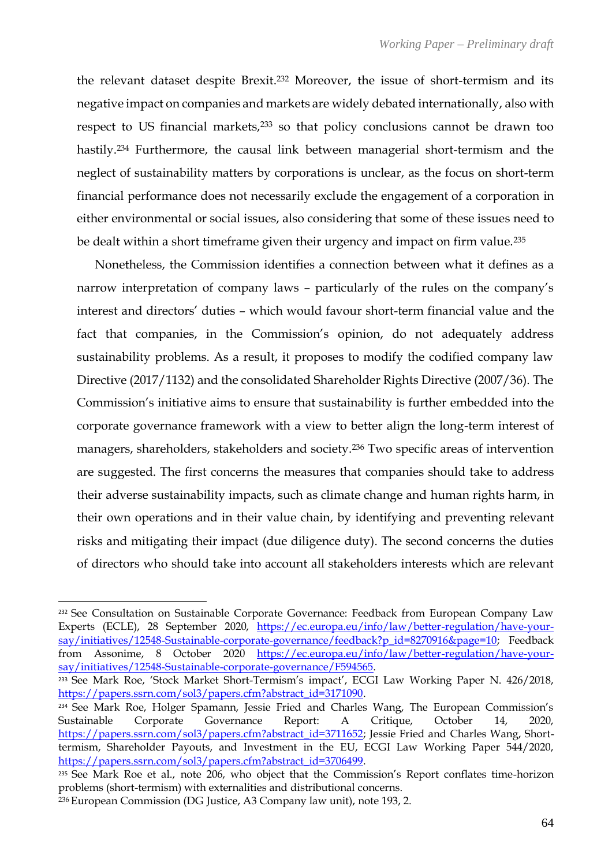the relevant dataset despite Brexit.<sup>232</sup> Moreover, the issue of short-termism and its negative impact on companies and markets are widely debated internationally, also with respect to US financial markets,<sup>233</sup> so that policy conclusions cannot be drawn too hastily.<sup>234</sup> Furthermore, the causal link between managerial short-termism and the neglect of sustainability matters by corporations is unclear, as the focus on short-term financial performance does not necessarily exclude the engagement of a corporation in either environmental or social issues, also considering that some of these issues need to be dealt within a short timeframe given their urgency and impact on firm value.<sup>235</sup>

Nonetheless, the Commission identifies a connection between what it defines as a narrow interpretation of company laws – particularly of the rules on the company's interest and directors' duties – which would favour short-term financial value and the fact that companies, in the Commission's opinion, do not adequately address sustainability problems. As a result, it proposes to modify the codified company law Directive (2017/1132) and the consolidated Shareholder Rights Directive (2007/36). The Commission's initiative aims to ensure that sustainability is further embedded into the corporate governance framework with a view to better align the long-term interest of managers, shareholders, stakeholders and society.<sup>236</sup> Two specific areas of intervention are suggested. The first concerns the measures that companies should take to address their adverse sustainability impacts, such as climate change and human rights harm, in their own operations and in their value chain, by identifying and preventing relevant risks and mitigating their impact (due diligence duty). The second concerns the duties of directors who should take into account all stakeholders interests which are relevant

<sup>&</sup>lt;sup>232</sup> See Consultation on Sustainable Corporate Governance: Feedback from European Company Law Experts (ECLE), 28 September 2020, [https://ec.europa.eu/info/law/better-regulation/have-your](https://ec.europa.eu/info/law/better-regulation/have-your-say/initiatives/12548-Sustainable-corporate-governance/feedback?p_id=8270916&page=10)[say/initiatives/12548-Sustainable-corporate-governance/feedback?p\\_id=8270916&page=10;](https://ec.europa.eu/info/law/better-regulation/have-your-say/initiatives/12548-Sustainable-corporate-governance/feedback?p_id=8270916&page=10) Feedback from Assonime, 8 October 2020 [https://ec.europa.eu/info/law/better-regulation/have-your](https://ec.europa.eu/info/law/better-regulation/have-your-say/initiatives/12548-Sustainable-corporate-governance/F594565)[say/initiatives/12548-Sustainable-corporate-governance/F594565.](https://ec.europa.eu/info/law/better-regulation/have-your-say/initiatives/12548-Sustainable-corporate-governance/F594565)

<sup>233</sup> See Mark Roe, 'Stock Market Short-Termism's impact', ECGI Law Working Paper N. 426/2018, [https://papers.ssrn.com/sol3/papers.cfm?abstract\\_id=3171090.](https://papers.ssrn.com/sol3/papers.cfm?abstract_id=3171090)

<sup>234</sup> See Mark Roe, Holger Spamann, Jessie Fried and Charles Wang, The European Commission's Sustainable Corporate Governance Report: A Critique, October 14, 2020, [https://papers.ssrn.com/sol3/papers.cfm?abstract\\_id=3711652;](https://papers.ssrn.com/sol3/papers.cfm?abstract_id=3711652) Jessie Fried and Charles Wang, Shorttermism, Shareholder Payouts, and Investment in the EU, ECGI Law Working Paper 544/2020, [https://papers.ssrn.com/sol3/papers.cfm?abstract\\_id=3706499.](https://papers.ssrn.com/sol3/papers.cfm?abstract_id=3706499)

<sup>235</sup> See Mark Roe et al., note 206, who object that the Commission's Report conflates time-horizon problems (short-termism) with externalities and distributional concerns.

<sup>236</sup> European Commission (DG Justice, A3 Company law unit), note 193, 2.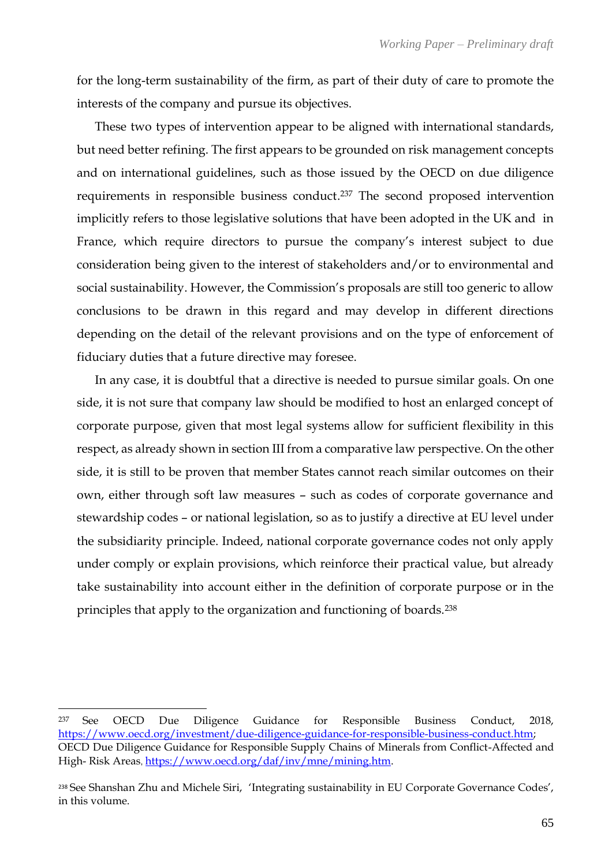for the long-term sustainability of the firm, as part of their duty of care to promote the interests of the company and pursue its objectives.

These two types of intervention appear to be aligned with international standards, but need better refining. The first appears to be grounded on risk management concepts and on international guidelines, such as those issued by the OECD on due diligence requirements in responsible business conduct. <sup>237</sup> The second proposed intervention implicitly refers to those legislative solutions that have been adopted in the UK and in France, which require directors to pursue the company's interest subject to due consideration being given to the interest of stakeholders and/or to environmental and social sustainability. However, the Commission's proposals are still too generic to allow conclusions to be drawn in this regard and may develop in different directions depending on the detail of the relevant provisions and on the type of enforcement of fiduciary duties that a future directive may foresee.

In any case, it is doubtful that a directive is needed to pursue similar goals. On one side, it is not sure that company law should be modified to host an enlarged concept of corporate purpose, given that most legal systems allow for sufficient flexibility in this respect, as already shown in section III from a comparative law perspective. On the other side, it is still to be proven that member States cannot reach similar outcomes on their own, either through soft law measures – such as codes of corporate governance and stewardship codes – or national legislation, so as to justify a directive at EU level under the subsidiarity principle. Indeed, national corporate governance codes not only apply under comply or explain provisions, which reinforce their practical value, but already take sustainability into account either in the definition of corporate purpose or in the principles that apply to the organization and functioning of boards.<sup>238</sup>

<sup>237</sup> See OECD Due Diligence Guidance for Responsible Business Conduct, 2018, [https://www.oecd.org/investment/due-diligence-guidance-for-responsible-business-conduct.htm;](https://www.oecd.org/investment/due-diligence-guidance-for-responsible-business-conduct.htm) OECD Due Diligence Guidance for Responsible Supply Chains of Minerals from Conflict-Affected and High- Risk Areas, [https://www.oecd.org/daf/inv/mne/mining.htm.](https://www.oecd.org/daf/inv/mne/mining.htm)

<sup>238</sup> See Shanshan Zhu and Michele Siri, 'Integrating sustainability in EU Corporate Governance Codes', in this volume.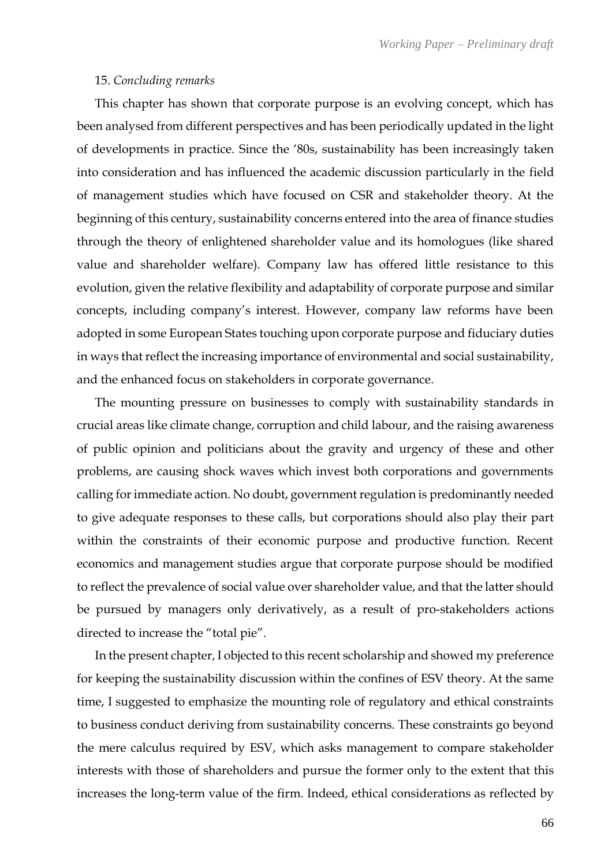#### 15. *Concluding remarks*

This chapter has shown that corporate purpose is an evolving concept, which has been analysed from different perspectives and has been periodically updated in the light of developments in practice. Since the '80s, sustainability has been increasingly taken into consideration and has influenced the academic discussion particularly in the field of management studies which have focused on CSR and stakeholder theory. At the beginning of this century, sustainability concerns entered into the area of finance studies through the theory of enlightened shareholder value and its homologues (like shared value and shareholder welfare). Company law has offered little resistance to this evolution, given the relative flexibility and adaptability of corporate purpose and similar concepts, including company's interest. However, company law reforms have been adopted in some European States touching upon corporate purpose and fiduciary duties in ways that reflect the increasing importance of environmental and social sustainability, and the enhanced focus on stakeholders in corporate governance.

The mounting pressure on businesses to comply with sustainability standards in crucial areas like climate change, corruption and child labour, and the raising awareness of public opinion and politicians about the gravity and urgency of these and other problems, are causing shock waves which invest both corporations and governments calling for immediate action. No doubt, government regulation is predominantly needed to give adequate responses to these calls, but corporations should also play their part within the constraints of their economic purpose and productive function. Recent economics and management studies argue that corporate purpose should be modified to reflect the prevalence of social value over shareholder value, and that the latter should be pursued by managers only derivatively, as a result of pro-stakeholders actions directed to increase the "total pie".

In the present chapter, I objected to this recent scholarship and showed my preference for keeping the sustainability discussion within the confines of ESV theory. At the same time, I suggested to emphasize the mounting role of regulatory and ethical constraints to business conduct deriving from sustainability concerns. These constraints go beyond the mere calculus required by ESV, which asks management to compare stakeholder interests with those of shareholders and pursue the former only to the extent that this increases the long-term value of the firm. Indeed, ethical considerations as reflected by